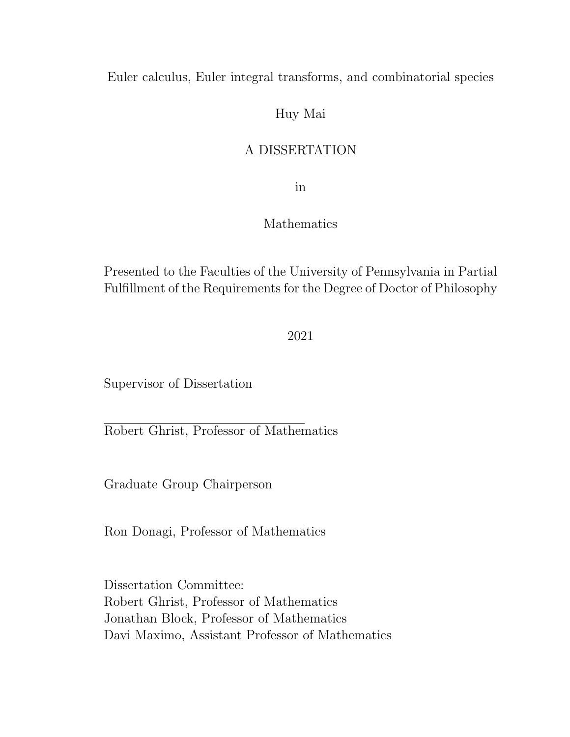Euler calculus, Euler integral transforms, and combinatorial species

### Huy Mai

### A DISSERTATION

in

### Mathematics

Presented to the Faculties of the University of Pennsylvania in Partial Fulfillment of the Requirements for the Degree of Doctor of Philosophy

2021

Supervisor of Dissertation

Robert Ghrist, Professor of Mathematics

Graduate Group Chairperson

Ron Donagi, Professor of Mathematics

Dissertation Committee: Robert Ghrist, Professor of Mathematics Jonathan Block, Professor of Mathematics Davi Maximo, Assistant Professor of Mathematics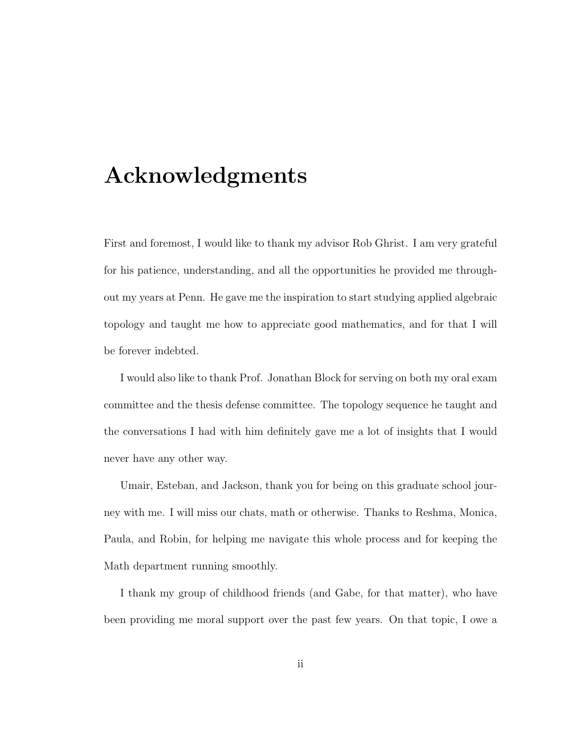## Acknowledgments

First and foremost, I would like to thank my advisor Rob Ghrist. I am very grateful for his patience, understanding, and all the opportunities he provided me throughout my years at Penn. He gave me the inspiration to start studying applied algebraic topology and taught me how to appreciate good mathematics, and for that I will be forever indebted.

I would also like to thank Prof. Jonathan Block for serving on both my oral exam committee and the thesis defense committee. The topology sequence he taught and the conversations I had with him definitely gave me a lot of insights that I would never have any other way.

Umair, Esteban, and Jackson, thank you for being on this graduate school journey with me. I will miss our chats, math or otherwise. Thanks to Reshma, Monica, Paula, and Robin, for helping me navigate this whole process and for keeping the Math department running smoothly.

I thank my group of childhood friends (and Gabe, for that matter), who have been providing me moral support over the past few years. On that topic, I owe a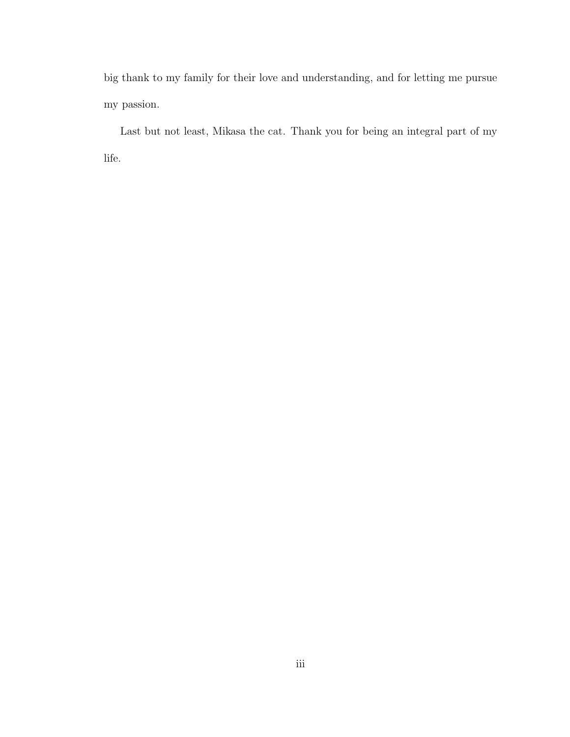big thank to my family for their love and understanding, and for letting me pursue my passion.

Last but not least, Mikasa the cat. Thank you for being an integral part of my life.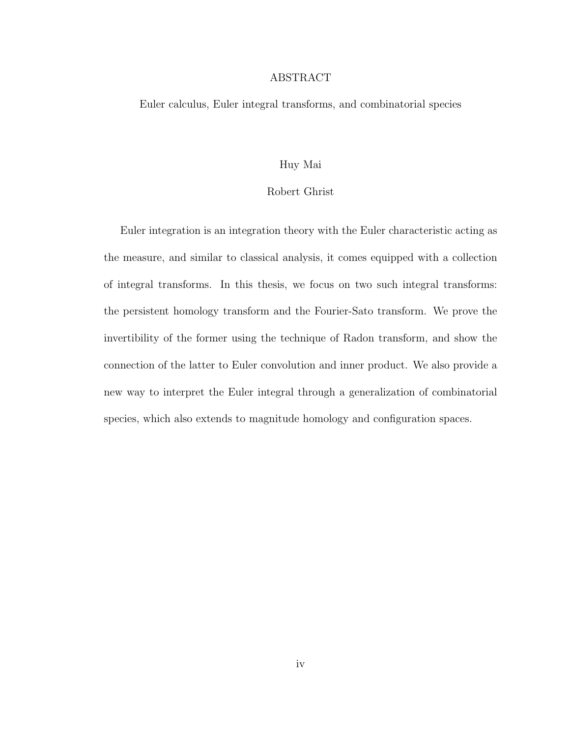### ABSTRACT

Euler calculus, Euler integral transforms, and combinatorial species

#### Huy Mai

### Robert Ghrist

Euler integration is an integration theory with the Euler characteristic acting as the measure, and similar to classical analysis, it comes equipped with a collection of integral transforms. In this thesis, we focus on two such integral transforms: the persistent homology transform and the Fourier-Sato transform. We prove the invertibility of the former using the technique of Radon transform, and show the connection of the latter to Euler convolution and inner product. We also provide a new way to interpret the Euler integral through a generalization of combinatorial species, which also extends to magnitude homology and configuration spaces.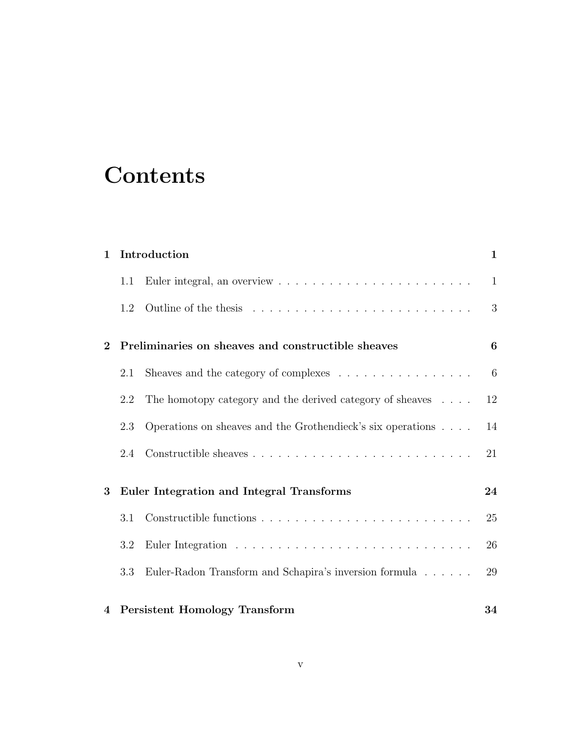## **Contents**

| $\mathbf{1}$   |     | Introduction                                                                                                                                                                                                                                                                                                                                                                              | 1  |
|----------------|-----|-------------------------------------------------------------------------------------------------------------------------------------------------------------------------------------------------------------------------------------------------------------------------------------------------------------------------------------------------------------------------------------------|----|
|                | 1.1 |                                                                                                                                                                                                                                                                                                                                                                                           | 1  |
|                | 1.2 |                                                                                                                                                                                                                                                                                                                                                                                           | 3  |
| $\bf{2}$       |     | Preliminaries on sheaves and constructible sheaves                                                                                                                                                                                                                                                                                                                                        | 6  |
|                | 2.1 | Sheaves and the category of complexes $\hphantom{a} \hphantom{a} \hphantom{a} \hphantom{a} \hphantom{a} \hphantom{a} \hphantom{a} \hphantom{a} \hphantom{a} \hphantom{a} \hphantom{a} \hphantom{a} \hphantom{a} \hphantom{a} \hphantom{a} \hphantom{a} \hphantom{a} \hphantom{a} \hphantom{a} \hphantom{a} \hphantom{a} \hphantom{a} \hphantom{a} \hphantom{a} \hphantom{a} \hphantom{a}$ | 6  |
|                | 2.2 | The homotopy category and the derived category of sheaves $\ldots$ .                                                                                                                                                                                                                                                                                                                      | 12 |
|                | 2.3 | Operations on sheaves and the Grothendieck's six operations                                                                                                                                                                                                                                                                                                                               | 14 |
|                | 2.4 |                                                                                                                                                                                                                                                                                                                                                                                           | 21 |
| 3              |     | Euler Integration and Integral Transforms                                                                                                                                                                                                                                                                                                                                                 | 24 |
|                | 3.1 |                                                                                                                                                                                                                                                                                                                                                                                           | 25 |
|                | 3.2 |                                                                                                                                                                                                                                                                                                                                                                                           | 26 |
|                | 3.3 | Euler-Radon Transform and Schapira's inversion formula                                                                                                                                                                                                                                                                                                                                    | 29 |
| $\overline{4}$ |     | <b>Persistent Homology Transform</b>                                                                                                                                                                                                                                                                                                                                                      | 34 |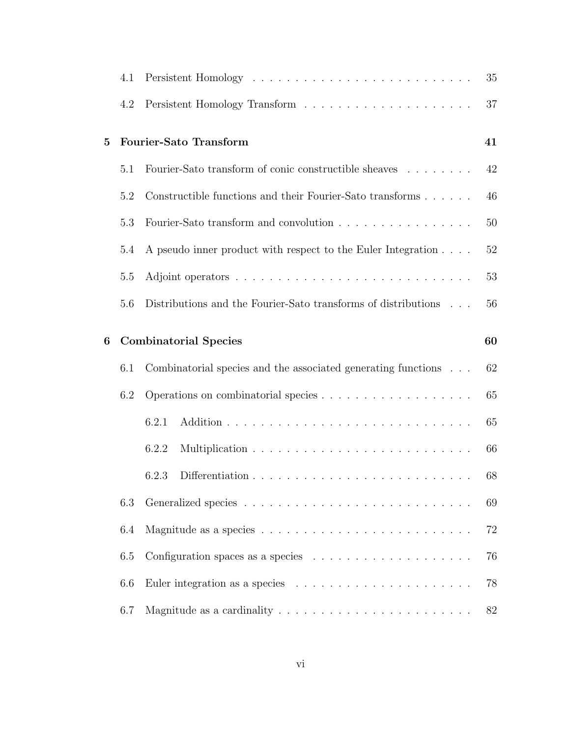|          | 4.1 |                                                                               | 35 |
|----------|-----|-------------------------------------------------------------------------------|----|
|          | 4.2 |                                                                               | 37 |
| $\bf{5}$ |     | Fourier-Sato Transform                                                        | 41 |
|          | 5.1 | Fourier-Sato transform of conic constructible sheaves $\ldots \ldots \ldots$  | 42 |
|          | 5.2 | Constructible functions and their Fourier-Sato transforms                     | 46 |
|          | 5.3 | Fourier-Sato transform and convolution                                        | 50 |
|          | 5.4 | A pseudo inner product with respect to the Euler Integration                  | 52 |
|          | 5.5 |                                                                               | 53 |
|          | 5.6 | Distributions and the Fourier-Sato transforms of distributions                | 56 |
| 6        |     | <b>Combinatorial Species</b>                                                  | 60 |
|          | 6.1 | Combinatorial species and the associated generating functions                 | 62 |
|          | 6.2 |                                                                               | 65 |
|          |     | 6.2.1                                                                         | 65 |
|          |     | 6.2.2                                                                         | 66 |
|          |     | 6.2.3                                                                         | 68 |
|          | 6.3 |                                                                               | 69 |
|          | 6.4 |                                                                               | 72 |
|          | 6.5 | Configuration spaces as a species $\ldots \ldots \ldots \ldots \ldots \ldots$ | 76 |
|          | 6.6 |                                                                               | 78 |
|          | 6.7 |                                                                               | 82 |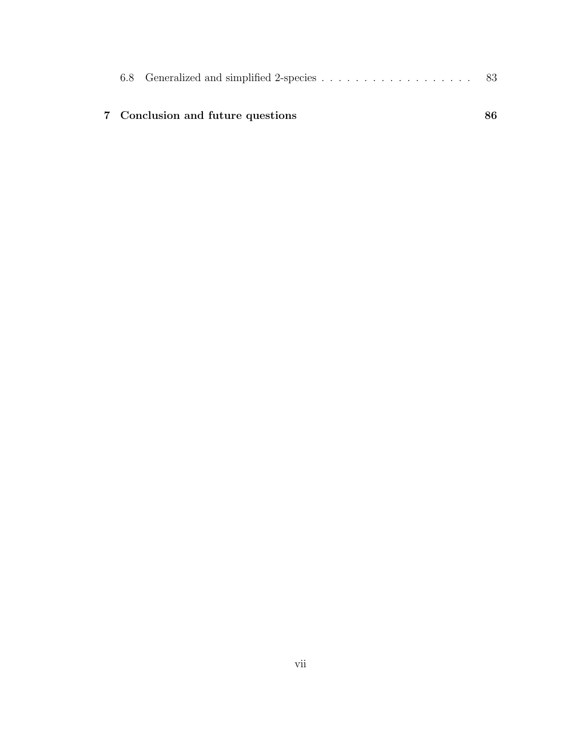|  | 7 Conclusion and future questions |  |
|--|-----------------------------------|--|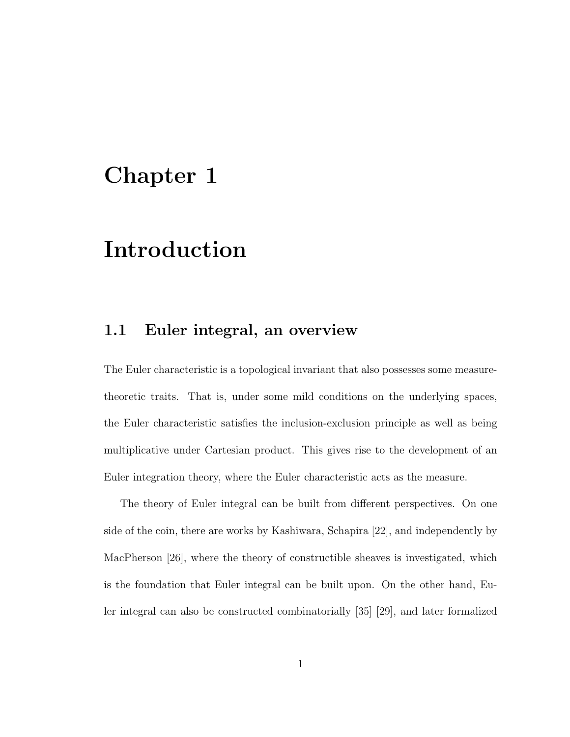## Chapter 1

## Introduction

### 1.1 Euler integral, an overview

The Euler characteristic is a topological invariant that also possesses some measuretheoretic traits. That is, under some mild conditions on the underlying spaces, the Euler characteristic satisfies the inclusion-exclusion principle as well as being multiplicative under Cartesian product. This gives rise to the development of an Euler integration theory, where the Euler characteristic acts as the measure.

The theory of Euler integral can be built from different perspectives. On one side of the coin, there are works by Kashiwara, Schapira [22], and independently by MacPherson [26], where the theory of constructible sheaves is investigated, which is the foundation that Euler integral can be built upon. On the other hand, Euler integral can also be constructed combinatorially [35] [29], and later formalized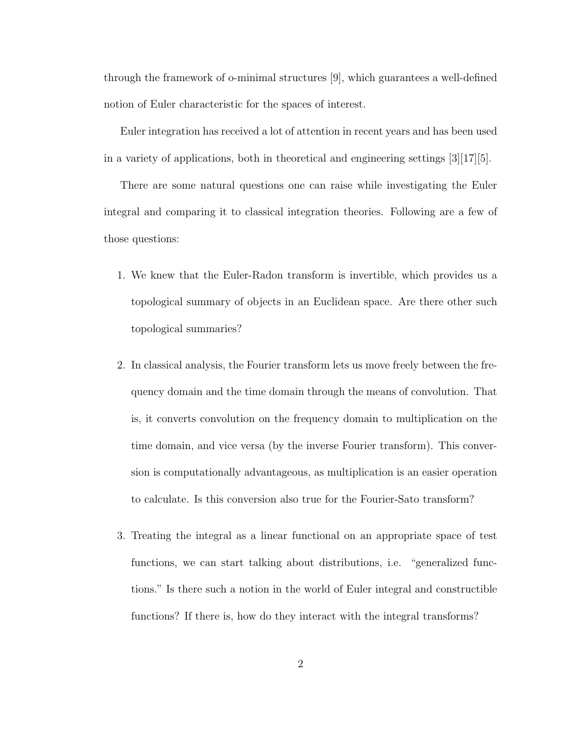through the framework of o-minimal structures [9], which guarantees a well-defined notion of Euler characteristic for the spaces of interest.

Euler integration has received a lot of attention in recent years and has been used in a variety of applications, both in theoretical and engineering settings  $[3][17][5]$ .

There are some natural questions one can raise while investigating the Euler integral and comparing it to classical integration theories. Following are a few of those questions:

- 1. We knew that the Euler-Radon transform is invertible, which provides us a topological summary of objects in an Euclidean space. Are there other such topological summaries?
- 2. In classical analysis, the Fourier transform lets us move freely between the frequency domain and the time domain through the means of convolution. That is, it converts convolution on the frequency domain to multiplication on the time domain, and vice versa (by the inverse Fourier transform). This conversion is computationally advantageous, as multiplication is an easier operation to calculate. Is this conversion also true for the Fourier-Sato transform?
- 3. Treating the integral as a linear functional on an appropriate space of test functions, we can start talking about distributions, i.e. "generalized functions." Is there such a notion in the world of Euler integral and constructible functions? If there is, how do they interact with the integral transforms?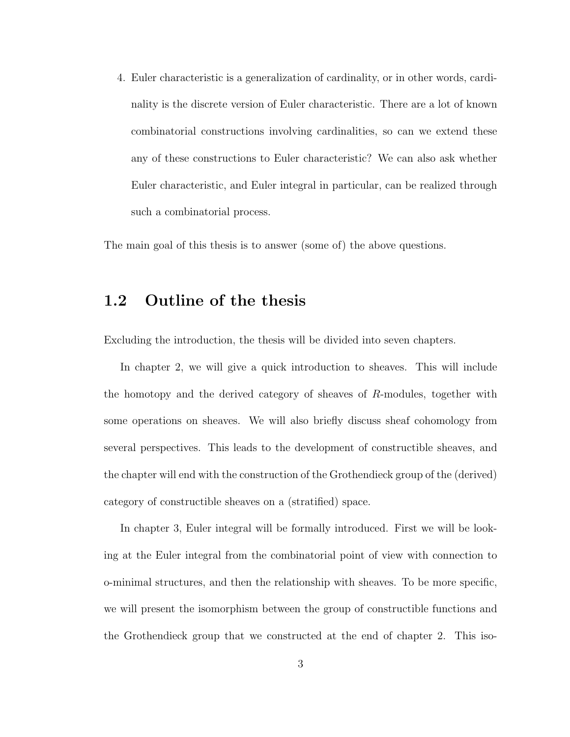4. Euler characteristic is a generalization of cardinality, or in other words, cardinality is the discrete version of Euler characteristic. There are a lot of known combinatorial constructions involving cardinalities, so can we extend these any of these constructions to Euler characteristic? We can also ask whether Euler characteristic, and Euler integral in particular, can be realized through such a combinatorial process.

The main goal of this thesis is to answer (some of) the above questions.

### 1.2 Outline of the thesis

Excluding the introduction, the thesis will be divided into seven chapters.

In chapter 2, we will give a quick introduction to sheaves. This will include the homotopy and the derived category of sheaves of  $R$ -modules, together with some operations on sheaves. We will also briefly discuss sheaf cohomology from several perspectives. This leads to the development of constructible sheaves, and the chapter will end with the construction of the Grothendieck group of the (derived) category of constructible sheaves on a (stratified) space.

In chapter 3, Euler integral will be formally introduced. First we will be looking at the Euler integral from the combinatorial point of view with connection to o-minimal structures, and then the relationship with sheaves. To be more specific, we will present the isomorphism between the group of constructible functions and the Grothendieck group that we constructed at the end of chapter 2. This iso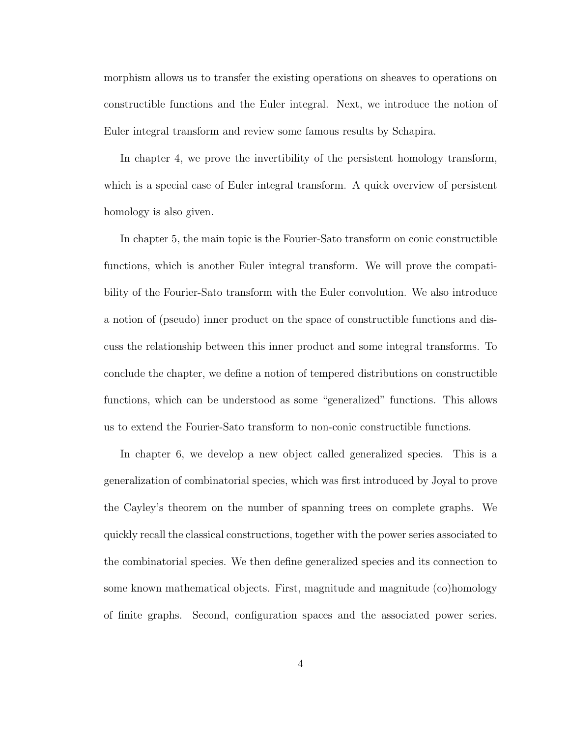morphism allows us to transfer the existing operations on sheaves to operations on constructible functions and the Euler integral. Next, we introduce the notion of Euler integral transform and review some famous results by Schapira.

In chapter 4, we prove the invertibility of the persistent homology transform, which is a special case of Euler integral transform. A quick overview of persistent homology is also given.

In chapter 5, the main topic is the Fourier-Sato transform on conic constructible functions, which is another Euler integral transform. We will prove the compatibility of the Fourier-Sato transform with the Euler convolution. We also introduce a notion of (pseudo) inner product on the space of constructible functions and discuss the relationship between this inner product and some integral transforms. To conclude the chapter, we define a notion of tempered distributions on constructible functions, which can be understood as some "generalized" functions. This allows us to extend the Fourier-Sato transform to non-conic constructible functions.

In chapter 6, we develop a new object called generalized species. This is a generalization of combinatorial species, which was first introduced by Joyal to prove the Cayley's theorem on the number of spanning trees on complete graphs. We quickly recall the classical constructions, together with the power series associated to the combinatorial species. We then define generalized species and its connection to some known mathematical objects. First, magnitude and magnitude (co)homology of finite graphs. Second, configuration spaces and the associated power series.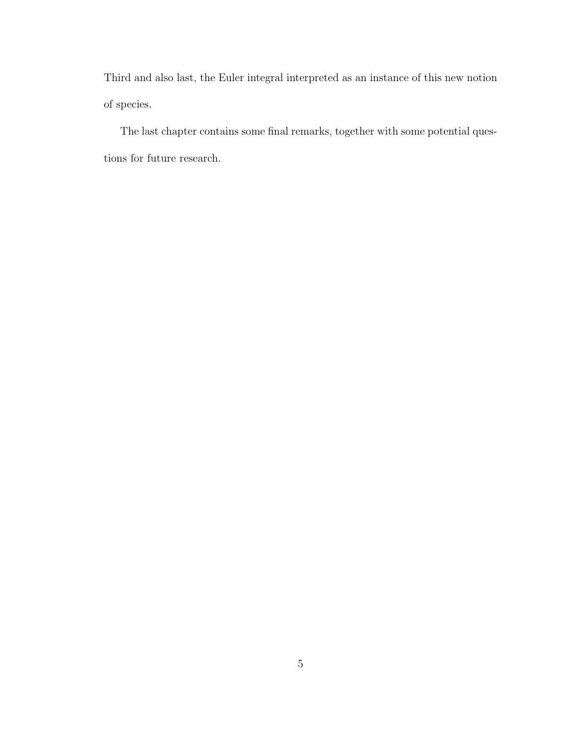Third and also last, the Euler integral interpreted as an instance of this new notion of species.

The last chapter contains some final remarks, together with some potential questions for future research.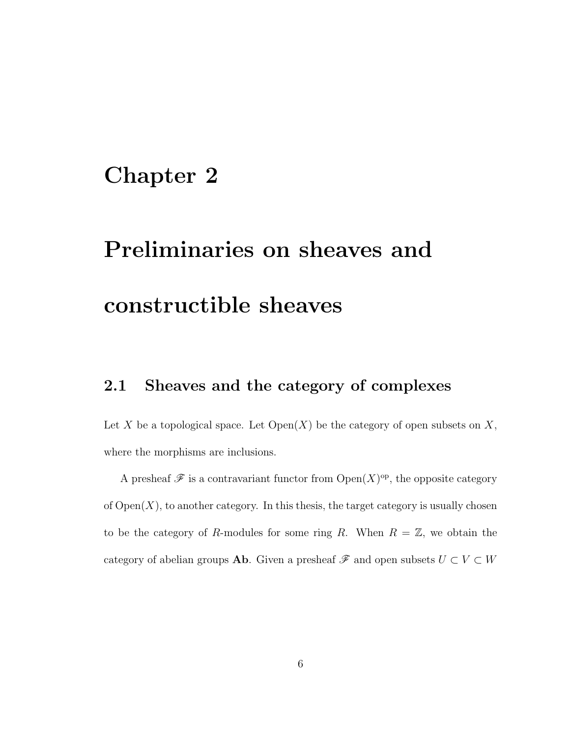### Chapter 2

# Preliminaries on sheaves and constructible sheaves

### 2.1 Sheaves and the category of complexes

Let X be a topological space. Let  $Open(X)$  be the category of open subsets on X, where the morphisms are inclusions.

A presheaf  $\mathscr F$  is a contravariant functor from  $\mathrm{Open}(X)^{\mathrm{op}}$ , the opposite category of  $Open(X)$ , to another category. In this thesis, the target category is usually chosen to be the category of R-modules for some ring R. When  $R = \mathbb{Z}$ , we obtain the category of abelian groups **Ab**. Given a presheaf  $\mathscr F$  and open subsets  $U \subset V \subset W$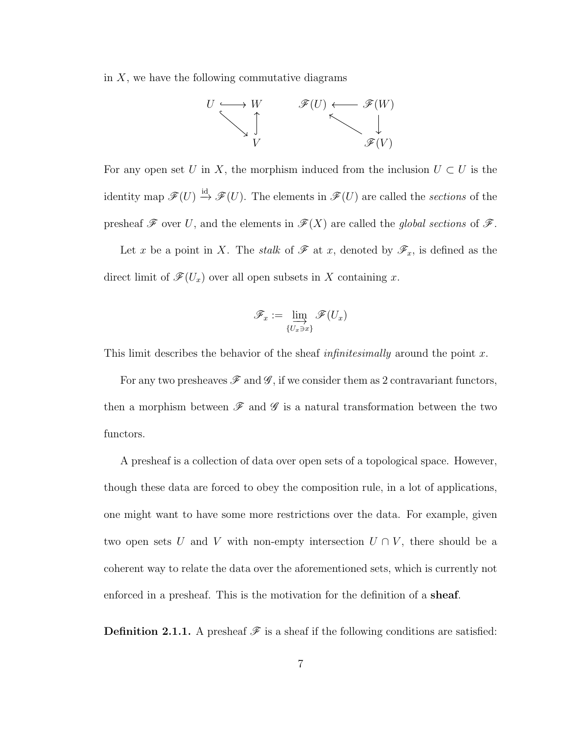in  $X$ , we have the following commutative diagrams



For any open set U in X, the morphism induced from the inclusion  $U \subset U$  is the identity map  $\mathscr{F}(U) \stackrel{\text{id}}{\rightarrow} \mathscr{F}(U)$ . The elements in  $\mathscr{F}(U)$  are called the sections of the presheaf  $\mathscr F$  over U, and the elements in  $\mathscr F(X)$  are called the global sections of  $\mathscr F$ .

Let x be a point in X. The stalk of  $\mathscr F$  at x, denoted by  $\mathscr F_x$ , is defined as the direct limit of  $\mathscr{F}(U_x)$  over all open subsets in X containing x.

$$
\mathscr{F}_x := \varinjlim_{\{U_x \ni x\}} \mathscr{F}(U_x)
$$

This limit describes the behavior of the sheaf *infinitesimally* around the point  $x$ .

For any two presheaves  $\mathscr F$  and  $\mathscr G$ , if we consider them as 2 contravariant functors, then a morphism between  $\mathscr F$  and  $\mathscr G$  is a natural transformation between the two functors.

A presheaf is a collection of data over open sets of a topological space. However, though these data are forced to obey the composition rule, in a lot of applications, one might want to have some more restrictions over the data. For example, given two open sets U and V with non-empty intersection  $U \cap V$ , there should be a coherent way to relate the data over the aforementioned sets, which is currently not enforced in a presheaf. This is the motivation for the definition of a sheaf.

**Definition 2.1.1.** A presheaf  $\mathcal{F}$  is a sheaf if the following conditions are satisfied: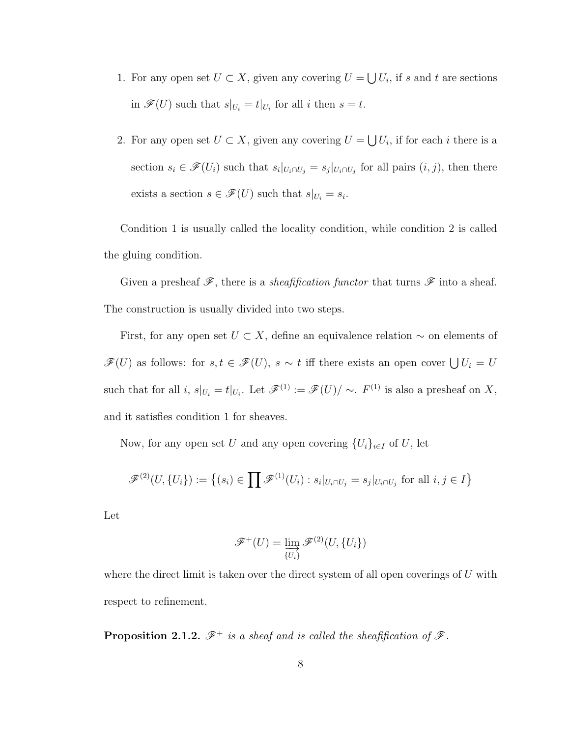- 1. For any open set  $U \subset X$ , given any covering  $U = \bigcup U_i$ , if s and t are sections in  $\mathscr{F}(U)$  such that  $s|_{U_i} = t|_{U_i}$  for all i then  $s = t$ .
- 2. For any open set  $U \subset X$ , given any covering  $U = \bigcup U_i$ , if for each i there is a section  $s_i \in \mathscr{F}(U_i)$  such that  $s_i|_{U_i \cap U_j} = s_j|_{U_i \cap U_j}$  for all pairs  $(i, j)$ , then there exists a section  $s \in \mathscr{F}(U)$  such that  $s|_{U_i} = s_i$ .

Condition 1 is usually called the locality condition, while condition 2 is called the gluing condition.

Given a presheaf  $\mathscr{F}$ , there is a *sheafification functor* that turns  $\mathscr{F}$  into a sheaf. The construction is usually divided into two steps.

First, for any open set  $U \subset X$ , define an equivalence relation  $\sim$  on elements of  $\mathscr{F}(U)$  as follows: for  $s, t \in \mathscr{F}(U)$ ,  $s \sim t$  iff there exists an open cover  $\bigcup U_i = U$ such that for all i,  $s|_{U_i} = t|_{U_i}$ . Let  $\mathscr{F}^{(1)} := \mathscr{F}(U)/\sim$ .  $F^{(1)}$  is also a presheaf on X, and it satisfies condition 1 for sheaves.

Now, for any open set U and any open covering  $\{U_i\}_{i\in I}$  of U, let

$$
\mathscr{F}^{(2)}(U, \{U_i\}) := \left\{ (s_i) \in \prod \mathscr{F}^{(1)}(U_i) : s_i|_{U_i \cap U_j} = s_j|_{U_i \cap U_j} \text{ for all } i, j \in I \right\}
$$

Let

$$
\mathscr{F}^+(U) = \varinjlim_{U_i} \mathscr{F}^{(2)}(U, \{U_i\})
$$

where the direct limit is taken over the direct system of all open coverings of  $U$  with respect to refinement.

**Proposition 2.1.2.**  $\mathscr{F}^+$  is a sheaf and is called the sheafification of  $\mathscr{F}$ .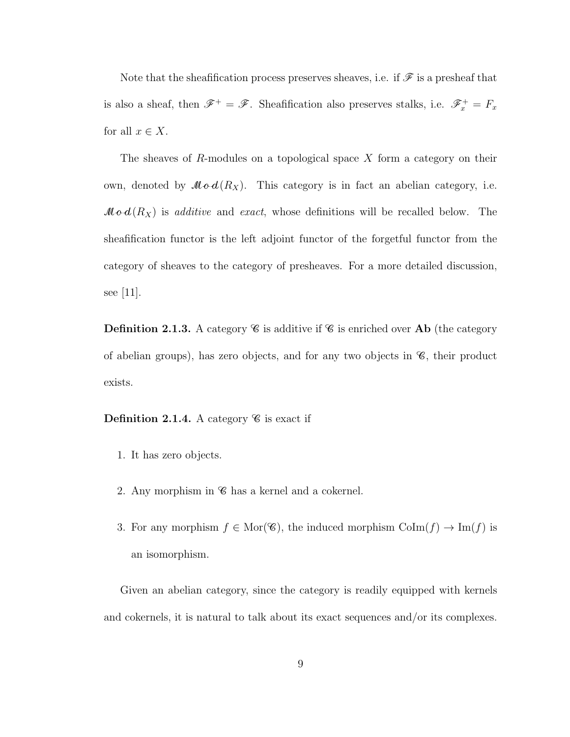Note that the sheafification process preserves sheaves, i.e. if  $\mathscr F$  is a presheaf that is also a sheaf, then  $\mathscr{F}^+ = \mathscr{F}$ . Sheafification also preserves stalks, i.e.  $\mathscr{F}^+_{x} = F_x$ for all  $x \in X$ .

The sheaves of R-modules on a topological space  $X$  form a category on their own, denoted by  $\mathcal{M}\circ d(R_X)$ . This category is in fact an abelian category, i.e.  $\mathcal{M} \circ d(R_X)$  is additive and exact, whose definitions will be recalled below. The sheafification functor is the left adjoint functor of the forgetful functor from the category of sheaves to the category of presheaves. For a more detailed discussion, see [11].

**Definition 2.1.3.** A category  $\mathscr C$  is additive if  $\mathscr C$  is enriched over **Ab** (the category of abelian groups), has zero objects, and for any two objects in  $\mathscr{C}$ , their product exists.

### **Definition 2.1.4.** A category  $\mathscr{C}$  is exact if

- 1. It has zero objects.
- 2. Any morphism in  $\mathscr C$  has a kernel and a cokernel.
- 3. For any morphism  $f \in \text{Mor}(\mathscr{C})$ , the induced morphism  $\text{CoIm}(f) \to \text{Im}(f)$  is an isomorphism.

Given an abelian category, since the category is readily equipped with kernels and cokernels, it is natural to talk about its exact sequences and/or its complexes.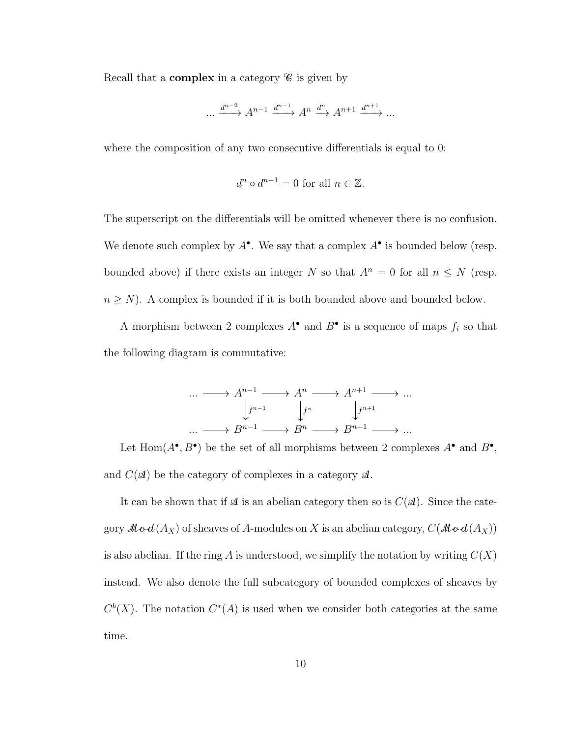Recall that a **complex** in a category  $\mathscr{C}$  is given by

$$
\dots \xrightarrow{d^{n-2}} A^{n-1} \xrightarrow{d^{n-1}} A^n \xrightarrow{d^n} A^{n+1} \xrightarrow{d^{n+1}} \dots
$$

where the composition of any two consecutive differentials is equal to 0:

$$
d^n \circ d^{n-1} = 0 \text{ for all } n \in \mathbb{Z}.
$$

The superscript on the differentials will be omitted whenever there is no confusion. We denote such complex by  $A^{\bullet}$ . We say that a complex  $A^{\bullet}$  is bounded below (resp. bounded above) if there exists an integer N so that  $A^n = 0$  for all  $n \leq N$  (resp.  $n \geq N$ ). A complex is bounded if it is both bounded above and bounded below.

A morphism between 2 complexes  $A^{\bullet}$  and  $B^{\bullet}$  is a sequence of maps  $f_i$  so that the following diagram is commutative:

$$
\cdots \longrightarrow A^{n-1} \longrightarrow A^n \longrightarrow A^{n+1} \longrightarrow \cdots
$$

$$
\downarrow f^{n-1} \qquad \downarrow f^n \qquad \downarrow f^{n+1}
$$

$$
\cdots \longrightarrow B^{n-1} \longrightarrow B^n \longrightarrow B^{n+1} \longrightarrow \cdots
$$

Let Hom $(A^{\bullet}, B^{\bullet})$  be the set of all morphisms between 2 complexes  $A^{\bullet}$  and  $B^{\bullet}$ , and  $C(\mathcal{A})$  be the category of complexes in a category  $\mathcal{A}$ .

It can be shown that if  $\mathcal A$  is an abelian category then so is  $C(\mathcal A)$ . Since the category  $\mathcal{M} \circ d(A_X)$  of sheaves of A-modules on X is an abelian category,  $C(\mathcal{M} \circ d(A_X))$ is also abelian. If the ring A is understood, we simplify the notation by writing  $C(X)$ instead. We also denote the full subcategory of bounded complexes of sheaves by  $C<sup>b</sup>(X)$ . The notation  $C<sup>*</sup>(A)$  is used when we consider both categories at the same time.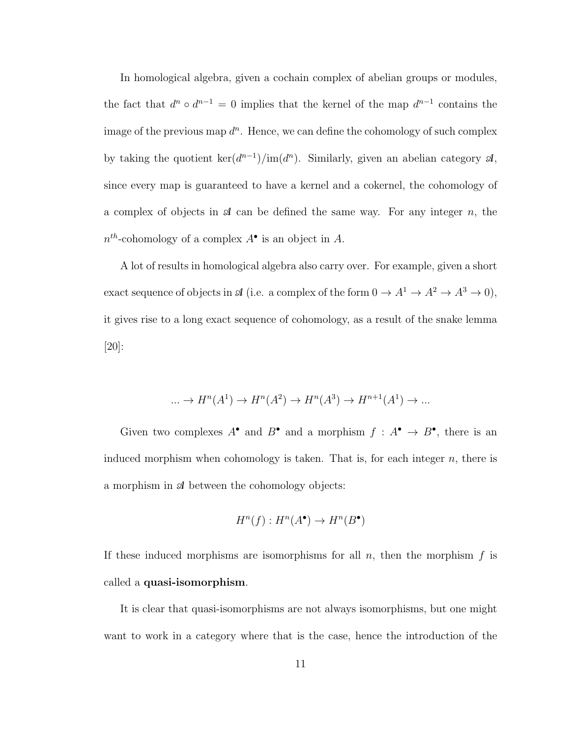In homological algebra, given a cochain complex of abelian groups or modules, the fact that  $d^n \circ d^{n-1} = 0$  implies that the kernel of the map  $d^{n-1}$  contains the image of the previous map  $d^n$ . Hence, we can define the cohomology of such complex by taking the quotient  $\ker(d^{n-1})/im(d^n)$ . Similarly, given an abelian category  $\mathcal{A}$ , since every map is guaranteed to have a kernel and a cokernel, the cohomology of a complex of objects in  $\mathcal A$  can be defined the same way. For any integer n, the  $n^{th}$ -cohomology of a complex  $A^{\bullet}$  is an object in A.

A lot of results in homological algebra also carry over. For example, given a short exact sequence of objects in  $\mathcal A$  (i.e. a complex of the form  $0 \to A^1 \to A^2 \to A^3 \to 0$ ), it gives rise to a long exact sequence of cohomology, as a result of the snake lemma [20]:

$$
\dots \to H^n(A^1) \to H^n(A^2) \to H^n(A^3) \to H^{n+1}(A^1) \to \dots
$$

Given two complexes  $A^{\bullet}$  and  $B^{\bullet}$  and a morphism  $f : A^{\bullet} \to B^{\bullet}$ , there is an induced morphism when cohomology is taken. That is, for each integer  $n$ , there is a morphism in  $\mathcal A$  between the cohomology objects:

$$
H^n(f) : H^n(A^{\bullet}) \to H^n(B^{\bullet})
$$

If these induced morphisms are isomorphisms for all  $n$ , then the morphism  $f$  is called a quasi-isomorphism.

It is clear that quasi-isomorphisms are not always isomorphisms, but one might want to work in a category where that is the case, hence the introduction of the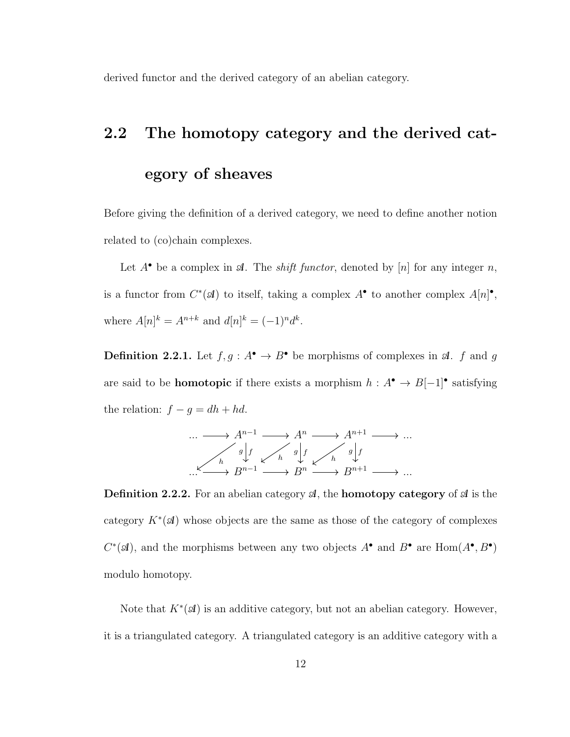derived functor and the derived category of an abelian category.

### 2.2 The homotopy category and the derived cat-

### egory of sheaves

Before giving the definition of a derived category, we need to define another notion related to (co)chain complexes.

Let  $A^{\bullet}$  be a complex in  $\mathcal{A}$ . The *shift functor*, denoted by [n] for any integer n, is a functor from  $C^*(\mathcal{A})$  to itself, taking a complex  $A^{\bullet}$  to another complex  $A[n]^{\bullet}$ , where  $A[n]^{k} = A^{n+k}$  and  $d[n]^{k} = (-1)^{n} d^{k}$ .

**Definition 2.2.1.** Let  $f, g: A^{\bullet} \to B^{\bullet}$  be morphisms of complexes in  $\mathcal{A}$ . f and g are said to be **homotopic** if there exists a morphism  $h : A^{\bullet} \to B[-1]^{\bullet}$  satisfying the relation:  $f - g = dh + hd$ .

$$
\cdots \longrightarrow A^{n-1} \longrightarrow A^n \longrightarrow A^{n+1} \longrightarrow \cdots
$$
  
\n
$$
\begin{array}{c}\n g \downarrow_f \\
h \downarrow_f \\
\downarrow_f \\
B^{n-1} \longrightarrow B^n \longrightarrow B^{n} \longrightarrow B^{n+1} \longrightarrow \cdots\n\end{array}
$$

**Definition 2.2.2.** For an abelian category  $\mathcal{A}$ , the **homotopy category** of  $\mathcal{A}$  is the category  $K^*(\mathcal{A})$  whose objects are the same as those of the category of complexes  $C^*(\mathcal{A})$ , and the morphisms between any two objects  $A^{\bullet}$  and  $B^{\bullet}$  are  $\text{Hom}(A^{\bullet}, B^{\bullet})$ modulo homotopy.

Note that  $K^*(\mathcal{A})$  is an additive category, but not an abelian category. However, it is a triangulated category. A triangulated category is an additive category with a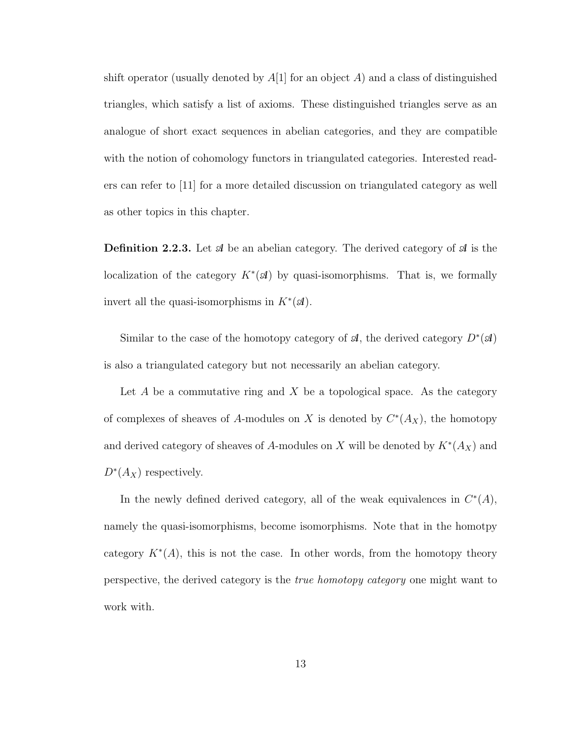shift operator (usually denoted by  $A[1]$  for an object A) and a class of distinguished triangles, which satisfy a list of axioms. These distinguished triangles serve as an analogue of short exact sequences in abelian categories, and they are compatible with the notion of cohomology functors in triangulated categories. Interested readers can refer to [11] for a more detailed discussion on triangulated category as well as other topics in this chapter.

**Definition 2.2.3.** Let  $\mathcal{A}$  be an abelian category. The derived category of  $\mathcal{A}$  is the localization of the category  $K^*(\mathcal{A})$  by quasi-isomorphisms. That is, we formally invert all the quasi-isomorphisms in  $K^*(\mathcal{A})$ .

Similar to the case of the homotopy category of  $\mathcal{A}$ , the derived category  $D^*(\mathcal{A})$ is also a triangulated category but not necessarily an abelian category.

Let  $A$  be a commutative ring and  $X$  be a topological space. As the category of complexes of sheaves of A-modules on X is denoted by  $C^*(A_X)$ , the homotopy and derived category of sheaves of A-modules on X will be denoted by  $K^*(A_X)$  and  $D^*(A_X)$  respectively.

In the newly defined derived category, all of the weak equivalences in  $C^*(A)$ , namely the quasi-isomorphisms, become isomorphisms. Note that in the homotpy category  $K^*(A)$ , this is not the case. In other words, from the homotopy theory perspective, the derived category is the true homotopy category one might want to work with.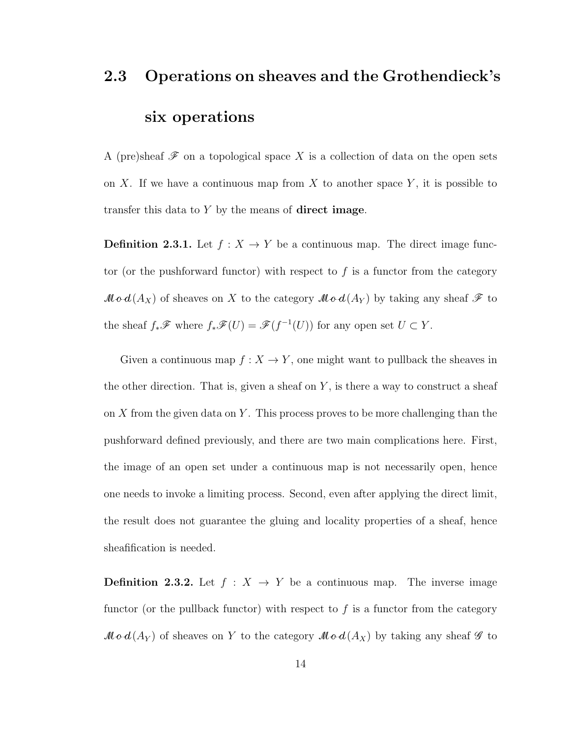## 2.3 Operations on sheaves and the Grothendieck's six operations

A (pre)sheaf  $\mathscr F$  on a topological space X is a collection of data on the open sets on X. If we have a continuous map from X to another space  $Y$ , it is possible to transfer this data to  $Y$  by the means of **direct image**.

**Definition 2.3.1.** Let  $f : X \to Y$  be a continuous map. The direct image functor (or the pushforward functor) with respect to  $f$  is a functor from the category  $\mathcal{M}\mathcal{o}\mathcal{A}(A_X)$  of sheaves on X to the category  $\mathcal{M}\mathcal{o}\mathcal{A}(A_Y)$  by taking any sheaf  $\mathcal F$  to the sheaf  $f_*\mathscr{F}$  where  $f_*\mathscr{F}(U) = \mathscr{F}(f^{-1}(U))$  for any open set  $U \subset Y$ .

Given a continuous map  $f: X \to Y$ , one might want to pullback the sheaves in the other direction. That is, given a sheaf on  $Y$ , is there a way to construct a sheaf on  $X$  from the given data on  $Y$ . This process proves to be more challenging than the pushforward defined previously, and there are two main complications here. First, the image of an open set under a continuous map is not necessarily open, hence one needs to invoke a limiting process. Second, even after applying the direct limit, the result does not guarantee the gluing and locality properties of a sheaf, hence sheafification is needed.

**Definition 2.3.2.** Let  $f : X \to Y$  be a continuous map. The inverse image functor (or the pullback functor) with respect to  $f$  is a functor from the category  $\mathcal{M}\boldsymbol{\circ} d(A_Y)$  of sheaves on Y to the category  $\mathcal{M}\boldsymbol{\circ} d(A_X)$  by taking any sheaf  $\mathcal G$  to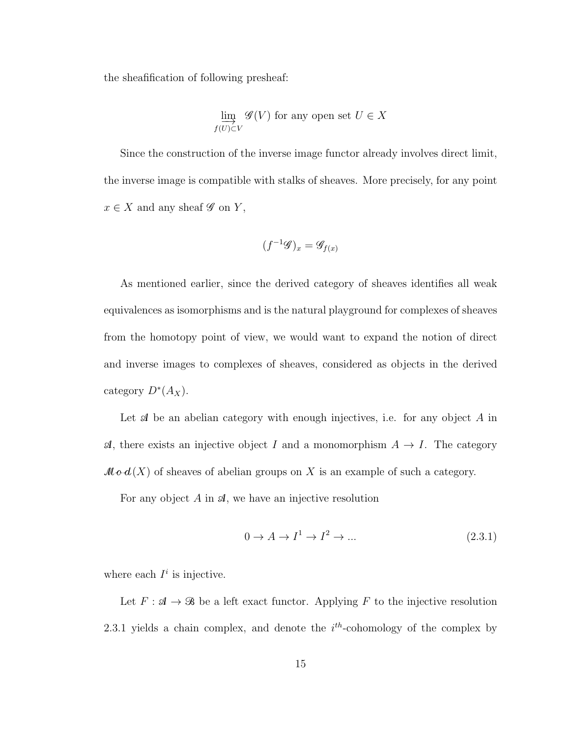the sheafification of following presheaf:

$$
\varinjlim_{f(U)\subset V} \mathscr{G}(V)
$$
 for any open set  $U \in X$ 

Since the construction of the inverse image functor already involves direct limit, the inverse image is compatible with stalks of sheaves. More precisely, for any point  $x \in X$  and any sheaf  $\mathscr G$  on  $Y$ ,

$$
(f^{-1}\mathscr{G})_x = \mathscr{G}_{f(x)}
$$

As mentioned earlier, since the derived category of sheaves identifies all weak equivalences as isomorphisms and is the natural playground for complexes of sheaves from the homotopy point of view, we would want to expand the notion of direct and inverse images to complexes of sheaves, considered as objects in the derived category  $D^*(A_X)$ .

Let  $A$  be an abelian category with enough injectives, i.e. for any object  $A$  in  $\mathcal{A}$ , there exists an injective object I and a monomorphism  $A \to I$ . The category  $\mathcal{M}\boldsymbol{\circ} d(X)$  of sheaves of abelian groups on X is an example of such a category.

For any object  $A$  in  $A$ , we have an injective resolution

$$
0 \to A \to I^1 \to I^2 \to \dots \tag{2.3.1}
$$

where each  $I^i$  is injective.

Let  $F: A \to \mathcal{B}$  be a left exact functor. Applying F to the injective resolution 2.3.1 yields a chain complex, and denote the  $i<sup>th</sup>$ -cohomology of the complex by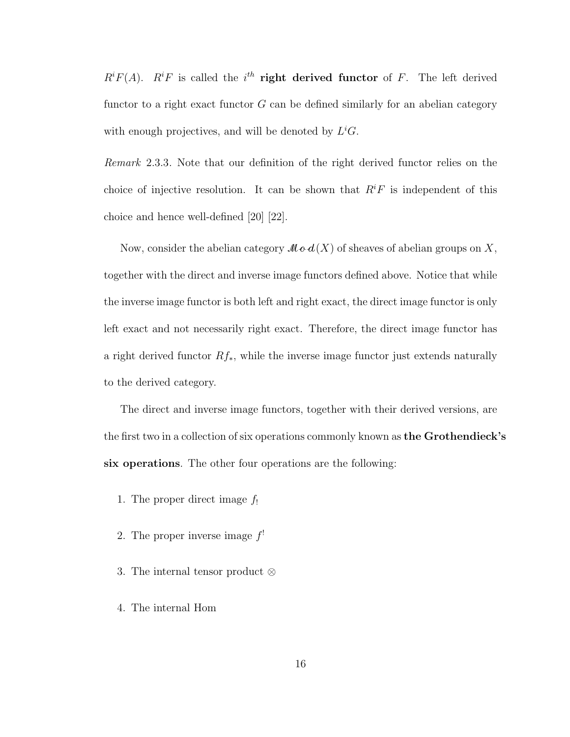$R<sup>i</sup>F(A)$ .  $R<sup>i</sup>F$  is called the i<sup>th</sup> right derived functor of F. The left derived functor to a right exact functor  $G$  can be defined similarly for an abelian category with enough projectives, and will be denoted by  $L^i$ G.

Remark 2.3.3. Note that our definition of the right derived functor relies on the choice of injective resolution. It can be shown that  $R<sup>i</sup>F$  is independent of this choice and hence well-defined [20] [22].

Now, consider the abelian category  $\mathcal{M}\boldsymbol{\circ} d(X)$  of sheaves of abelian groups on X, together with the direct and inverse image functors defined above. Notice that while the inverse image functor is both left and right exact, the direct image functor is only left exact and not necessarily right exact. Therefore, the direct image functor has a right derived functor  $Rf_*$ , while the inverse image functor just extends naturally to the derived category.

The direct and inverse image functors, together with their derived versions, are the first two in a collection of six operations commonly known as **the Grothendieck's** six operations. The other four operations are the following:

- 1. The proper direct image  $f_!$
- 2. The proper inverse image  $f'$
- 3. The internal tensor product ⊗
- 4. The internal Hom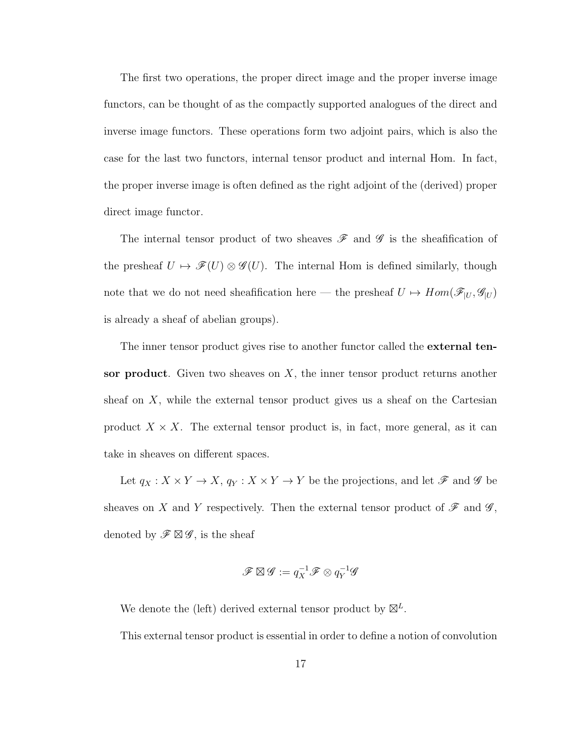The first two operations, the proper direct image and the proper inverse image functors, can be thought of as the compactly supported analogues of the direct and inverse image functors. These operations form two adjoint pairs, which is also the case for the last two functors, internal tensor product and internal Hom. In fact, the proper inverse image is often defined as the right adjoint of the (derived) proper direct image functor.

The internal tensor product of two sheaves  $\mathscr F$  and  $\mathscr G$  is the sheafification of the presheaf  $U \mapsto \mathscr{F}(U) \otimes \mathscr{G}(U)$ . The internal Hom is defined similarly, though note that we do not need sheafification here — the presheaf  $U \mapsto Hom(\mathscr{F}_{|U}, \mathscr{G}_{|U})$ is already a sheaf of abelian groups).

The inner tensor product gives rise to another functor called the **external ten**sor product. Given two sheaves on  $X$ , the inner tensor product returns another sheaf on  $X$ , while the external tensor product gives us a sheaf on the Cartesian product  $X \times X$ . The external tensor product is, in fact, more general, as it can take in sheaves on different spaces.

Let  $q_X: X \times Y \to X,$   $q_Y: X \times Y \to Y$  be the projections, and let  ${\mathscr{F}}$  and  ${\mathscr{G}}$  be sheaves on X and Y respectively. Then the external tensor product of  $\mathscr F$  and  $\mathscr G,$ denoted by  $\mathscr{F} \boxtimes \mathscr{G}$ , is the sheaf

$$
\mathscr{F} \boxtimes \mathscr{G} := q_X^{-1} \mathscr{F} \otimes q_Y^{-1} \mathscr{G}
$$

We denote the (left) derived external tensor product by  $\mathbb{Z}^L$ .

This external tensor product is essential in order to define a notion of convolution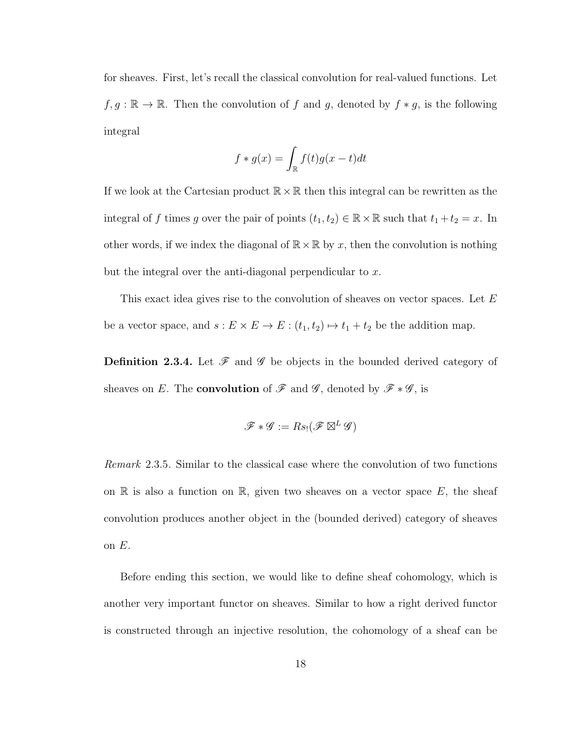for sheaves. First, let's recall the classical convolution for real-valued functions. Let  $f, g : \mathbb{R} \to \mathbb{R}$ . Then the convolution of f and g, denoted by  $f * g$ , is the following integral

$$
f * g(x) = \int_{\mathbb{R}} f(t)g(x - t)dt
$$

If we look at the Cartesian product  $\mathbb{R} \times \mathbb{R}$  then this integral can be rewritten as the integral of f times g over the pair of points  $(t_1, t_2) \in \mathbb{R} \times \mathbb{R}$  such that  $t_1 + t_2 = x$ . In other words, if we index the diagonal of  $\mathbb{R} \times \mathbb{R}$  by x, then the convolution is nothing but the integral over the anti-diagonal perpendicular to  $x$ .

This exact idea gives rise to the convolution of sheaves on vector spaces. Let E be a vector space, and  $s : E \times E \to E : (t_1, t_2) \mapsto t_1 + t_2$  be the addition map.

**Definition 2.3.4.** Let  $\mathscr F$  and  $\mathscr G$  be objects in the bounded derived category of sheaves on E. The **convolution** of  $\mathscr F$  and  $\mathscr G$ , denoted by  $\mathscr F * \mathscr G$ , is

$$
\mathscr{F}*\mathscr{G}:=Rs_!(\mathscr{F}\boxtimes^L\mathscr{G})
$$

Remark 2.3.5. Similar to the classical case where the convolution of two functions on  $\mathbb R$  is also a function on  $\mathbb R$ , given two sheaves on a vector space E, the sheaf convolution produces another object in the (bounded derived) category of sheaves on  $E$ .

Before ending this section, we would like to define sheaf cohomology, which is another very important functor on sheaves. Similar to how a right derived functor is constructed through an injective resolution, the cohomology of a sheaf can be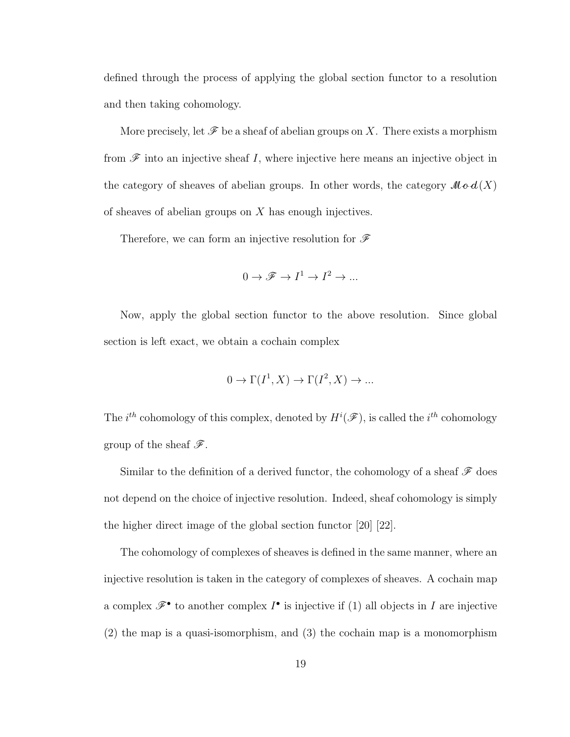defined through the process of applying the global section functor to a resolution and then taking cohomology.

More precisely, let  $\mathscr F$  be a sheaf of abelian groups on X. There exists a morphism from  $\mathscr F$  into an injective sheaf I, where injective here means an injective object in the category of sheaves of abelian groups. In other words, the category  $\mathcal{M}\mathbf{o} d(X)$ of sheaves of abelian groups on  $X$  has enough injectives.

Therefore, we can form an injective resolution for  $\mathscr F$ 

$$
0 \to \mathscr{F} \to I^1 \to I^2 \to \ldots
$$

Now, apply the global section functor to the above resolution. Since global section is left exact, we obtain a cochain complex

$$
0 \to \Gamma(I^1, X) \to \Gamma(I^2, X) \to \dots
$$

The  $i^{th}$  cohomology of this complex, denoted by  $H^i(\mathscr{F})$ , is called the  $i^{th}$  cohomology group of the sheaf  $\mathscr{F}$ .

Similar to the definition of a derived functor, the cohomology of a sheaf  $\mathscr F$  does not depend on the choice of injective resolution. Indeed, sheaf cohomology is simply the higher direct image of the global section functor [20] [22].

The cohomology of complexes of sheaves is defined in the same manner, where an injective resolution is taken in the category of complexes of sheaves. A cochain map a complex  $\mathscr{F}^{\bullet}$  to another complex  $I^{\bullet}$  is injective if (1) all objects in I are injective (2) the map is a quasi-isomorphism, and (3) the cochain map is a monomorphism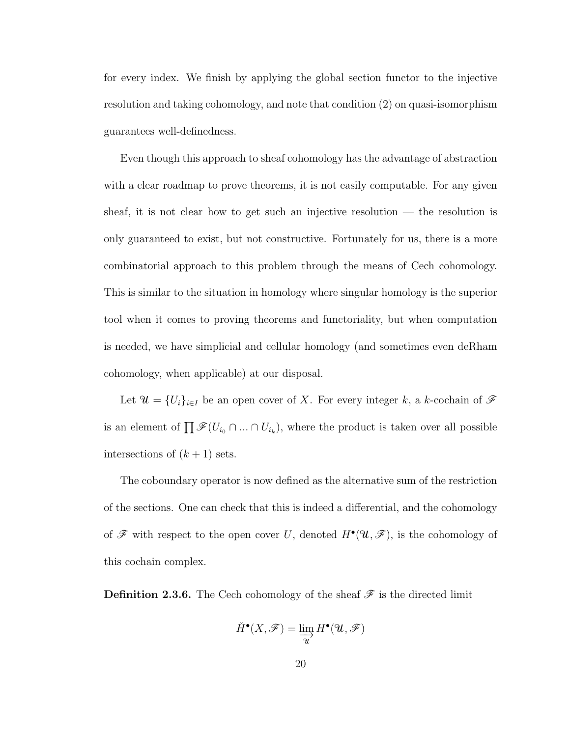for every index. We finish by applying the global section functor to the injective resolution and taking cohomology, and note that condition (2) on quasi-isomorphism guarantees well-definedness.

Even though this approach to sheaf cohomology has the advantage of abstraction with a clear roadmap to prove theorems, it is not easily computable. For any given sheaf, it is not clear how to get such an injective resolution — the resolution is only guaranteed to exist, but not constructive. Fortunately for us, there is a more combinatorial approach to this problem through the means of Cech cohomology. This is similar to the situation in homology where singular homology is the superior tool when it comes to proving theorems and functoriality, but when computation is needed, we have simplicial and cellular homology (and sometimes even deRham cohomology, when applicable) at our disposal.

Let  $\mathcal{U} = \{U_i\}_{i \in I}$  be an open cover of X. For every integer k, a k-cochain of  $\mathcal{F}$ is an element of  $\prod \mathscr{F}(U_{i_0} \cap ... \cap U_{i_k})$ , where the product is taken over all possible intersections of  $(k+1)$  sets.

The coboundary operator is now defined as the alternative sum of the restriction of the sections. One can check that this is indeed a differential, and the cohomology of  $\mathscr F$  with respect to the open cover U, denoted  $H^{\bullet}(\mathscr{U}, \mathscr F)$ , is the cohomology of this cochain complex.

**Definition 2.3.6.** The Cech cohomology of the sheaf  $\mathscr F$  is the directed limit

$$
\check{H}^\bullet(X,\mathscr{F})=\varinjlim_{\mathcal{U}}H^\bullet(\mathcal{U},\mathscr{F})
$$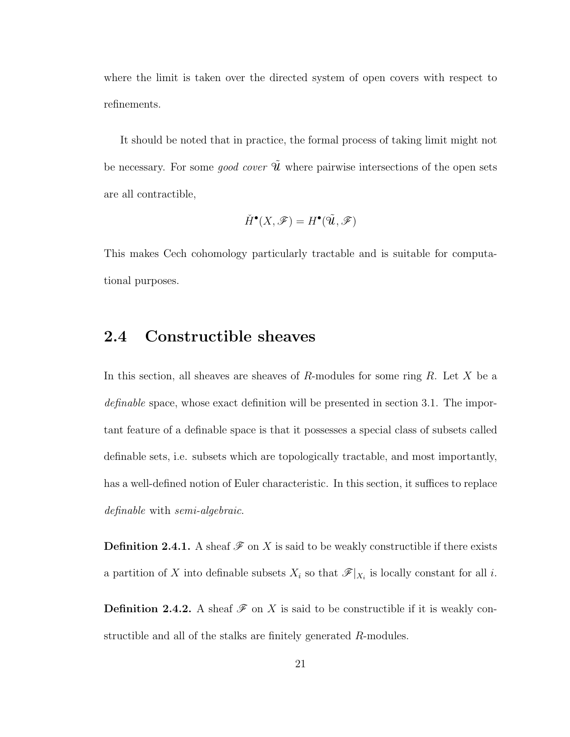where the limit is taken over the directed system of open covers with respect to refinements.

It should be noted that in practice, the formal process of taking limit might not be necessary. For some *good cover*  $\tilde{\mathcal{U}}$  where pairwise intersections of the open sets are all contractible,

$$
\check{H}^\bullet(X,\mathscr{F})=H^\bullet(\tilde{\mathcal{U}},\mathscr{F})
$$

This makes Cech cohomology particularly tractable and is suitable for computational purposes.

### 2.4 Constructible sheaves

In this section, all sheaves are sheaves of R-modules for some ring  $R$ . Let  $X$  be a definable space, whose exact definition will be presented in section 3.1. The important feature of a definable space is that it possesses a special class of subsets called definable sets, i.e. subsets which are topologically tractable, and most importantly, has a well-defined notion of Euler characteristic. In this section, it suffices to replace definable with semi-algebraic.

**Definition 2.4.1.** A sheaf  $\mathcal F$  on X is said to be weakly constructible if there exists a partition of X into definable subsets  $X_i$  so that  $\mathscr{F}|_{X_i}$  is locally constant for all i.

**Definition 2.4.2.** A sheaf  $\mathscr F$  on X is said to be constructible if it is weakly constructible and all of the stalks are finitely generated R-modules.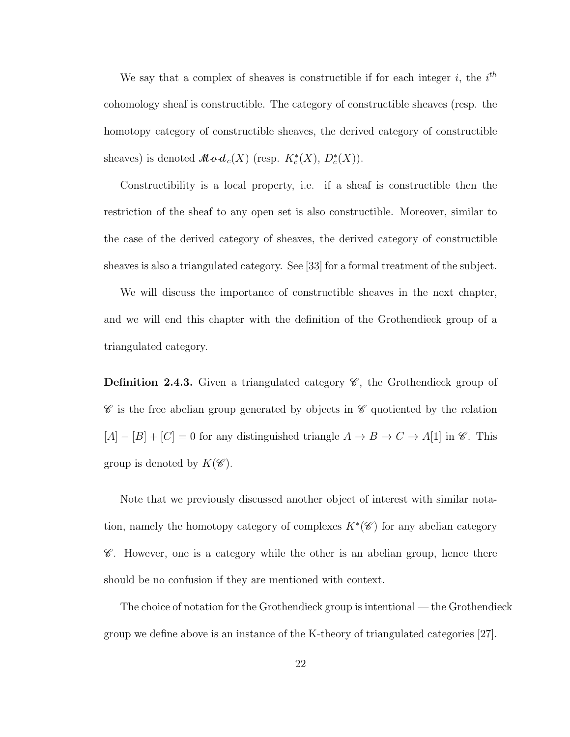We say that a complex of sheaves is constructible if for each integer i, the  $i<sup>th</sup>$ cohomology sheaf is constructible. The category of constructible sheaves (resp. the homotopy category of constructible sheaves, the derived category of constructible sheaves) is denoted  $\mathcal{M} \circ d_c(X)$  (resp.  $K_c^*(X)$ ,  $D_c^*(X)$ ).

Constructibility is a local property, i.e. if a sheaf is constructible then the restriction of the sheaf to any open set is also constructible. Moreover, similar to the case of the derived category of sheaves, the derived category of constructible sheaves is also a triangulated category. See [33] for a formal treatment of the subject.

We will discuss the importance of constructible sheaves in the next chapter, and we will end this chapter with the definition of the Grothendieck group of a triangulated category.

**Definition 2.4.3.** Given a triangulated category  $\mathscr{C}$ , the Grothendieck group of  $\mathscr C$  is the free abelian group generated by objects in  $\mathscr C$  quotiented by the relation  $[A] - [B] + [C] = 0$  for any distinguished triangle  $A \to B \to C \to A[1]$  in  $\mathscr{C}$ . This group is denoted by  $K(\mathscr{C})$ .

Note that we previously discussed another object of interest with similar notation, namely the homotopy category of complexes  $K^*(\mathscr{C})$  for any abelian category  $\mathscr C$ . However, one is a category while the other is an abelian group, hence there should be no confusion if they are mentioned with context.

The choice of notation for the Grothendieck group is intentional — the Grothendieck group we define above is an instance of the K-theory of triangulated categories [27].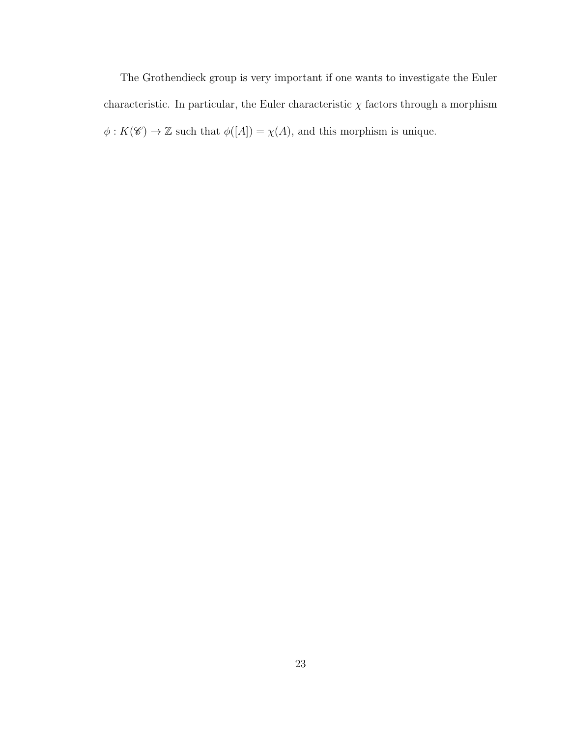The Grothendieck group is very important if one wants to investigate the Euler characteristic. In particular, the Euler characteristic  $\chi$  factors through a morphism  $\phi: K(\mathscr{C}) \rightarrow \mathbb{Z}$  such that  $\phi([A]) = \chi(A),$  and this morphism is unique.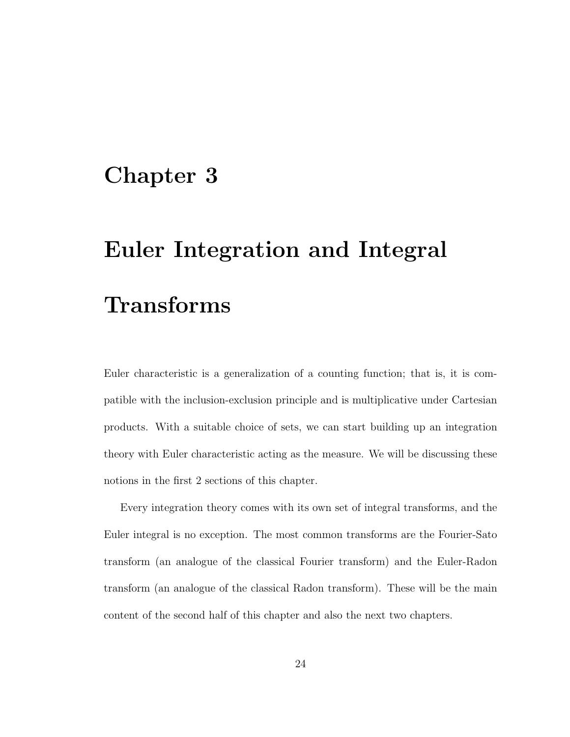## Chapter 3

# Euler Integration and Integral Transforms

Euler characteristic is a generalization of a counting function; that is, it is compatible with the inclusion-exclusion principle and is multiplicative under Cartesian products. With a suitable choice of sets, we can start building up an integration theory with Euler characteristic acting as the measure. We will be discussing these notions in the first 2 sections of this chapter.

Every integration theory comes with its own set of integral transforms, and the Euler integral is no exception. The most common transforms are the Fourier-Sato transform (an analogue of the classical Fourier transform) and the Euler-Radon transform (an analogue of the classical Radon transform). These will be the main content of the second half of this chapter and also the next two chapters.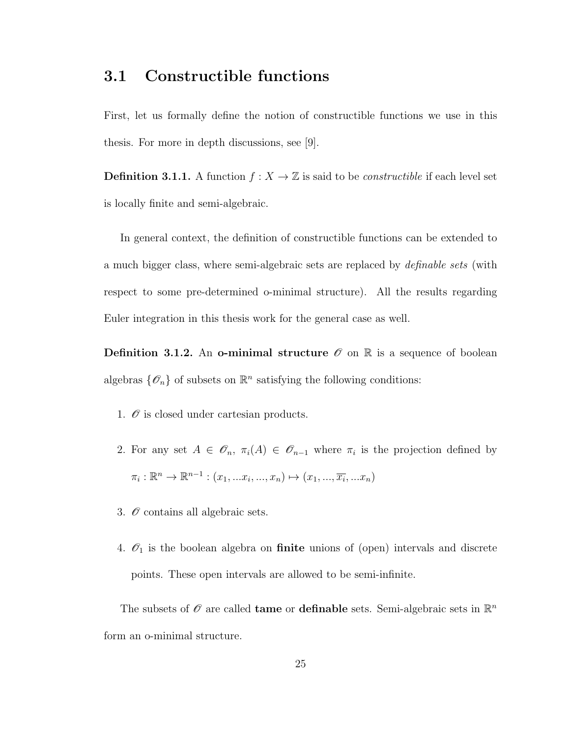### 3.1 Constructible functions

First, let us formally define the notion of constructible functions we use in this thesis. For more in depth discussions, see [9].

**Definition 3.1.1.** A function  $f : X \to \mathbb{Z}$  is said to be *constructible* if each level set is locally finite and semi-algebraic.

In general context, the definition of constructible functions can be extended to a much bigger class, where semi-algebraic sets are replaced by *definable sets* (with respect to some pre-determined o-minimal structure). All the results regarding Euler integration in this thesis work for the general case as well.

**Definition 3.1.2.** An **o-minimal structure**  $\mathcal{O}$  on  $\mathbb{R}$  is a sequence of boolean algebras  $\{\mathscr{O}_n\}$  of subsets on  $\mathbb{R}^n$  satisfying the following conditions:

- 1.  $\mathcal O$  is closed under cartesian products.
- 2. For any set  $A \in \mathscr{O}_n$ ,  $\pi_i(A) \in \mathscr{O}_{n-1}$  where  $\pi_i$  is the projection defined by  $\pi_i : \mathbb{R}^n \to \mathbb{R}^{n-1} : (x_1, ... x_i, ..., x_n) \mapsto (x_1, ..., \overline{x_i}, ... x_n)$
- 3.  $\mathcal O$  contains all algebraic sets.
- 4.  $\mathcal{O}_1$  is the boolean algebra on **finite** unions of (open) intervals and discrete points. These open intervals are allowed to be semi-infinite.

The subsets of  $\mathscr O$  are called **tame** or **definable** sets. Semi-algebraic sets in  $\mathbb{R}^n$ form an o-minimal structure.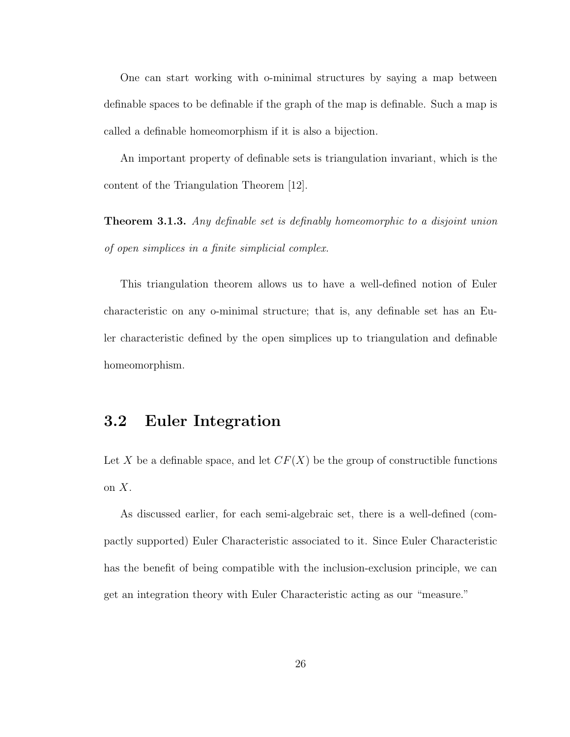One can start working with o-minimal structures by saying a map between definable spaces to be definable if the graph of the map is definable. Such a map is called a definable homeomorphism if it is also a bijection.

An important property of definable sets is triangulation invariant, which is the content of the Triangulation Theorem [12].

**Theorem 3.1.3.** Any definable set is definably homeomorphic to a disjoint union of open simplices in a finite simplicial complex.

This triangulation theorem allows us to have a well-defined notion of Euler characteristic on any o-minimal structure; that is, any definable set has an Euler characteristic defined by the open simplices up to triangulation and definable homeomorphism.

### 3.2 Euler Integration

Let X be a definable space, and let  $CF(X)$  be the group of constructible functions on  $X$ .

As discussed earlier, for each semi-algebraic set, there is a well-defined (compactly supported) Euler Characteristic associated to it. Since Euler Characteristic has the benefit of being compatible with the inclusion-exclusion principle, we can get an integration theory with Euler Characteristic acting as our "measure."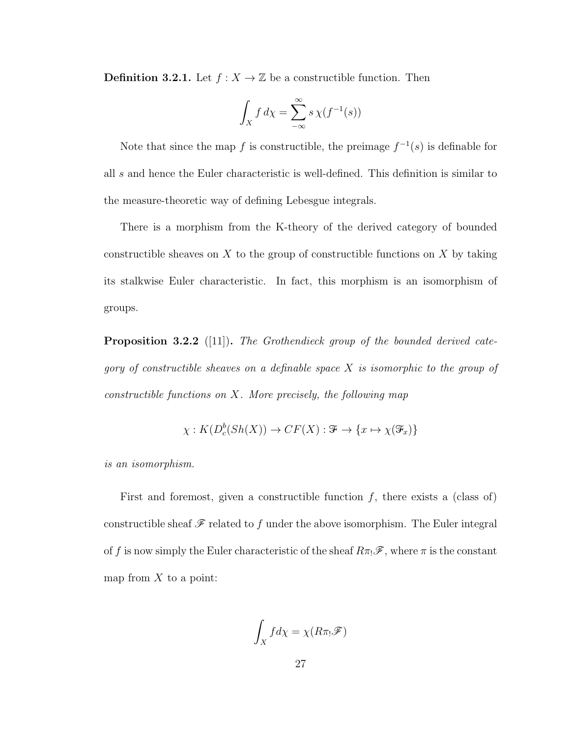**Definition 3.2.1.** Let  $f : X \to \mathbb{Z}$  be a constructible function. Then

$$
\int_X f \, d\chi = \sum_{-\infty}^{\infty} s \, \chi(f^{-1}(s))
$$

Note that since the map f is constructible, the preimage  $f^{-1}(s)$  is definable for all s and hence the Euler characteristic is well-defined. This definition is similar to the measure-theoretic way of defining Lebesgue integrals.

There is a morphism from the K-theory of the derived category of bounded constructible sheaves on  $X$  to the group of constructible functions on  $X$  by taking its stalkwise Euler characteristic. In fact, this morphism is an isomorphism of groups.

**Proposition 3.2.2** ([11]). The Grothendieck group of the bounded derived category of constructible sheaves on a definable space  $X$  is isomorphic to the group of constructible functions on  $X$ . More precisely, the following map

$$
\chi: K(D_c^b(Sh(X)) \to CF(X): \mathcal{F} \to \{x \mapsto \chi(\mathcal{F}_x)\}\
$$

is an isomorphism.

First and foremost, given a constructible function  $f$ , there exists a (class of) constructible sheaf  $\mathscr F$  related to f under the above isomorphism. The Euler integral of f is now simply the Euler characteristic of the sheaf  $R\pi \mathscr{F}$ , where  $\pi$  is the constant map from  $X$  to a point:

$$
\int_X f d\chi = \chi(R\pi_! \mathscr{F})
$$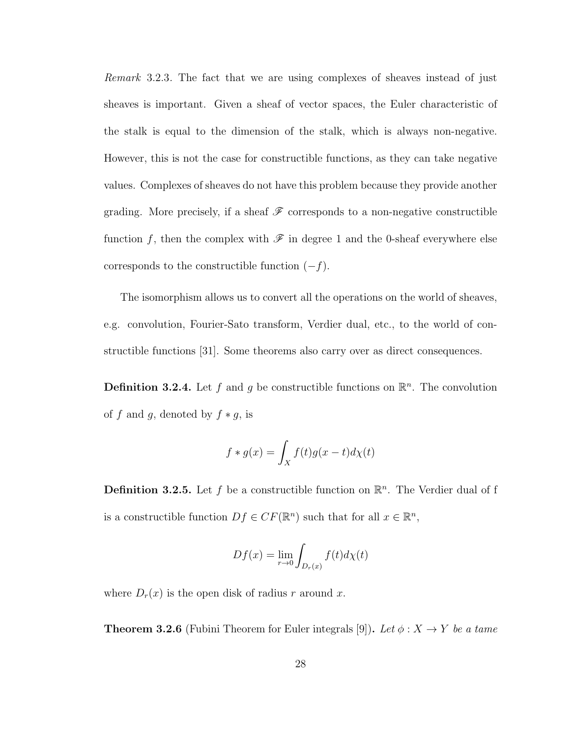Remark 3.2.3. The fact that we are using complexes of sheaves instead of just sheaves is important. Given a sheaf of vector spaces, the Euler characteristic of the stalk is equal to the dimension of the stalk, which is always non-negative. However, this is not the case for constructible functions, as they can take negative values. Complexes of sheaves do not have this problem because they provide another grading. More precisely, if a sheaf  $\mathscr F$  corresponds to a non-negative constructible function f, then the complex with  $\mathscr F$  in degree 1 and the 0-sheaf everywhere else corresponds to the constructible function  $(-f)$ .

The isomorphism allows us to convert all the operations on the world of sheaves, e.g. convolution, Fourier-Sato transform, Verdier dual, etc., to the world of constructible functions [31]. Some theorems also carry over as direct consequences.

**Definition 3.2.4.** Let f and g be constructible functions on  $\mathbb{R}^n$ . The convolution of f and g, denoted by  $f * g$ , is

$$
f * g(x) = \int_X f(t)g(x - t)d\chi(t)
$$

**Definition 3.2.5.** Let f be a constructible function on  $\mathbb{R}^n$ . The Verdier dual of f is a constructible function  $Df \in CF(\mathbb{R}^n)$  such that for all  $x \in \mathbb{R}^n$ ,

$$
Df(x) = \lim_{r \to 0} \int_{D_r(x)} f(t) d\chi(t)
$$

where  $D_r(x)$  is the open disk of radius r around x.

**Theorem 3.2.6** (Fubini Theorem for Euler integrals [9]). Let  $\phi: X \to Y$  be a tame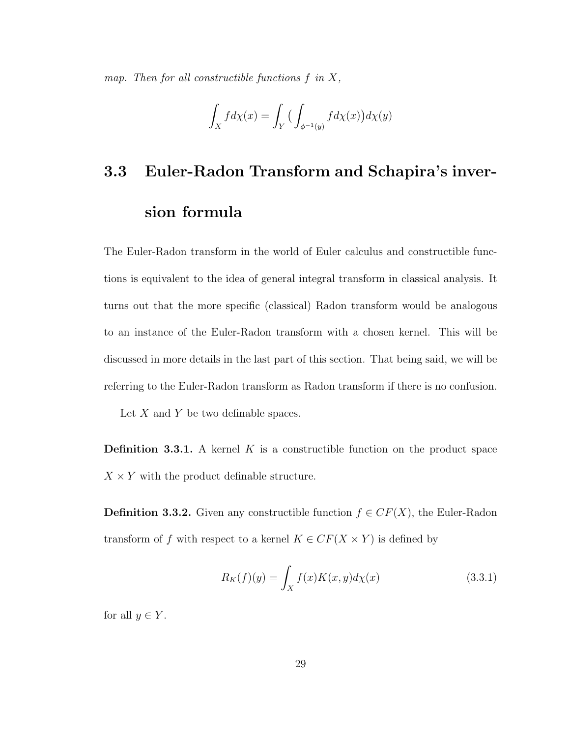map. Then for all constructible functions  $f$  in  $X$ ,

$$
\int_X f d\chi(x)=\int_Y \big(\int_{\phi^{-1}(y)} f d\chi(x)\big)d\chi(y)
$$

## 3.3 Euler-Radon Transform and Schapira's inversion formula

The Euler-Radon transform in the world of Euler calculus and constructible functions is equivalent to the idea of general integral transform in classical analysis. It turns out that the more specific (classical) Radon transform would be analogous to an instance of the Euler-Radon transform with a chosen kernel. This will be discussed in more details in the last part of this section. That being said, we will be referring to the Euler-Radon transform as Radon transform if there is no confusion.

Let  $X$  and  $Y$  be two definable spaces.

**Definition 3.3.1.** A kernel  $K$  is a constructible function on the product space  $X \times Y$  with the product definable structure.

**Definition 3.3.2.** Given any constructible function  $f \in CF(X)$ , the Euler-Radon transform of f with respect to a kernel  $K \in CF(X \times Y)$  is defined by

$$
R_K(f)(y) = \int_X f(x)K(x,y)d\chi(x) \tag{3.3.1}
$$

for all  $y \in Y$ .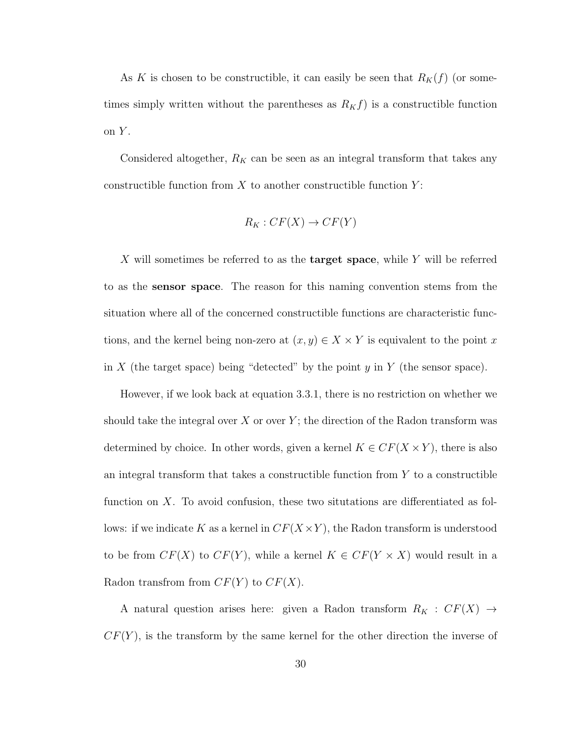As K is chosen to be constructible, it can easily be seen that  $R_K(f)$  (or sometimes simply written without the parentheses as  $R_K f$ ) is a constructible function on  $Y$ .

Considered altogether,  $R_K$  can be seen as an integral transform that takes any constructible function from  $X$  to another constructible function  $Y$ :

$$
R_K: CF(X) \to CF(Y)
$$

X will sometimes be referred to as the **target space**, while Y will be referred to as the sensor space. The reason for this naming convention stems from the situation where all of the concerned constructible functions are characteristic functions, and the kernel being non-zero at  $(x, y) \in X \times Y$  is equivalent to the point x in X (the target space) being "detected" by the point  $y$  in Y (the sensor space).

However, if we look back at equation 3.3.1, there is no restriction on whether we should take the integral over X or over  $Y$ ; the direction of the Radon transform was determined by choice. In other words, given a kernel  $K \in CF(X \times Y)$ , there is also an integral transform that takes a constructible function from  $Y$  to a constructible function on X. To avoid confusion, these two situtations are differentiated as follows: if we indicate K as a kernel in  $CF(X \times Y)$ , the Radon transform is understood to be from  $CF(X)$  to  $CF(Y)$ , while a kernel  $K \in CF(Y \times X)$  would result in a Radon transfrom from  $CF(Y)$  to  $CF(X)$ .

A natural question arises here: given a Radon transform  $R_K : CF(X) \rightarrow$  $CF(Y)$ , is the transform by the same kernel for the other direction the inverse of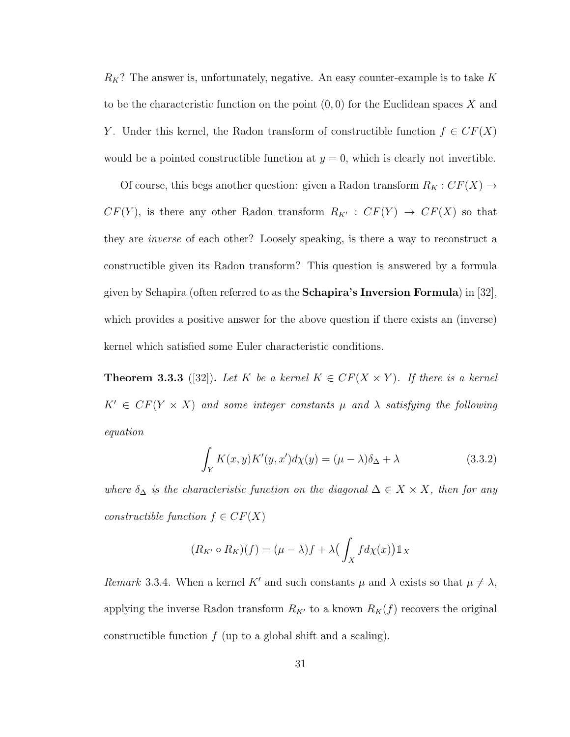$R_K$ ? The answer is, unfortunately, negative. An easy counter-example is to take K to be the characteristic function on the point  $(0,0)$  for the Euclidean spaces X and Y. Under this kernel, the Radon transform of constructible function  $f \in CF(X)$ would be a pointed constructible function at  $y = 0$ , which is clearly not invertible.

Of course, this begs another question: given a Radon transform  $R_K : CF(X) \rightarrow$  $CF(Y)$ , is there any other Radon transform  $R_{K'} : CF(Y) \rightarrow CF(X)$  so that they are inverse of each other? Loosely speaking, is there a way to reconstruct a constructible given its Radon transform? This question is answered by a formula given by Schapira (often referred to as the Schapira's Inversion Formula) in [32], which provides a positive answer for the above question if there exists an (inverse) kernel which satisfied some Euler characteristic conditions.

**Theorem 3.3.3** ([32]). Let K be a kernel  $K \in CF(X \times Y)$ . If there is a kernel  $K' \in CF(Y \times X)$  and some integer constants  $\mu$  and  $\lambda$  satisfying the following equation

$$
\int_{Y} K(x, y) K'(y, x') d\chi(y) = (\mu - \lambda)\delta_{\Delta} + \lambda
$$
\n(3.3.2)

where  $\delta_{\Delta}$  is the characteristic function on the diagonal  $\Delta \in X \times X$ , then for any constructible function  $f \in CF(X)$ 

$$
(R_{K'} \circ R_K)(f) = (\mu - \lambda)f + \lambda \left(\int_X f d\chi(x)\right) \mathbb{1}_X
$$

Remark 3.3.4. When a kernel K' and such constants  $\mu$  and  $\lambda$  exists so that  $\mu \neq \lambda$ , applying the inverse Radon transform  $R_{K'}$  to a known  $R_K(f)$  recovers the original constructible function  $f$  (up to a global shift and a scaling).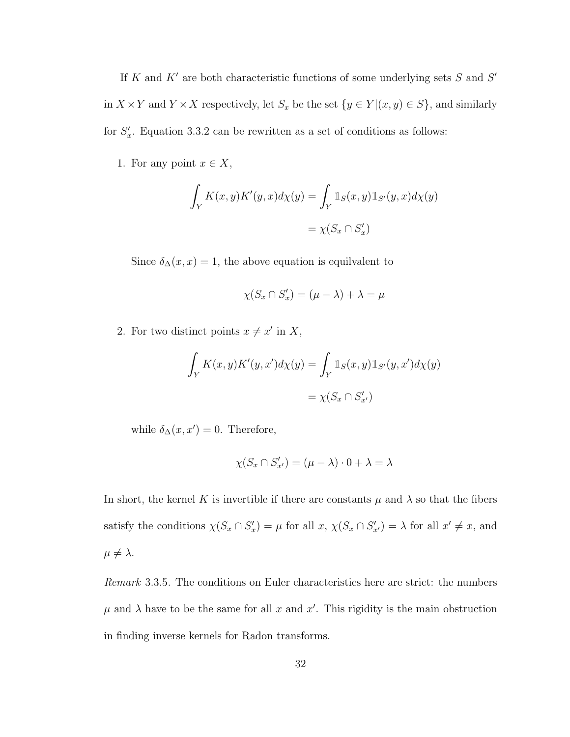If K and K' are both characteristic functions of some underlying sets  $S$  and  $S'$ in  $X \times Y$  and  $Y \times X$  respectively, let  $S_x$  be the set  $\{y \in Y | (x, y) \in S\}$ , and similarly for  $S'_x$ . Equation 3.3.2 can be rewritten as a set of conditions as follows:

1. For any point  $x \in X$ ,

$$
\int_Y K(x, y) K'(y, x) d\chi(y) = \int_Y \mathbb{1}_S(x, y) \mathbb{1}_{S'}(y, x) d\chi(y)
$$

$$
= \chi(S_x \cap S'_x)
$$

Since  $\delta_{\Delta}(x, x) = 1$ , the above equation is equilvalent to

$$
\chi(S_x \cap S'_x) = (\mu - \lambda) + \lambda = \mu
$$

2. For two distinct points  $x \neq x'$  in X,

$$
\int_Y K(x, y) K'(y, x') d\chi(y) = \int_Y \mathbb{1}_S(x, y) \mathbb{1}_{S'}(y, x') d\chi(y)
$$

$$
= \chi(S_x \cap S'_{x'})
$$

while  $\delta_{\Delta}(x, x') = 0$ . Therefore,

$$
\chi(S_x \cap S'_{x'}) = (\mu - \lambda) \cdot 0 + \lambda = \lambda
$$

In short, the kernel K is invertible if there are constants  $\mu$  and  $\lambda$  so that the fibers satisfy the conditions  $\chi(S_x \cap S_x') = \mu$  for all  $x, \chi(S_x \cap S_{x'}') = \lambda$  for all  $x' \neq x$ , and  $\mu \neq \lambda$ .

Remark 3.3.5. The conditions on Euler characteristics here are strict: the numbers  $\mu$  and  $\lambda$  have to be the same for all x and x'. This rigidity is the main obstruction in finding inverse kernels for Radon transforms.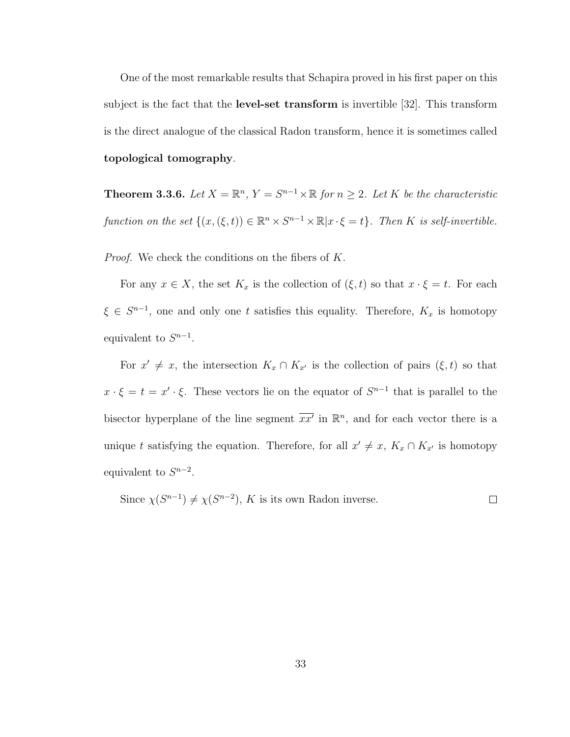One of the most remarkable results that Schapira proved in his first paper on this subject is the fact that the level-set transform is invertible [32]. This transform is the direct analogue of the classical Radon transform, hence it is sometimes called topological tomography.

**Theorem 3.3.6.** Let  $X = \mathbb{R}^n$ ,  $Y = S^{n-1} \times \mathbb{R}$  for  $n \geq 2$ . Let K be the characteristic function on the set  $\{(x,(\xi,t)) \in \mathbb{R}^n \times S^{n-1} \times \mathbb{R} | x \cdot \xi = t\}$ . Then K is self-invertible.

Proof. We check the conditions on the fibers of K.

For any  $x \in X$ , the set  $K_x$  is the collection of  $(\xi, t)$  so that  $x \cdot \xi = t$ . For each  $\xi \in S^{n-1}$ , one and only one t satisfies this equality. Therefore,  $K_x$  is homotopy equivalent to  $S^{n-1}$ .

For  $x' \neq x$ , the intersection  $K_x \cap K_{x'}$  is the collection of pairs  $(\xi, t)$  so that  $x \cdot \xi = t = x' \cdot \xi$ . These vectors lie on the equator of  $S^{n-1}$  that is parallel to the bisector hyperplane of the line segment  $\overline{xx}^{\prime}$  in  $\mathbb{R}^n$ , and for each vector there is a unique t satisfying the equation. Therefore, for all  $x' \neq x$ ,  $K_x \cap K_{x'}$  is homotopy equivalent to  $S^{n-2}$ .

Since  $\chi(S^{n-1}) \neq \chi(S^{n-2})$ , K is its own Radon inverse.  $\Box$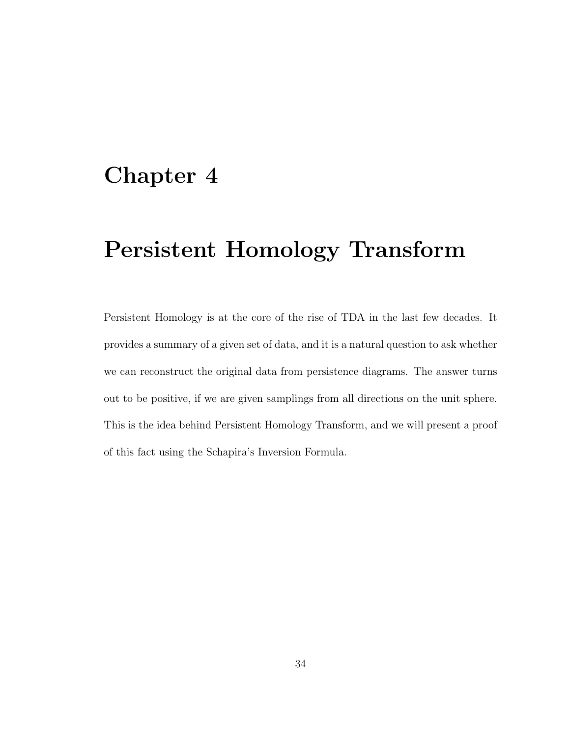## Chapter 4

## Persistent Homology Transform

Persistent Homology is at the core of the rise of TDA in the last few decades. It provides a summary of a given set of data, and it is a natural question to ask whether we can reconstruct the original data from persistence diagrams. The answer turns out to be positive, if we are given samplings from all directions on the unit sphere. This is the idea behind Persistent Homology Transform, and we will present a proof of this fact using the Schapira's Inversion Formula.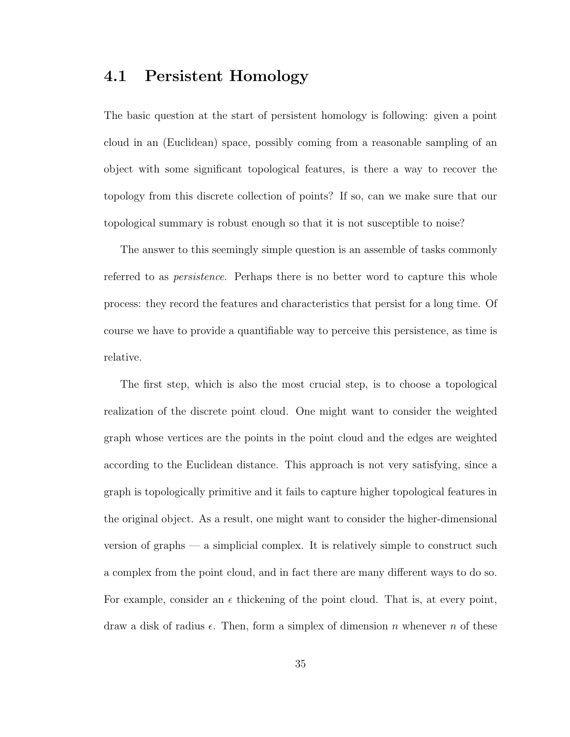### 4.1 Persistent Homology

The basic question at the start of persistent homology is following: given a point cloud in an (Euclidean) space, possibly coming from a reasonable sampling of an object with some significant topological features, is there a way to recover the topology from this discrete collection of points? If so, can we make sure that our topological summary is robust enough so that it is not susceptible to noise?

The answer to this seemingly simple question is an assemble of tasks commonly referred to as persistence. Perhaps there is no better word to capture this whole process: they record the features and characteristics that persist for a long time. Of course we have to provide a quantifiable way to perceive this persistence, as time is relative.

The first step, which is also the most crucial step, is to choose a topological realization of the discrete point cloud. One might want to consider the weighted graph whose vertices are the points in the point cloud and the edges are weighted according to the Euclidean distance. This approach is not very satisfying, since a graph is topologically primitive and it fails to capture higher topological features in the original object. As a result, one might want to consider the higher-dimensional version of graphs — a simplicial complex. It is relatively simple to construct such a complex from the point cloud, and in fact there are many different ways to do so. For example, consider an  $\epsilon$  thickening of the point cloud. That is, at every point, draw a disk of radius  $\epsilon$ . Then, form a simplex of dimension n whenever n of these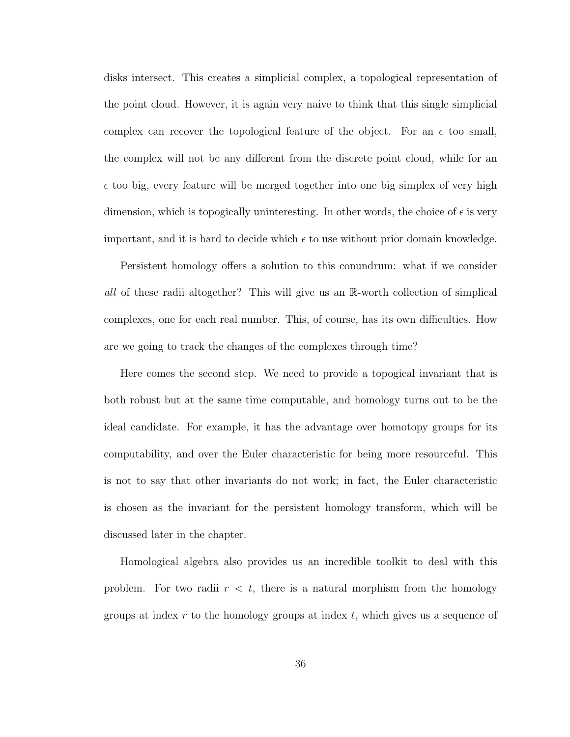disks intersect. This creates a simplicial complex, a topological representation of the point cloud. However, it is again very naive to think that this single simplicial complex can recover the topological feature of the object. For an  $\epsilon$  too small, the complex will not be any different from the discrete point cloud, while for an  $\epsilon$  too big, every feature will be merged together into one big simplex of very high dimension, which is topogically uninteresting. In other words, the choice of  $\epsilon$  is very important, and it is hard to decide which  $\epsilon$  to use without prior domain knowledge.

Persistent homology offers a solution to this conundrum: what if we consider all of these radii altogether? This will give us an R-worth collection of simplical complexes, one for each real number. This, of course, has its own difficulties. How are we going to track the changes of the complexes through time?

Here comes the second step. We need to provide a topogical invariant that is both robust but at the same time computable, and homology turns out to be the ideal candidate. For example, it has the advantage over homotopy groups for its computability, and over the Euler characteristic for being more resourceful. This is not to say that other invariants do not work; in fact, the Euler characteristic is chosen as the invariant for the persistent homology transform, which will be discussed later in the chapter.

Homological algebra also provides us an incredible toolkit to deal with this problem. For two radii  $r < t$ , there is a natural morphism from the homology groups at index  $r$  to the homology groups at index  $t$ , which gives us a sequence of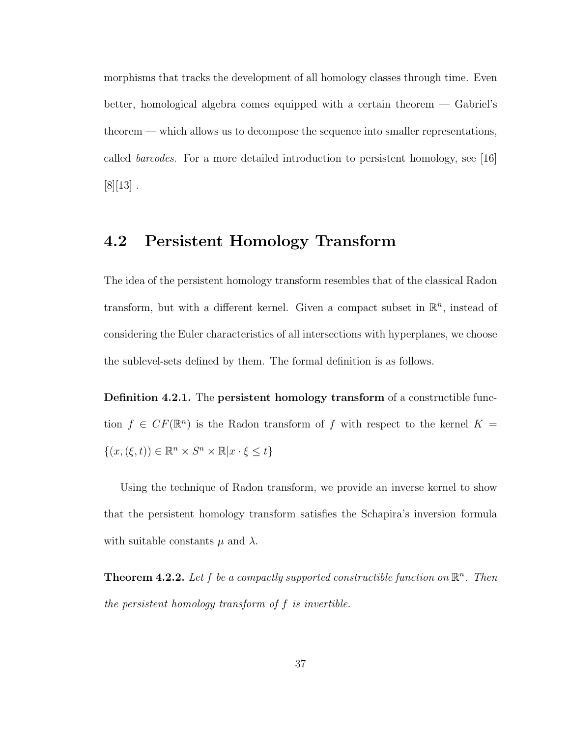morphisms that tracks the development of all homology classes through time. Even better, homological algebra comes equipped with a certain theorem — Gabriel's theorem — which allows us to decompose the sequence into smaller representations, called barcodes. For a more detailed introduction to persistent homology, see [16]  $[8][13]$ .

### 4.2 Persistent Homology Transform

The idea of the persistent homology transform resembles that of the classical Radon transform, but with a different kernel. Given a compact subset in  $\mathbb{R}^n$ , instead of considering the Euler characteristics of all intersections with hyperplanes, we choose the sublevel-sets defined by them. The formal definition is as follows.

Definition 4.2.1. The persistent homology transform of a constructible function  $f \in CF(\mathbb{R}^n)$  is the Radon transform of f with respect to the kernel  $K =$  $\{(x,(\xi,t)) \in \mathbb{R}^n \times S^n \times \mathbb{R} | x \cdot \xi \leq t\}$ 

Using the technique of Radon transform, we provide an inverse kernel to show that the persistent homology transform satisfies the Schapira's inversion formula with suitable constants  $\mu$  and  $\lambda$ .

**Theorem 4.2.2.** Let f be a compactly supported constructible function on  $\mathbb{R}^n$ . Then the persistent homology transform of f is invertible.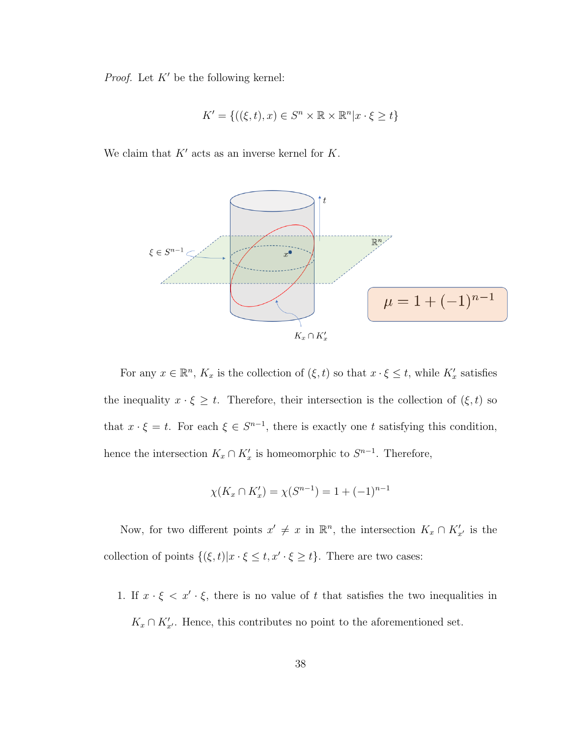*Proof.* Let  $K'$  be the following kernel:

$$
K' = \{ ((\xi, t), x) \in S^n \times \mathbb{R} \times \mathbb{R}^n | x \cdot \xi \ge t \}
$$

We claim that  $K'$  acts as an inverse kernel for  $K$ .



For any  $x \in \mathbb{R}^n$ ,  $K_x$  is the collection of  $(\xi, t)$  so that  $x \cdot \xi \leq t$ , while  $K'_x$  satisfies the inequality  $x \cdot \xi \geq t$ . Therefore, their intersection is the collection of  $(\xi, t)$  so that  $x \cdot \xi = t$ . For each  $\xi \in S^{n-1}$ , there is exactly one t satisfying this condition, hence the intersection  $K_x \cap K'_x$  is homeomorphic to  $S^{n-1}$ . Therefore,

$$
\chi(K_x \cap K'_x) = \chi(S^{n-1}) = 1 + (-1)^{n-1}
$$

Now, for two different points  $x' \neq x$  in  $\mathbb{R}^n$ , the intersection  $K_x \cap K'_{x'}$  is the collection of points  $\{(\xi, t)|x \cdot \xi \leq t, x' \cdot \xi \geq t\}$ . There are two cases:

1. If  $x \cdot \xi < x' \cdot \xi$ , there is no value of t that satisfies the two inequalities in  $K_x \cap K'_{x'}$ . Hence, this contributes no point to the aforementioned set.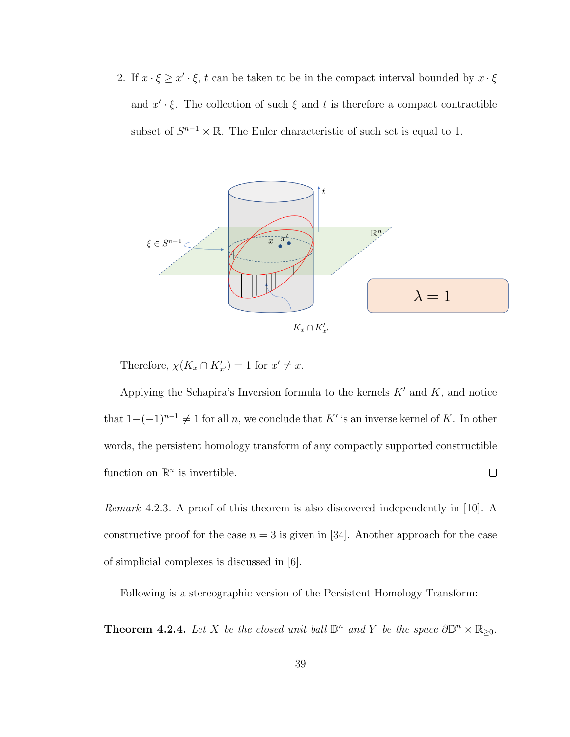2. If  $x \cdot \xi \geq x' \cdot \xi$ , t can be taken to be in the compact interval bounded by  $x \cdot \xi$ and  $x' \cdot \xi$ . The collection of such  $\xi$  and t is therefore a compact contractible subset of  $S^{n-1} \times \mathbb{R}$ . The Euler characteristic of such set is equal to 1.



Therefore,  $\chi(K_x \cap K'_{x'}) = 1$  for  $x' \neq x$ .

Applying the Schapira's Inversion formula to the kernels  $K'$  and  $K$ , and notice that  $1-(-1)^{n-1} \neq 1$  for all n, we conclude that K' is an inverse kernel of K. In other words, the persistent homology transform of any compactly supported constructible function on  $\mathbb{R}^n$  is invertible.  $\Box$ 

Remark 4.2.3. A proof of this theorem is also discovered independently in [10]. A constructive proof for the case  $n = 3$  is given in [34]. Another approach for the case of simplicial complexes is discussed in [6].

Following is a stereographic version of the Persistent Homology Transform:

**Theorem 4.2.4.** Let X be the closed unit ball  $\mathbb{D}^n$  and Y be the space  $\partial \mathbb{D}^n \times \mathbb{R}_{\geq 0}$ .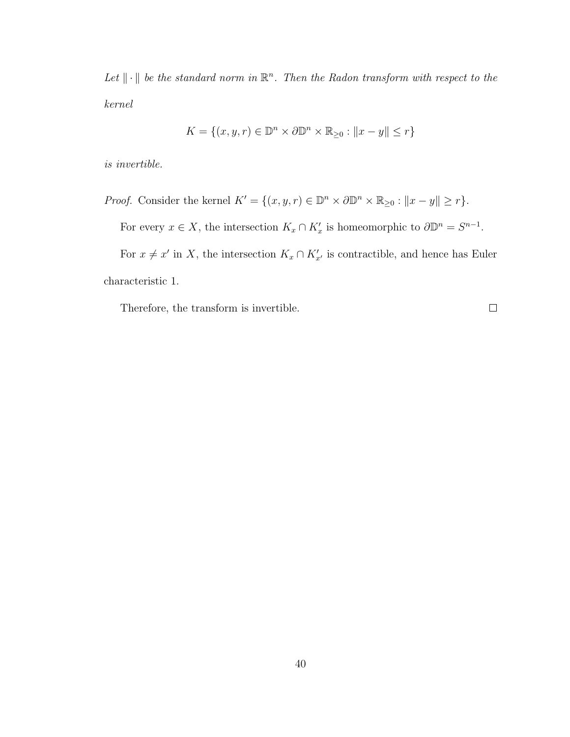Let  $\|\cdot\|$  be the standard norm in  $\mathbb{R}^n$ . Then the Radon transform with respect to the kernel

$$
K = \{(x, y, r) \in \mathbb{D}^n \times \partial \mathbb{D}^n \times \mathbb{R}_{\geq 0} : ||x - y|| \leq r\}
$$

is invertible.

*Proof.* Consider the kernel  $K' = \{(x, y, r) \in \mathbb{D}^n \times \partial \mathbb{D}^n \times \mathbb{R}_{\geq 0} : ||x - y|| \geq r\}.$ 

For every  $x \in X$ , the intersection  $K_x \cap K'_x$  is homeomorphic to  $\partial \mathbb{D}^n = S^{n-1}$ .

For  $x \neq x'$  in X, the intersection  $K_x \cap K'_{x'}$  is contractible, and hence has Euler characteristic 1.

Therefore, the transform is invertible.

 $\Box$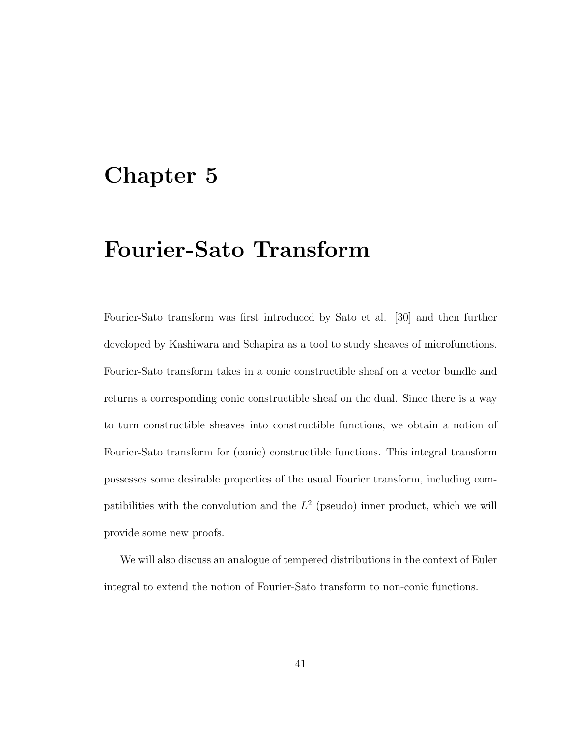## Chapter 5

## Fourier-Sato Transform

Fourier-Sato transform was first introduced by Sato et al. [30] and then further developed by Kashiwara and Schapira as a tool to study sheaves of microfunctions. Fourier-Sato transform takes in a conic constructible sheaf on a vector bundle and returns a corresponding conic constructible sheaf on the dual. Since there is a way to turn constructible sheaves into constructible functions, we obtain a notion of Fourier-Sato transform for (conic) constructible functions. This integral transform possesses some desirable properties of the usual Fourier transform, including compatibilities with the convolution and the  $L^2$  (pseudo) inner product, which we will provide some new proofs.

We will also discuss an analogue of tempered distributions in the context of Euler integral to extend the notion of Fourier-Sato transform to non-conic functions.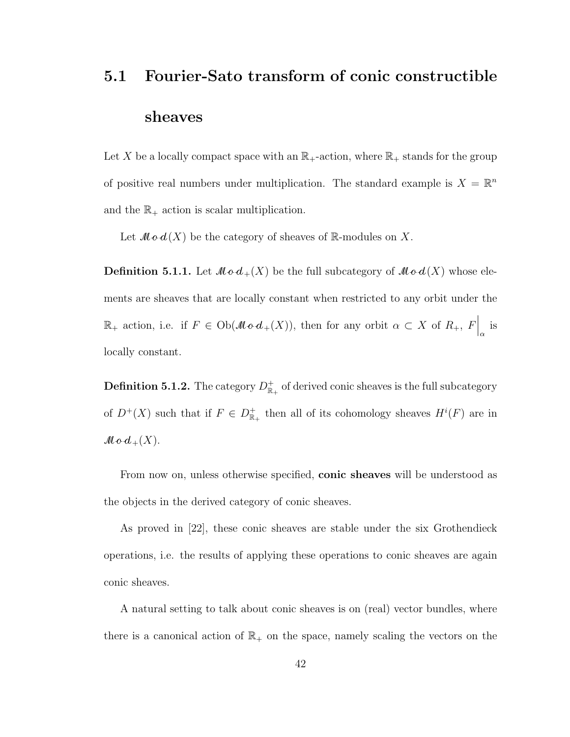# 5.1 Fourier-Sato transform of conic constructible sheaves

Let X be a locally compact space with an  $\mathbb{R}_+$ -action, where  $\mathbb{R}_+$  stands for the group of positive real numbers under multiplication. The standard example is  $X = \mathbb{R}^n$ and the  $\mathbb{R}_+$  action is scalar multiplication.

Let  $\mathcal{M} \circ d(X)$  be the category of sheaves of R-modules on X.

**Definition 5.1.1.** Let  $Mod_+(X)$  be the full subcategory of  $Mod(X)$  whose elements are sheaves that are locally constant when restricted to any orbit under the  $\mathbb{R}_+$  action, i.e. if  $F \in Ob(\mathcal{Mod}_+(X))$ , then for any orbit  $\alpha \subset X$  of  $R_+$ ,  $F\Big|_{\alpha}$  is locally constant.

**Definition 5.1.2.** The category  $D_{\mathbb{R}_+}^+$  of derived conic sheaves is the full subcategory of  $D^+(X)$  such that if  $F \in D^+_{\mathbb{R}_+}$  then all of its cohomology sheaves  $H^i(F)$  are in  $\mathcal{M} \circ d_+(X)$ .

From now on, unless otherwise specified, conic sheaves will be understood as the objects in the derived category of conic sheaves.

As proved in [22], these conic sheaves are stable under the six Grothendieck operations, i.e. the results of applying these operations to conic sheaves are again conic sheaves.

A natural setting to talk about conic sheaves is on (real) vector bundles, where there is a canonical action of  $\mathbb{R}_+$  on the space, namely scaling the vectors on the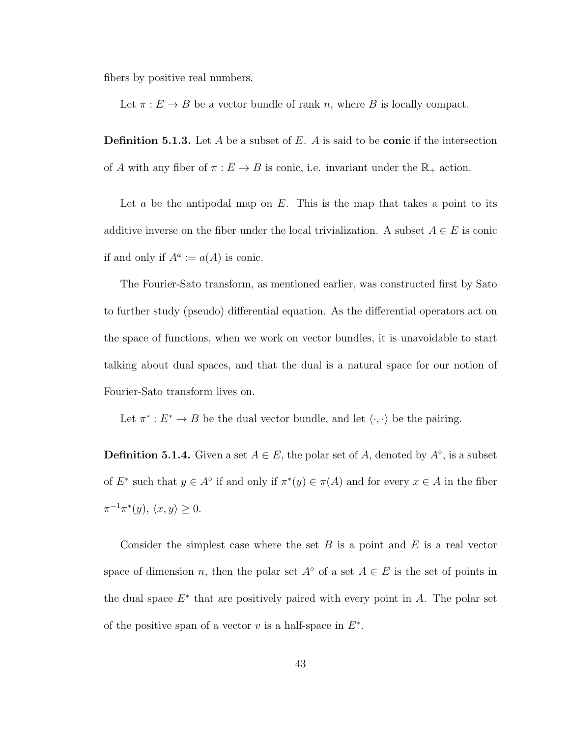fibers by positive real numbers.

Let  $\pi : E \to B$  be a vector bundle of rank n, where B is locally compact.

**Definition 5.1.3.** Let A be a subset of E. A is said to be **conic** if the intersection of A with any fiber of  $\pi : E \to B$  is conic, i.e. invariant under the  $\mathbb{R}_+$  action.

Let  $a$  be the antipodal map on  $E$ . This is the map that takes a point to its additive inverse on the fiber under the local trivialization. A subset  $A \in E$  is conic if and only if  $A^a := a(A)$  is conic.

The Fourier-Sato transform, as mentioned earlier, was constructed first by Sato to further study (pseudo) differential equation. As the differential operators act on the space of functions, when we work on vector bundles, it is unavoidable to start talking about dual spaces, and that the dual is a natural space for our notion of Fourier-Sato transform lives on.

Let  $\pi^*: E^* \to B$  be the dual vector bundle, and let  $\langle \cdot, \cdot \rangle$  be the pairing.

**Definition 5.1.4.** Given a set  $A \in E$ , the polar set of A, denoted by  $A^\circ$ , is a subset of  $E^*$  such that  $y \in A^{\circ}$  if and only if  $\pi^*(y) \in \pi(A)$  and for every  $x \in A$  in the fiber  $\pi^{-1}\pi^*(y), \langle x, y \rangle \geq 0.$ 

Consider the simplest case where the set  $B$  is a point and  $E$  is a real vector space of dimension n, then the polar set  $A<sup>°</sup>$  of a set  $A \in E$  is the set of points in the dual space  $E^*$  that are positively paired with every point in  $A$ . The polar set of the positive span of a vector  $v$  is a half-space in  $E^*$ .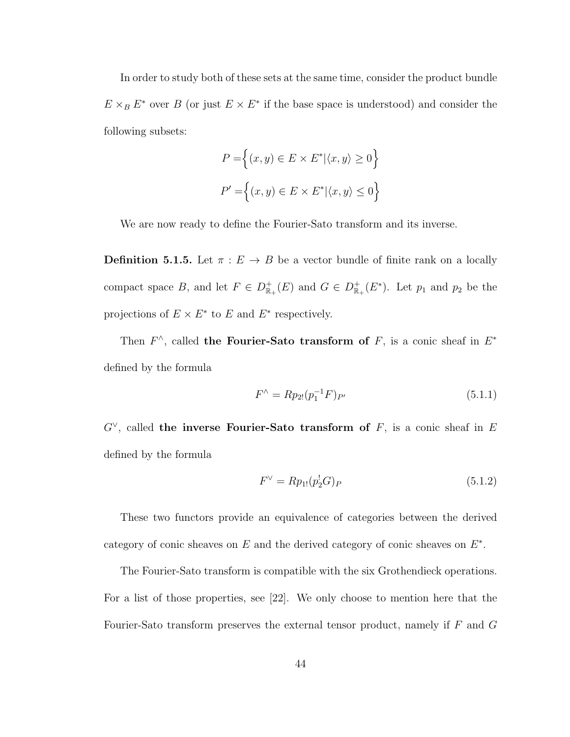In order to study both of these sets at the same time, consider the product bundle  $E \times_B E^*$  over B (or just  $E \times E^*$  if the base space is understood) and consider the following subsets:

$$
P = \left\{ (x, y) \in E \times E^* | \langle x, y \rangle \ge 0 \right\}
$$
  

$$
P' = \left\{ (x, y) \in E \times E^* | \langle x, y \rangle \le 0 \right\}
$$

We are now ready to define the Fourier-Sato transform and its inverse.

**Definition 5.1.5.** Let  $\pi : E \to B$  be a vector bundle of finite rank on a locally compact space B, and let  $F \in D_{\mathbb{R}_+}^+(E)$  and  $G \in D_{\mathbb{R}_+}^+(E^*)$ . Let  $p_1$  and  $p_2$  be the projections of  $E \times E^*$  to E and  $E^*$  respectively.

Then  $F^{\wedge}$ , called the Fourier-Sato transform of F, is a conic sheaf in  $E^*$ defined by the formula

$$
F^{\wedge} = Rp_{2!}(p_1^{-1}F)_{P'} \tag{5.1.1}
$$

 $G^{\vee}$ , called the inverse Fourier-Sato transform of F, is a conic sheaf in E defined by the formula

$$
F^{\vee} = Rp_{1!}(p_2^!G)_P \tag{5.1.2}
$$

These two functors provide an equivalence of categories between the derived category of conic sheaves on  $E$  and the derived category of conic sheaves on  $E^*$ .

The Fourier-Sato transform is compatible with the six Grothendieck operations. For a list of those properties, see [22]. We only choose to mention here that the Fourier-Sato transform preserves the external tensor product, namely if  $F$  and  $G$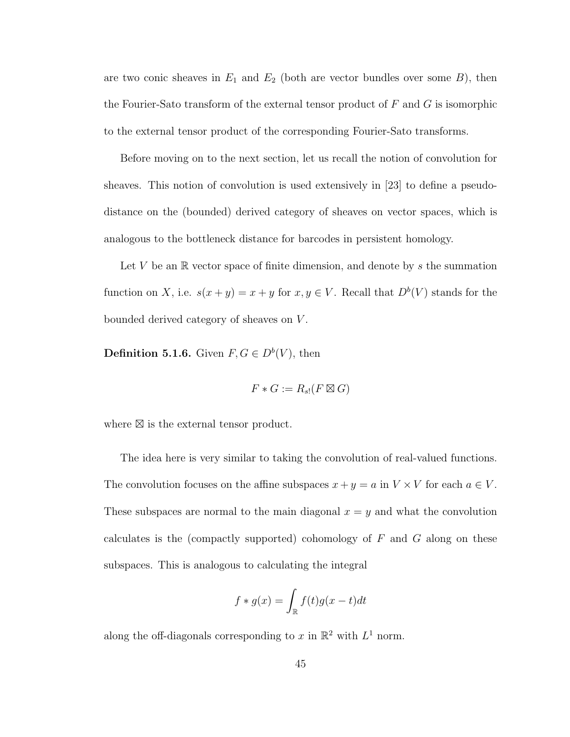are two conic sheaves in  $E_1$  and  $E_2$  (both are vector bundles over some  $B$ ), then the Fourier-Sato transform of the external tensor product of  $F$  and  $G$  is isomorphic to the external tensor product of the corresponding Fourier-Sato transforms.

Before moving on to the next section, let us recall the notion of convolution for sheaves. This notion of convolution is used extensively in [23] to define a pseudodistance on the (bounded) derived category of sheaves on vector spaces, which is analogous to the bottleneck distance for barcodes in persistent homology.

Let V be an  $\mathbb R$  vector space of finite dimension, and denote by s the summation function on X, i.e.  $s(x + y) = x + y$  for  $x, y \in V$ . Recall that  $D^b(V)$  stands for the bounded derived category of sheaves on V .

**Definition 5.1.6.** Given  $F, G \in D^b(V)$ , then

$$
F * G := R_{s!}(F \boxtimes G)
$$

where  $\boxtimes$  is the external tensor product.

The idea here is very similar to taking the convolution of real-valued functions. The convolution focuses on the affine subspaces  $x + y = a$  in  $V \times V$  for each  $a \in V$ . These subspaces are normal to the main diagonal  $x = y$  and what the convolution calculates is the (compactly supported) cohomology of  $F$  and  $G$  along on these subspaces. This is analogous to calculating the integral

$$
f * g(x) = \int_{\mathbb{R}} f(t)g(x - t)dt
$$

along the off-diagonals corresponding to x in  $\mathbb{R}^2$  with  $L^1$  norm.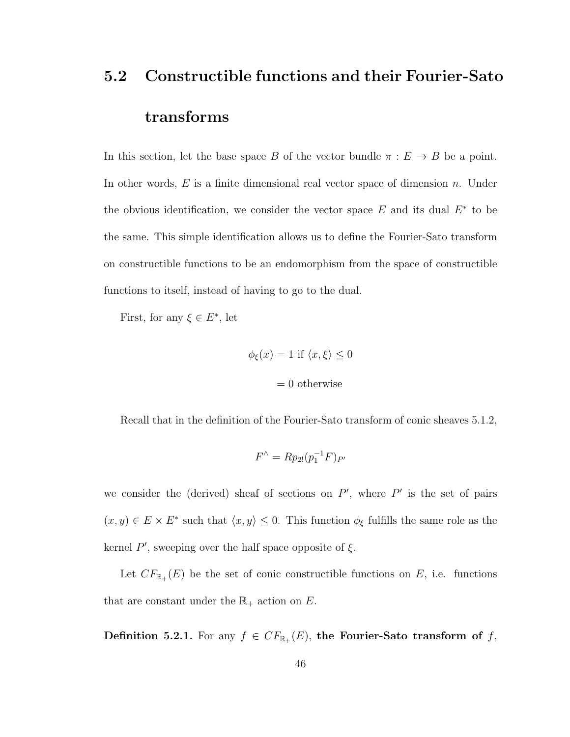# 5.2 Constructible functions and their Fourier-Sato transforms

In this section, let the base space B of the vector bundle  $\pi : E \to B$  be a point. In other words,  $E$  is a finite dimensional real vector space of dimension n. Under the obvious identification, we consider the vector space  $E$  and its dual  $E^*$  to be the same. This simple identification allows us to define the Fourier-Sato transform on constructible functions to be an endomorphism from the space of constructible functions to itself, instead of having to go to the dual.

First, for any  $\xi \in E^*$ , let

$$
\phi_{\xi}(x) = 1 \text{ if } \langle x, \xi \rangle \le 0
$$

$$
= 0
$$
 otherwise

Recall that in the definition of the Fourier-Sato transform of conic sheaves 5.1.2,

$$
F^{\wedge} = Rp_{2!}(p_1^{-1}F)_{P'}
$$

we consider the (derived) sheaf of sections on  $P'$ , where  $P'$  is the set of pairs  $(x, y) \in E \times E^*$  such that  $\langle x, y \rangle \leq 0$ . This function  $\phi_{\xi}$  fulfills the same role as the kernel  $P'$ , sweeping over the half space opposite of  $\xi$ .

Let  $CF_{\mathbb{R}_+}(E)$  be the set of conic constructible functions on E, i.e. functions that are constant under the  $\mathbb{R}_+$  action on  $E.$ 

Definition 5.2.1. For any  $f \in CF_{\mathbb{R}_+}(E)$ , the Fourier-Sato transform of f,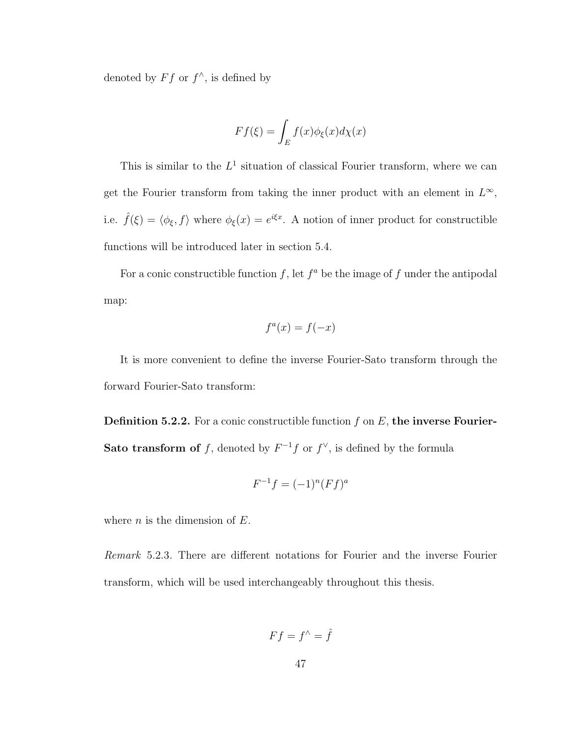denoted by  $Ff$  or  $f^{\wedge}$ , is defined by

$$
Ff(\xi) = \int_E f(x)\phi_{\xi}(x)d\chi(x)
$$

This is similar to the  $L^1$  situation of classical Fourier transform, where we can get the Fourier transform from taking the inner product with an element in  $L^{\infty}$ , i.e.  $\hat{f}(\xi) = \langle \phi_{\xi}, f \rangle$  where  $\phi_{\xi}(x) = e^{i\xi x}$ . A notion of inner product for constructible functions will be introduced later in section 5.4.

For a conic constructible function  $f$ , let  $f^a$  be the image of  $f$  under the antipodal map:

$$
f^a(x) = f(-x)
$$

It is more convenient to define the inverse Fourier-Sato transform through the forward Fourier-Sato transform:

**Definition 5.2.2.** For a conic constructible function  $f$  on  $E$ , the inverse Fourier-Sato transform of f, denoted by  $F^{-1}f$  or  $f^{\vee}$ , is defined by the formula

$$
F^{-1}f = (-1)^n (Ff)^a
$$

where  $n$  is the dimension of  $E$ .

Remark 5.2.3. There are different notations for Fourier and the inverse Fourier transform, which will be used interchangeably throughout this thesis.

$$
Ff = f^{\wedge} = \hat{f}
$$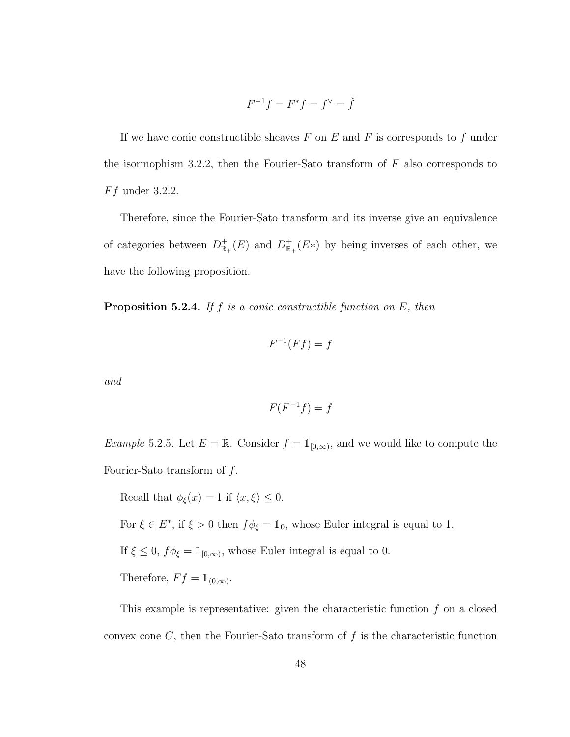$$
F^{-1}f = F^*f = f^\vee = \check{f}
$$

If we have conic constructible sheaves  $F$  on  $E$  and  $F$  is corresponds to  $f$  under the isormophism 3.2.2, then the Fourier-Sato transform of  $F$  also corresponds to  $Ff$  under 3.2.2.

Therefore, since the Fourier-Sato transform and its inverse give an equivalence of categories between  $D_{\mathbb{R}_+}^+(E)$  and  $D_{\mathbb{R}_+}^+(E*)$  by being inverses of each other, we have the following proposition.

**Proposition 5.2.4.** If f is a conic constructible function on  $E$ , then

$$
F^{-1}(Ff) = f
$$

and

$$
F(F^{-1}f) = f
$$

*Example* 5.2.5. Let  $E = \mathbb{R}$ . Consider  $f = \mathbb{1}_{[0,\infty)}$ , and we would like to compute the Fourier-Sato transform of  $f$ .

Recall that  $\phi_{\xi}(x) = 1$  if  $\langle x, \xi \rangle \leq 0$ . For  $\xi \in E^*$ , if  $\xi > 0$  then  $f\phi_{\xi} = \mathbb{1}_0$ , whose Euler integral is equal to 1. If  $\xi \leq 0$ ,  $f\phi_{\xi} = \mathbb{1}_{[0,\infty)}$ , whose Euler integral is equal to 0. Therefore,  $Ff = \mathbb{1}_{(0,\infty)}$ .

This example is representative: given the characteristic function  $f$  on a closed convex cone  $C$ , then the Fourier-Sato transform of  $f$  is the characteristic function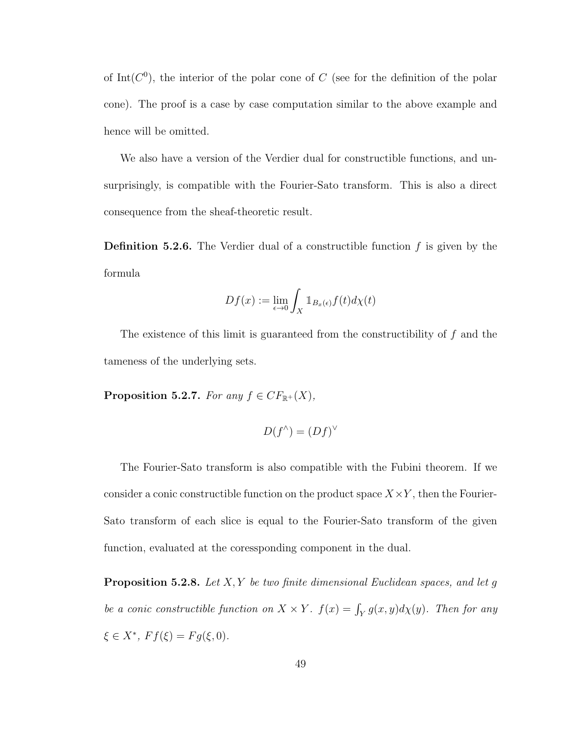of Int( $C^0$ ), the interior of the polar cone of C (see for the definition of the polar cone). The proof is a case by case computation similar to the above example and hence will be omitted.

We also have a version of the Verdier dual for constructible functions, and unsurprisingly, is compatible with the Fourier-Sato transform. This is also a direct consequence from the sheaf-theoretic result.

**Definition 5.2.6.** The Verdier dual of a constructible function  $f$  is given by the formula

$$
Df(x) := \lim_{\epsilon \to 0} \int_X 1\!\!1_{B_x(\epsilon)} f(t) d\chi(t)
$$

The existence of this limit is guaranteed from the constructibility of f and the tameness of the underlying sets.

**Proposition 5.2.7.** For any  $f \in CF_{\mathbb{R}^+}(X)$ ,

$$
D(f^{\wedge}) = (Df)^{\vee}
$$

The Fourier-Sato transform is also compatible with the Fubini theorem. If we consider a conic constructible function on the product space  $X \times Y$ , then the Fourier-Sato transform of each slice is equal to the Fourier-Sato transform of the given function, evaluated at the coressponding component in the dual.

**Proposition 5.2.8.** Let  $X, Y$  be two finite dimensional Euclidean spaces, and let g be a conic constructible function on  $X \times Y$ .  $f(x) = \int_Y g(x, y) d\chi(y)$ . Then for any  $\xi \in X^*, Ff(\xi) = Fg(\xi, 0).$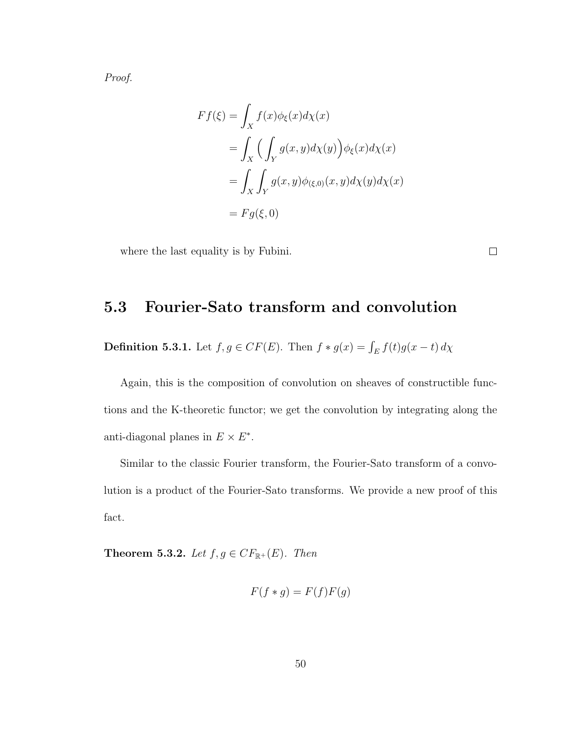Proof.

$$
Ff(\xi) = \int_X f(x)\phi_{\xi}(x)d\chi(x)
$$
  
= 
$$
\int_X \Big(\int_Y g(x,y)d\chi(y)\Big)\phi_{\xi}(x)d\chi(x)
$$
  
= 
$$
\int_X \int_Y g(x,y)\phi_{(\xi,0)}(x,y)d\chi(y)d\chi(x)
$$
  
= 
$$
Fg(\xi,0)
$$

where the last equality is by Fubini.

#### 5.3 Fourier-Sato transform and convolution

**Definition 5.3.1.** Let  $f, g \in CF(E)$ . Then  $f * g(x) = \int_E f(t)g(x-t) d\chi$ 

Again, this is the composition of convolution on sheaves of constructible functions and the K-theoretic functor; we get the convolution by integrating along the anti-diagonal planes in  $E \times E^*$ .

Similar to the classic Fourier transform, the Fourier-Sato transform of a convolution is a product of the Fourier-Sato transforms. We provide a new proof of this fact.

**Theorem 5.3.2.** Let  $f, g \in CF_{\mathbb{R}^+}(E)$ . Then

$$
F(f * g) = F(f)F(g)
$$

50

 $\Box$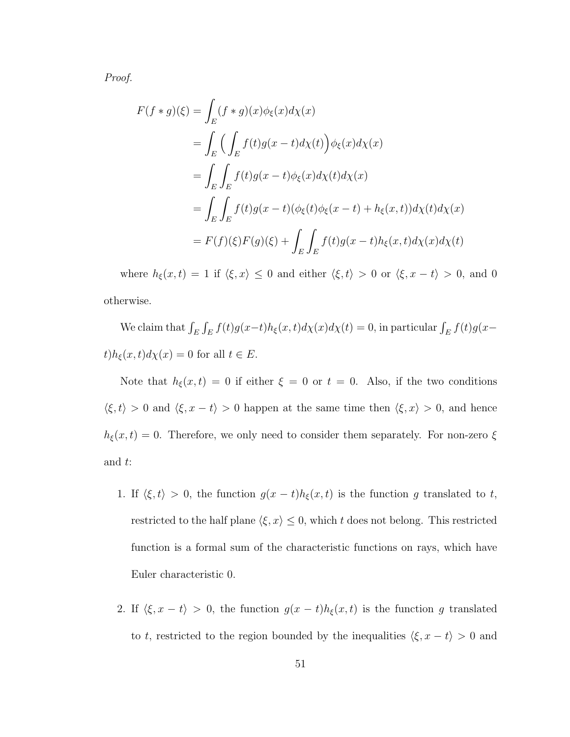Proof.

$$
F(f * g)(\xi) = \int_{E} (f * g)(x)\phi_{\xi}(x)d\chi(x)
$$
  
= 
$$
\int_{E} \left( \int_{E} f(t)g(x-t)d\chi(t) \right) \phi_{\xi}(x)d\chi(x)
$$
  
= 
$$
\int_{E} \int_{E} f(t)g(x-t)\phi_{\xi}(x)d\chi(t)d\chi(x)
$$
  
= 
$$
\int_{E} \int_{E} f(t)g(x-t)(\phi_{\xi}(t)\phi_{\xi}(x-t) + h_{\xi}(x,t))d\chi(t)d\chi(x)
$$
  
= 
$$
F(f)(\xi)F(g)(\xi) + \int_{E} \int_{E} f(t)g(x-t)h_{\xi}(x,t)d\chi(x)d\chi(t)
$$

where  $h_{\xi}(x, t) = 1$  if  $\langle \xi, x \rangle \le 0$  and either  $\langle \xi, t \rangle > 0$  or  $\langle \xi, x - t \rangle > 0$ , and 0 otherwise.

We claim that  $\int_E \int_E f(t)g(x-t)h_{\xi}(x,t)d\chi(x)d\chi(t) = 0$ , in particular  $\int_E f(t)g(x-t)dt$  $t)h_{\xi}(x,t)d\chi(x) = 0$  for all  $t \in E$ .

Note that  $h_{\xi}(x,t) = 0$  if either  $\xi = 0$  or  $t = 0$ . Also, if the two conditions  $\langle \xi, t \rangle > 0$  and  $\langle \xi, x - t \rangle > 0$  happen at the same time then  $\langle \xi, x \rangle > 0$ , and hence  $h_{\xi}(x,t) = 0$ . Therefore, we only need to consider them separately. For non-zero  $\xi$ and t:

- 1. If  $\langle \xi, t \rangle > 0$ , the function  $g(x t)h_{\xi}(x, t)$  is the function g translated to t, restricted to the half plane  $\langle \xi, x \rangle \leq 0$ , which t does not belong. This restricted function is a formal sum of the characteristic functions on rays, which have Euler characteristic 0.
- 2. If  $\langle \xi, x t \rangle > 0$ , the function  $g(x t)h_{\xi}(x, t)$  is the function g translated to t, restricted to the region bounded by the inequalities  $\langle \xi, x - t \rangle > 0$  and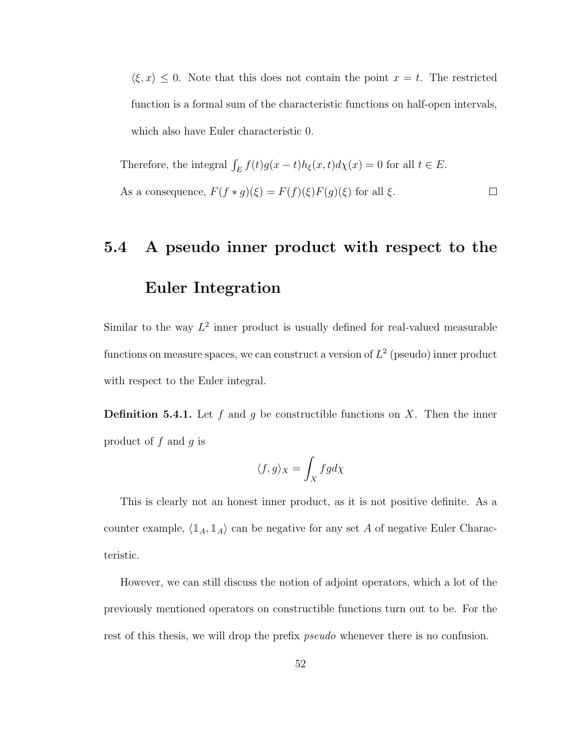$\langle \xi, x \rangle \leq 0$ . Note that this does not contain the point  $x = t$ . The restricted function is a formal sum of the characteristic functions on half-open intervals, which also have Euler characteristic 0.

Therefore, the integral  $\int_E f(t)g(x-t)h_{\xi}(x,t)d\chi(x) = 0$  for all  $t \in E$ . As a consequence,  $F(f * g)(\xi) = F(f)(\xi)F(g)(\xi)$  for all  $\xi$ .  $\Box$ 

# 5.4 A pseudo inner product with respect to the Euler Integration

Similar to the way  $L^2$  inner product is usually defined for real-valued measurable functions on measure spaces, we can construct a version of  $L^2$  (pseudo) inner product with respect to the Euler integral.

**Definition 5.4.1.** Let f and g be constructible functions on X. Then the inner product of  $f$  and  $q$  is

$$
\langle f,g\rangle_X=\int_X fg d\chi
$$

This is clearly not an honest inner product, as it is not positive definite. As a counter example,  $\langle \mathbb{1}_A, \mathbb{1}_A \rangle$  can be negative for any set A of negative Euler Characteristic.

However, we can still discuss the notion of adjoint operators, which a lot of the previously mentioned operators on constructible functions turn out to be. For the rest of this thesis, we will drop the prefix *pseudo* whenever there is no confusion.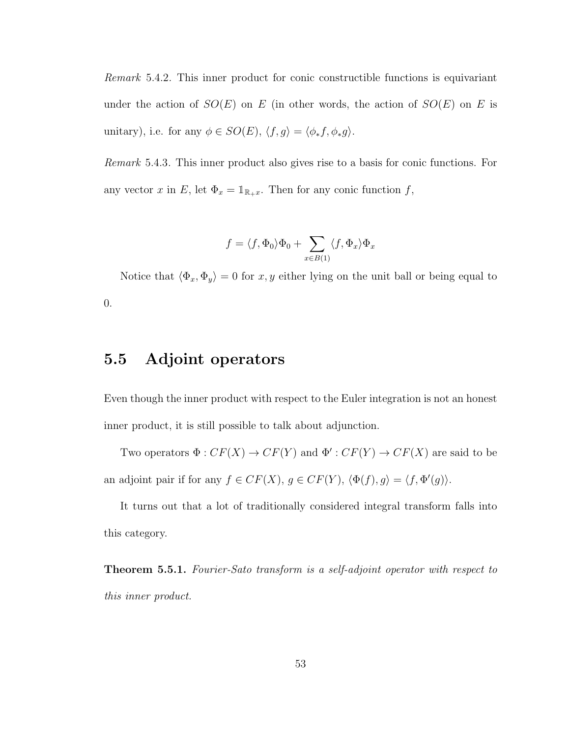Remark 5.4.2. This inner product for conic constructible functions is equivariant under the action of  $SO(E)$  on E (in other words, the action of  $SO(E)$  on E is unitary), i.e. for any  $\phi \in SO(E), \, \langle f, g \rangle = \langle \phi_* f, \phi_* g \rangle.$ 

Remark 5.4.3. This inner product also gives rise to a basis for conic functions. For any vector x in E, let  $\Phi_x = \mathbb{1}_{\mathbb{R}_+x}$ . Then for any conic function f,

$$
f = \langle f, \Phi_0 \rangle \Phi_0 + \sum_{x \in B(1)} \langle f, \Phi_x \rangle \Phi_x
$$

Notice that  $\langle \Phi_x, \Phi_y \rangle = 0$  for  $x, y$  either lying on the unit ball or being equal to 0.

### 5.5 Adjoint operators

Even though the inner product with respect to the Euler integration is not an honest inner product, it is still possible to talk about adjunction.

Two operators  $\Phi: CF(X) \to CF(Y)$  and  $\Phi': CF(Y) \to CF(X)$  are said to be an adjoint pair if for any  $f \in CF(X)$ ,  $g \in CF(Y)$ ,  $\langle \Phi(f), g \rangle = \langle f, \Phi'(g) \rangle$ .

It turns out that a lot of traditionally considered integral transform falls into this category.

**Theorem 5.5.1.** Fourier-Sato transform is a self-adjoint operator with respect to this inner product.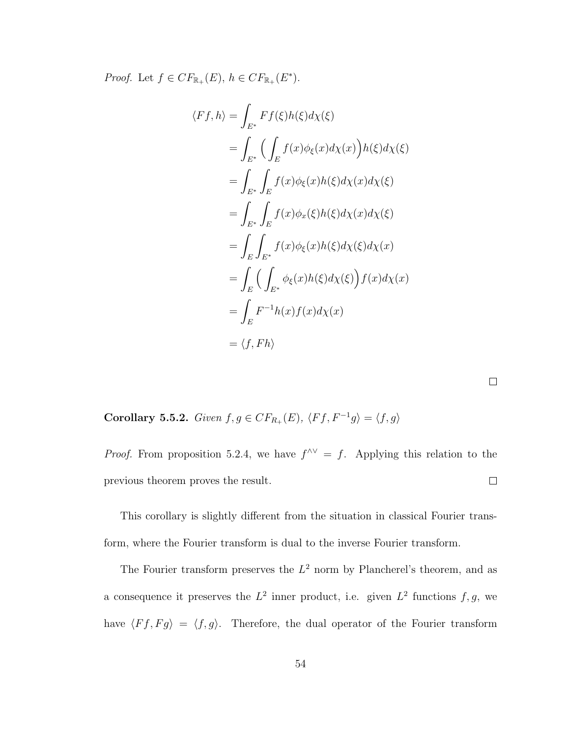*Proof.* Let  $f \in CF_{\mathbb{R}_+}(E)$ ,  $h \in CF_{\mathbb{R}_+}(E^*)$ .

$$
\langle Ff, h \rangle = \int_{E^*} Ff(\xi)h(\xi)d\chi(\xi)
$$
  
\n
$$
= \int_{E^*} \Big( \int_E f(x)\phi_{\xi}(x)d\chi(x) \Big)h(\xi)d\chi(\xi)
$$
  
\n
$$
= \int_{E^*} \int_E f(x)\phi_{\xi}(x)h(\xi)d\chi(x)d\chi(\xi)
$$
  
\n
$$
= \int_{E^*} \int_E f(x)\phi_x(\xi)h(\xi)d\chi(x)d\chi(\xi)
$$
  
\n
$$
= \int_E \int_{E^*} f(x)\phi_{\xi}(x)h(\xi)d\chi(\xi)d\chi(x)
$$
  
\n
$$
= \int_E \Big( \int_{E^*} \phi_{\xi}(x)h(\xi)d\chi(\xi) \Big) f(x)d\chi(x)
$$
  
\n
$$
= \int_E F^{-1}h(x)f(x)d\chi(x)
$$
  
\n
$$
= \langle f, Fh \rangle
$$

Corollary 5.5.2. Given  $f, g \in CF_{R_+}(E), \ \langle Ff, F^{-1}g \rangle = \langle f, g \rangle$ 

*Proof.* From proposition 5.2.4, we have  $f^{\wedge \vee} = f$ . Applying this relation to the previous theorem proves the result.  $\Box$ 

 $\Box$ 

This corollary is slightly different from the situation in classical Fourier transform, where the Fourier transform is dual to the inverse Fourier transform.

The Fourier transform preserves the  $L^2$  norm by Plancherel's theorem, and as a consequence it preserves the  $L^2$  inner product, i.e. given  $L^2$  functions  $f, g$ , we have  $\langle F f, F g \rangle = \langle f, g \rangle$ . Therefore, the dual operator of the Fourier transform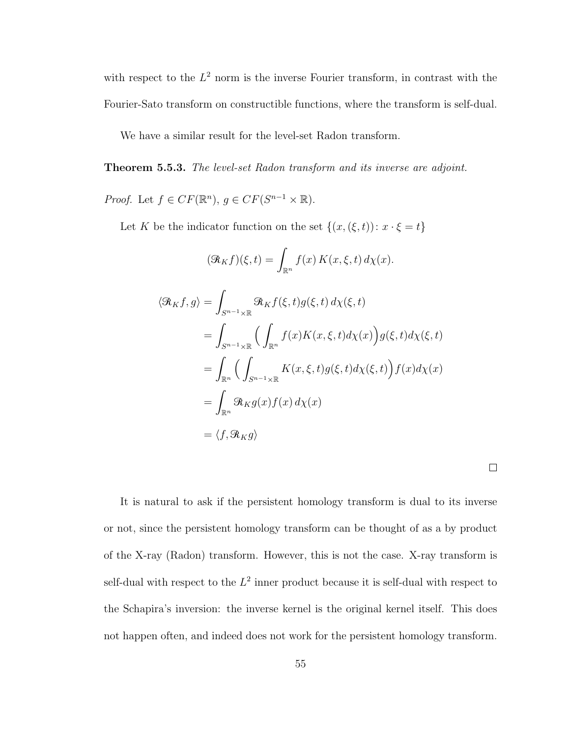with respect to the  $L^2$  norm is the inverse Fourier transform, in contrast with the Fourier-Sato transform on constructible functions, where the transform is self-dual.

We have a similar result for the level-set Radon transform.

Theorem 5.5.3. The level-set Radon transform and its inverse are adjoint.

*Proof.* Let  $f \in CF(\mathbb{R}^n)$ ,  $g \in CF(S^{n-1} \times \mathbb{R})$ .

Let K be the indicator function on the set  $\{(x,(\xi,t))\colon x\cdot\xi=t\}$ 

$$
(\mathcal{R}_K f)(\xi, t) = \int_{\mathbb{R}^n} f(x) K(x, \xi, t) d\chi(x).
$$
  

$$
\langle \mathcal{R}_K f, g \rangle = \int_{S^{n-1} \times \mathbb{R}} \mathcal{R}_K f(\xi, t) g(\xi, t) d\chi(\xi, t)
$$
  

$$
= \int_{S^{n-1} \times \mathbb{R}} \Big( \int_{\mathbb{R}^n} f(x) K(x, \xi, t) d\chi(x) \Big) g(\xi, t) d\chi(\xi, t)
$$
  

$$
= \int_{\mathbb{R}^n} \Big( \int_{S^{n-1} \times \mathbb{R}} K(x, \xi, t) g(\xi, t) d\chi(\xi, t) \Big) f(x) d\chi(x)
$$
  

$$
= \int_{\mathbb{R}^n} \mathcal{R}_K g(x) f(x) d\chi(x)
$$
  

$$
= \langle f, \mathcal{R}_K g \rangle
$$

It is natural to ask if the persistent homology transform is dual to its inverse or not, since the persistent homology transform can be thought of as a by product of the X-ray (Radon) transform. However, this is not the case. X-ray transform is self-dual with respect to the  $L^2$  inner product because it is self-dual with respect to the Schapira's inversion: the inverse kernel is the original kernel itself. This does not happen often, and indeed does not work for the persistent homology transform.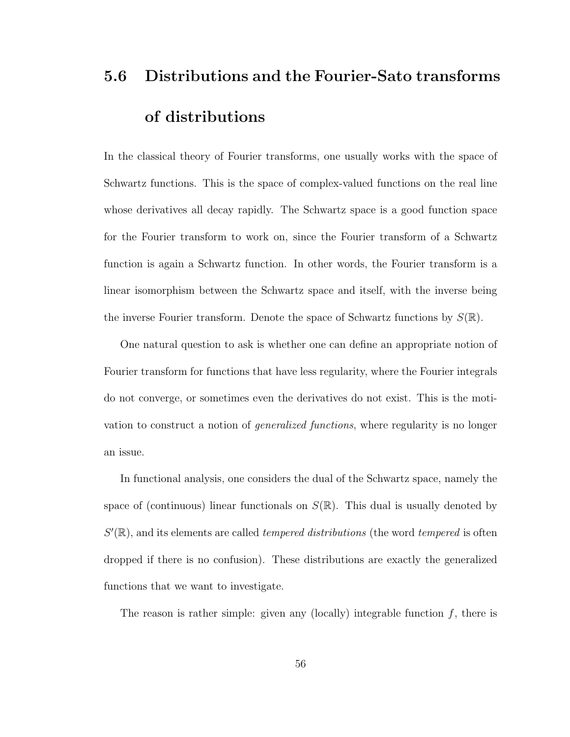# 5.6 Distributions and the Fourier-Sato transforms of distributions

In the classical theory of Fourier transforms, one usually works with the space of Schwartz functions. This is the space of complex-valued functions on the real line whose derivatives all decay rapidly. The Schwartz space is a good function space for the Fourier transform to work on, since the Fourier transform of a Schwartz function is again a Schwartz function. In other words, the Fourier transform is a linear isomorphism between the Schwartz space and itself, with the inverse being the inverse Fourier transform. Denote the space of Schwartz functions by  $S(\mathbb{R})$ .

One natural question to ask is whether one can define an appropriate notion of Fourier transform for functions that have less regularity, where the Fourier integrals do not converge, or sometimes even the derivatives do not exist. This is the motivation to construct a notion of generalized functions, where regularity is no longer an issue.

In functional analysis, one considers the dual of the Schwartz space, namely the space of (continuous) linear functionals on  $S(\mathbb{R})$ . This dual is usually denoted by  $S'(\mathbb{R})$ , and its elements are called *tempered distributions* (the word *tempered* is often dropped if there is no confusion). These distributions are exactly the generalized functions that we want to investigate.

The reason is rather simple: given any (locally) integrable function  $f$ , there is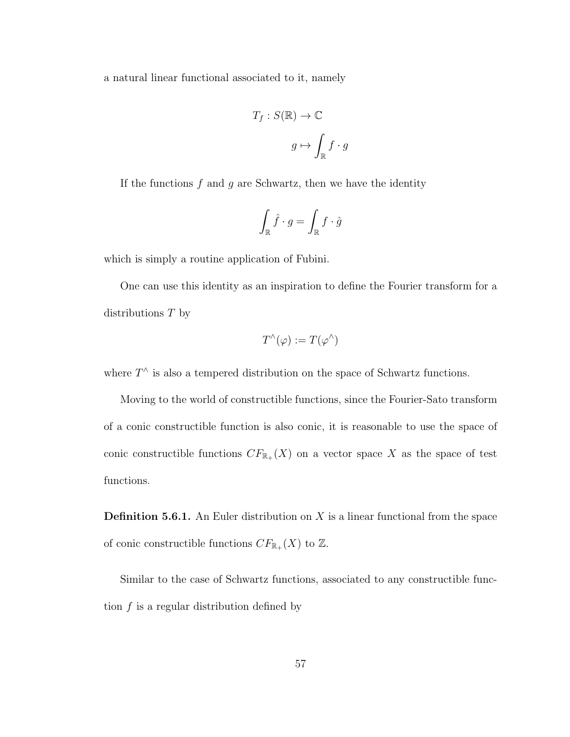a natural linear functional associated to it, namely

$$
T_f: S(\mathbb{R}) \to \mathbb{C}
$$
  

$$
g \mapsto \int_{\mathbb{R}} f \cdot g
$$

If the functions  $f$  and  $g$  are Schwartz, then we have the identity

$$
\int_{\mathbb{R}} \hat{f} \cdot g = \int_{\mathbb{R}} f \cdot \hat{g}
$$

which is simply a routine application of Fubini.

One can use this identity as an inspiration to define the Fourier transform for a distributions T by

$$
T^{\wedge}(\varphi) := T(\varphi^{\wedge})
$$

where  $T^{\wedge}$  is also a tempered distribution on the space of Schwartz functions.

Moving to the world of constructible functions, since the Fourier-Sato transform of a conic constructible function is also conic, it is reasonable to use the space of conic constructible functions  $CF_{\mathbb{R}_+}(X)$  on a vector space X as the space of test functions.

**Definition 5.6.1.** An Euler distribution on  $X$  is a linear functional from the space of conic constructible functions  $CF_{\mathbb{R}_+}(X)$  to  $\mathbb{Z}$ .

Similar to the case of Schwartz functions, associated to any constructible function  $f$  is a regular distribution defined by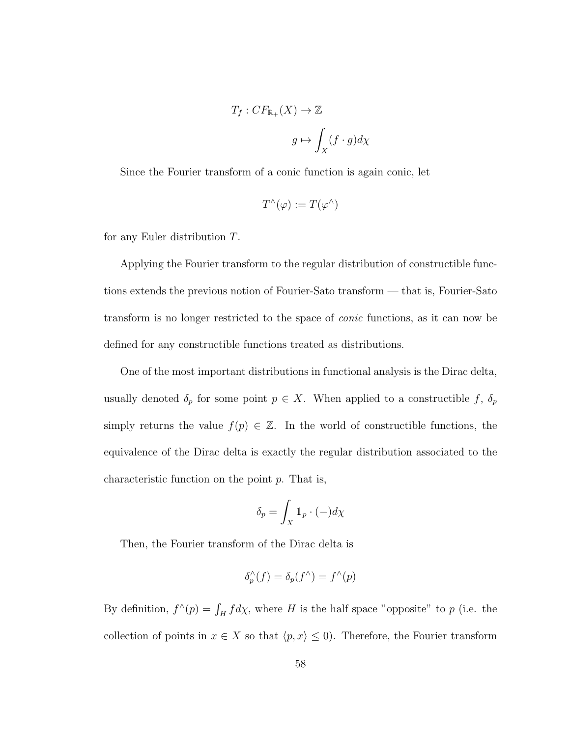$$
T_f: CF_{\mathbb{R}_+}(X) \to \mathbb{Z}
$$

$$
g \mapsto \int_X (f \cdot g) d\chi
$$

Since the Fourier transform of a conic function is again conic, let

$$
T^{\wedge}(\varphi) := T(\varphi^{\wedge})
$$

for any Euler distribution T.

Applying the Fourier transform to the regular distribution of constructible functions extends the previous notion of Fourier-Sato transform — that is, Fourier-Sato transform is no longer restricted to the space of conic functions, as it can now be defined for any constructible functions treated as distributions.

One of the most important distributions in functional analysis is the Dirac delta, usually denoted  $\delta_p$  for some point  $p \in X$ . When applied to a constructible f,  $\delta_p$ simply returns the value  $f(p) \in \mathbb{Z}$ . In the world of constructible functions, the equivalence of the Dirac delta is exactly the regular distribution associated to the characteristic function on the point  $p$ . That is,

$$
\delta_p = \int_X \mathbb{1}_p \cdot (-) d\chi
$$

Then, the Fourier transform of the Dirac delta is

$$
\delta_p^{\wedge}(f)=\delta_p(f^{\wedge})=f^{\wedge}(p)
$$

By definition,  $f^{\wedge}(p) = \int_H f d\chi$ , where H is the half space "opposite" to p (i.e. the collection of points in  $x \in X$  so that  $\langle p, x \rangle \leq 0$ . Therefore, the Fourier transform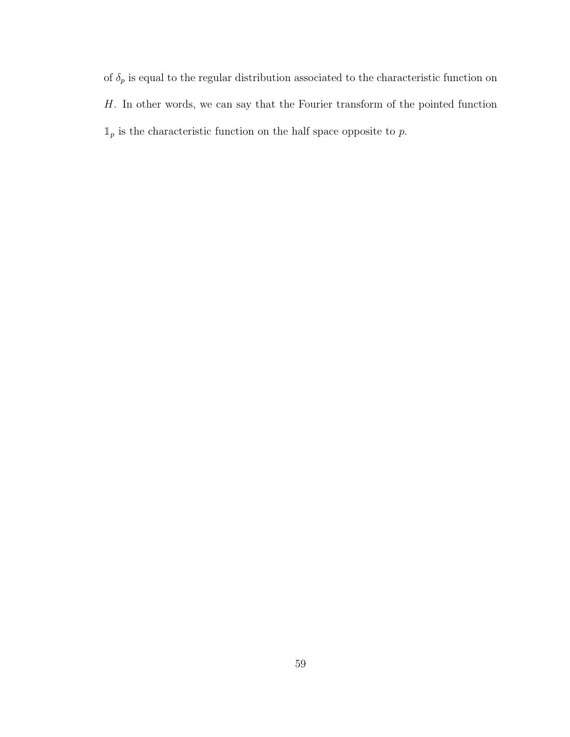of  $\delta_p$  is equal to the regular distribution associated to the characteristic function on H. In other words, we can say that the Fourier transform of the pointed function  $\mathbbm{1}_p$  is the characteristic function on the half space opposite to  $p.$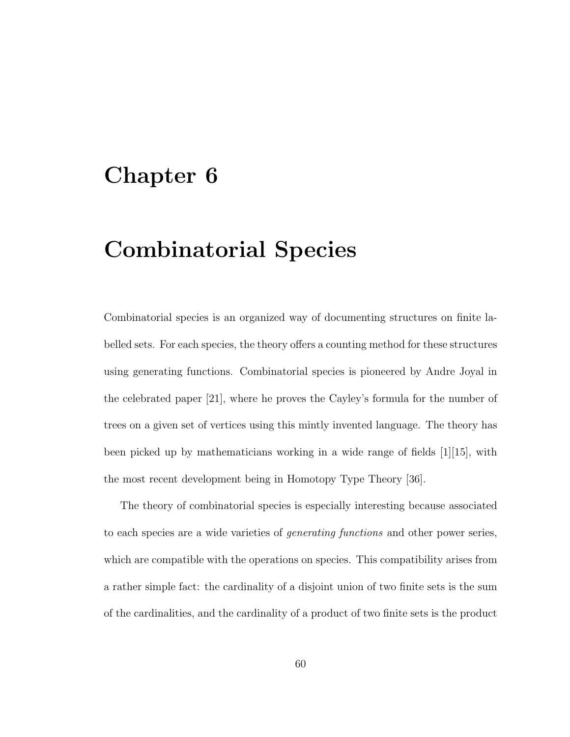## Chapter 6

## Combinatorial Species

Combinatorial species is an organized way of documenting structures on finite labelled sets. For each species, the theory offers a counting method for these structures using generating functions. Combinatorial species is pioneered by Andre Joyal in the celebrated paper [21], where he proves the Cayley's formula for the number of trees on a given set of vertices using this mintly invented language. The theory has been picked up by mathematicians working in a wide range of fields [1][15], with the most recent development being in Homotopy Type Theory [36].

The theory of combinatorial species is especially interesting because associated to each species are a wide varieties of generating functions and other power series, which are compatible with the operations on species. This compatibility arises from a rather simple fact: the cardinality of a disjoint union of two finite sets is the sum of the cardinalities, and the cardinality of a product of two finite sets is the product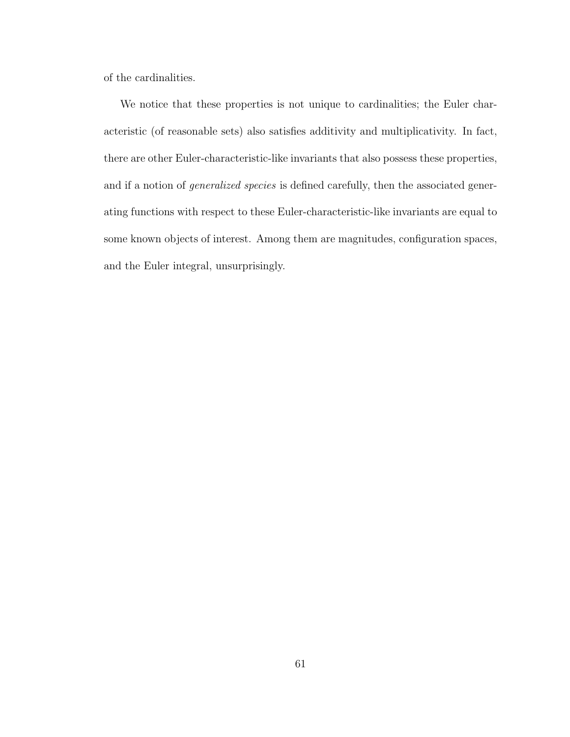of the cardinalities.

We notice that these properties is not unique to cardinalities; the Euler characteristic (of reasonable sets) also satisfies additivity and multiplicativity. In fact, there are other Euler-characteristic-like invariants that also possess these properties, and if a notion of generalized species is defined carefully, then the associated generating functions with respect to these Euler-characteristic-like invariants are equal to some known objects of interest. Among them are magnitudes, configuration spaces, and the Euler integral, unsurprisingly.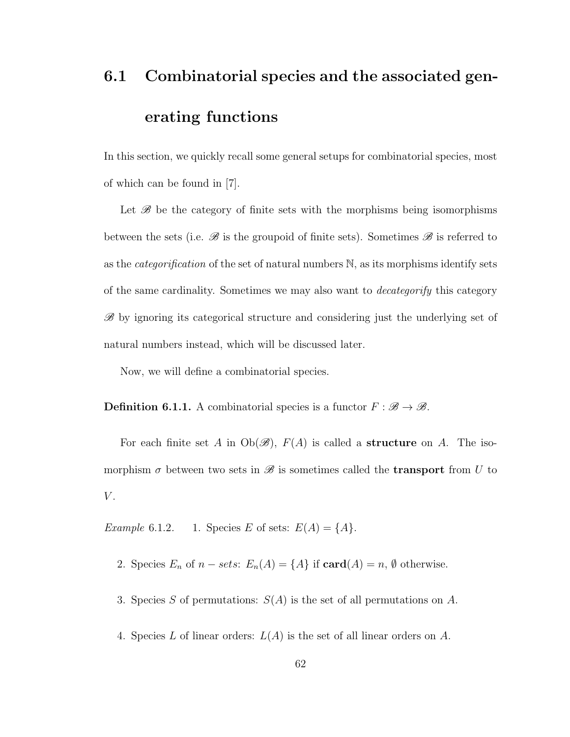## 6.1 Combinatorial species and the associated generating functions

In this section, we quickly recall some general setups for combinatorial species, most of which can be found in [7].

Let  $\mathscr B$  be the category of finite sets with the morphisms being isomorphisms between the sets (i.e.  $\mathscr{B}$  is the groupoid of finite sets). Sometimes  $\mathscr{B}$  is referred to as the *categorification* of the set of natural numbers  $\mathbb{N}$ , as its morphisms identify sets of the same cardinality. Sometimes we may also want to *decategorify* this category  $\mathscr{B}$  by ignoring its categorical structure and considering just the underlying set of natural numbers instead, which will be discussed later.

Now, we will define a combinatorial species.

**Definition 6.1.1.** A combinatorial species is a functor  $F : \mathcal{B} \to \mathcal{B}$ .

For each finite set A in  $Ob(\mathscr{B})$ ,  $F(A)$  is called a **structure** on A. The isomorphism  $\sigma$  between two sets in  $\mathscr B$  is sometimes called the **transport** from U to  $V$ .

Example 6.1.2. 1. Species E of sets:  $E(A) = \{A\}.$ 

- 2. Species  $E_n$  of  $n sets$ :  $E_n(A) = \{A\}$  if  $\text{card}(A) = n, \emptyset$  otherwise.
- 3. Species S of permutations:  $S(A)$  is the set of all permutations on A.
- 4. Species L of linear orders:  $L(A)$  is the set of all linear orders on A.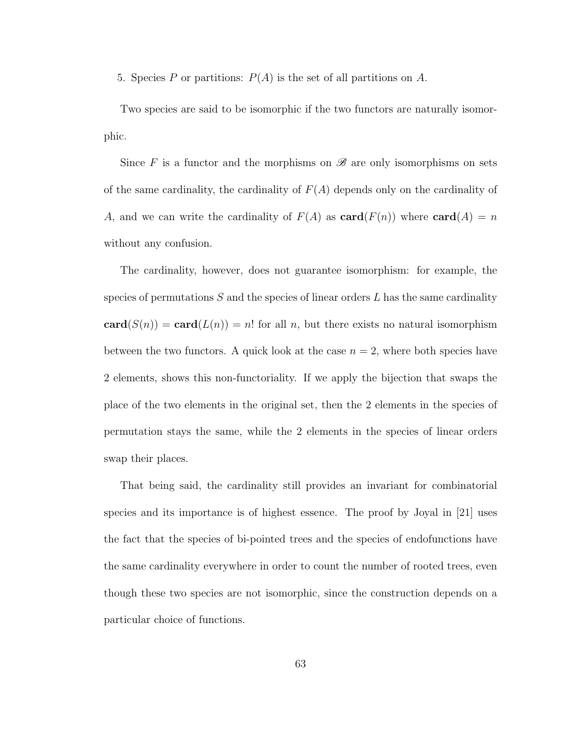5. Species P or partitions:  $P(A)$  is the set of all partitions on A.

Two species are said to be isomorphic if the two functors are naturally isomorphic.

Since F is a functor and the morphisms on  $\mathscr{B}$  are only isomorphisms on sets of the same cardinality, the cardinality of  $F(A)$  depends only on the cardinality of A, and we can write the cardinality of  $F(A)$  as  $card(F(n))$  where  $card(A) = n$ without any confusion.

The cardinality, however, does not guarantee isomorphism: for example, the species of permutations  $S$  and the species of linear orders  $L$  has the same cardinality  $card(S(n)) = card(L(n)) = n!$  for all n, but there exists no natural isomorphism between the two functors. A quick look at the case  $n = 2$ , where both species have 2 elements, shows this non-functoriality. If we apply the bijection that swaps the place of the two elements in the original set, then the 2 elements in the species of permutation stays the same, while the 2 elements in the species of linear orders swap their places.

That being said, the cardinality still provides an invariant for combinatorial species and its importance is of highest essence. The proof by Joyal in [21] uses the fact that the species of bi-pointed trees and the species of endofunctions have the same cardinality everywhere in order to count the number of rooted trees, even though these two species are not isomorphic, since the construction depends on a particular choice of functions.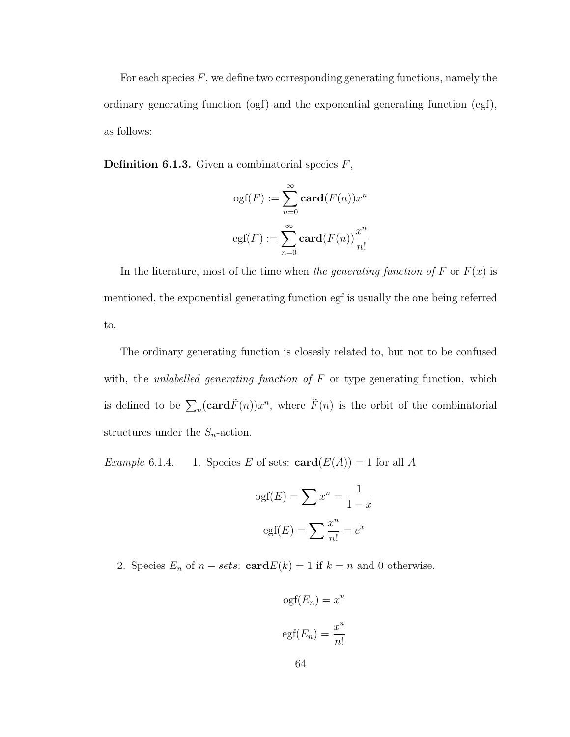For each species  $F$ , we define two corresponding generating functions, namely the ordinary generating function (ogf) and the exponential generating function (egf), as follows:

**Definition 6.1.3.** Given a combinatorial species  $F$ ,

$$
ogf(F) := \sum_{n=0}^{\infty} \mathbf{card}(F(n))x^n
$$

$$
egf(F) := \sum_{n=0}^{\infty} \mathbf{card}(F(n))\frac{x^n}{n!}
$$

In the literature, most of the time when the generating function of F or  $F(x)$  is mentioned, the exponential generating function egf is usually the one being referred to.

The ordinary generating function is closesly related to, but not to be confused with, the unlabelled generating function of  $F$  or type generating function, which is defined to be  $\sum_{n}(\mathbf{card}\tilde{F}(n))x^{n}$ , where  $\tilde{F}(n)$  is the orbit of the combinatorial structures under the  $S_n$ -action.

*Example* 6.1.4. 1. Species E of sets:  $\mathbf{card}(E(A)) = 1$  for all A

$$
ogf(E) = \sum x^n = \frac{1}{1-x}
$$

$$
egf(E) = \sum \frac{x^n}{n!} = e^x
$$

2. Species  $E_n$  of  $n - sets: \text{card } E(k) = 1$  if  $k = n$  and 0 otherwise.

$$
ogf(E_n) = x^n
$$

$$
egf(E_n) = \frac{x^n}{n!}
$$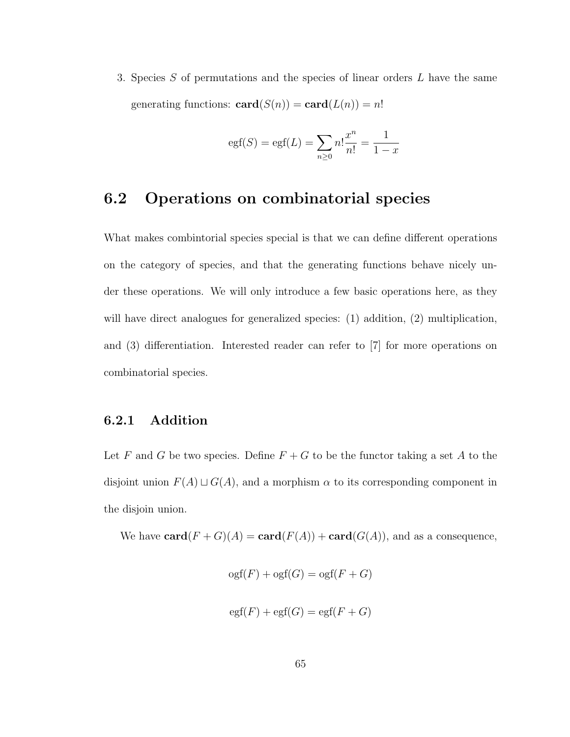3. Species S of permutations and the species of linear orders L have the same generating functions:  $\mathbf{card}(S(n)) = \mathbf{card}(L(n)) = n!$ 

$$
egf(S) = egf(L) = \sum_{n \ge 0} n! \frac{x^n}{n!} = \frac{1}{1-x}
$$

### 6.2 Operations on combinatorial species

What makes combintorial species special is that we can define different operations on the category of species, and that the generating functions behave nicely under these operations. We will only introduce a few basic operations here, as they will have direct analogues for generalized species: (1) addition, (2) multiplication, and (3) differentiation. Interested reader can refer to [7] for more operations on combinatorial species.

#### 6.2.1 Addition

Let F and G be two species. Define  $F + G$  to be the functor taking a set A to the disjoint union  $F(A) \sqcup G(A)$ , and a morphism  $\alpha$  to its corresponding component in the disjoin union.

We have  $\mathbf{card}(F+G)(A) = \mathbf{card}(F(A)) + \mathbf{card}(G(A))$ , and as a consequence,

$$
ogf(F) + ogf(G) = ogf(F + G)
$$
  

$$
egf(F) + egf(G) = egf(F + G)
$$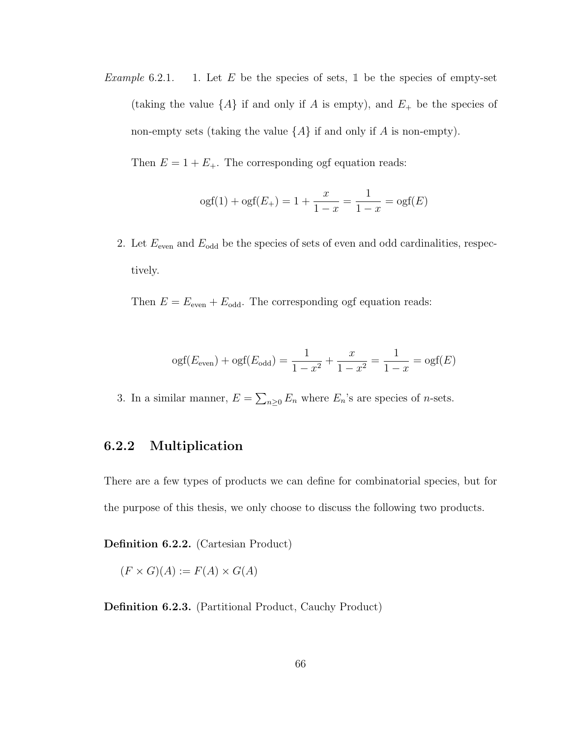Example 6.2.1. 1. Let E be the species of sets,  $\mathbb{1}$  be the species of empty-set (taking the value  $\{A\}$  if and only if A is empty), and  $E_+$  be the species of non-empty sets (taking the value  $\{A\}$  if and only if A is non-empty).

Then  $E = 1 + E_+$ . The corresponding ogf equation reads:

$$
ogf(1) + ogf(E_{+}) = 1 + \frac{x}{1 - x} = \frac{1}{1 - x} = ogf(E)
$$

2. Let  $E_{\text{even}}$  and  $E_{\text{odd}}$  be the species of sets of even and odd cardinalities, respectively.

Then  $E = E<sub>even</sub> + E<sub>odd</sub>$ . The corresponding ogf equation reads:

$$
ogf(E_{even}) + ogf(E_{odd}) = \frac{1}{1 - x^2} + \frac{x}{1 - x^2} = \frac{1}{1 - x} = ogf(E)
$$

3. In a similar manner,  $E = \sum_{n\geq 0} E_n$  where  $E_n$ 's are species of *n*-sets.

#### 6.2.2 Multiplication

There are a few types of products we can define for combinatorial species, but for the purpose of this thesis, we only choose to discuss the following two products.

Definition 6.2.2. (Cartesian Product)

$$
(F \times G)(A) := F(A) \times G(A)
$$

Definition 6.2.3. (Partitional Product, Cauchy Product)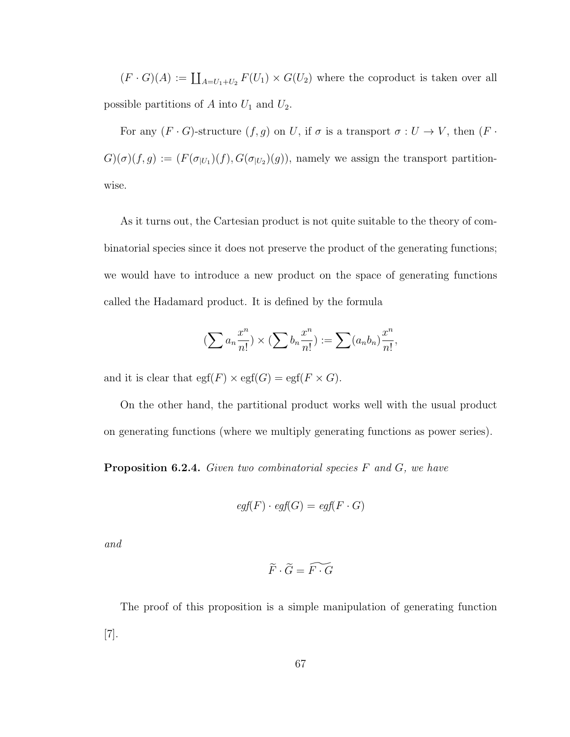$(F \cdot G)(A) := \coprod_{A=U_1+U_2} F(U_1) \times G(U_2)$  where the coproduct is taken over all possible partitions of A into  $U_1$  and  $U_2$ .

For any  $(F \cdot G)$ -structure  $(f, g)$  on U, if  $\sigma$  is a transport  $\sigma : U \to V$ , then  $(F \cdot G)$  $G)(\sigma)(f,g) := (F(\sigma_{|U_1})(f), G(\sigma_{|U_2})(g))$ , namely we assign the transport partitionwise.

As it turns out, the Cartesian product is not quite suitable to the theory of combinatorial species since it does not preserve the product of the generating functions; we would have to introduce a new product on the space of generating functions called the Hadamard product. It is defined by the formula

$$
\left(\sum a_n \frac{x^n}{n!}\right) \times \left(\sum b_n \frac{x^n}{n!}\right) := \sum (a_n b_n) \frac{x^n}{n!},
$$

and it is clear that  $\text{egf}(F) \times \text{egf}(G) = \text{egf}(F \times G)$ .

On the other hand, the partitional product works well with the usual product on generating functions (where we multiply generating functions as power series).

**Proposition 6.2.4.** Given two combinatorial species  $F$  and  $G$ , we have

$$
egf(F) \cdot egf(G) = egf(F \cdot G)
$$

and

$$
\widetilde{F} \cdot \widetilde{G} = \widetilde{F \cdot G}
$$

The proof of this proposition is a simple manipulation of generating function [7].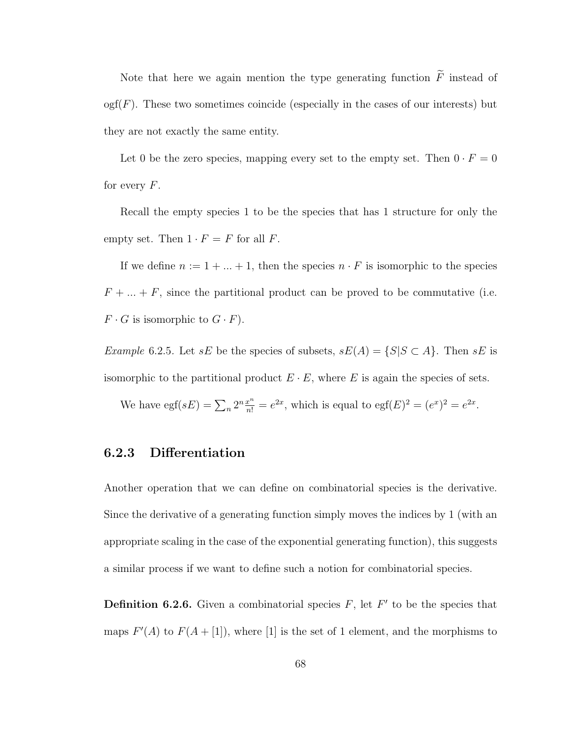Note that here we again mention the type generating function  $\widetilde{F}$  instead of  $\text{ogf}(F)$ . These two sometimes coincide (especially in the cases of our interests) but they are not exactly the same entity.

Let 0 be the zero species, mapping every set to the empty set. Then  $0 \cdot F = 0$ for every  $F$ .

Recall the empty species 1 to be the species that has 1 structure for only the empty set. Then  $1 \cdot F = F$  for all F.

If we define  $n := 1 + \ldots + 1$ , then the species  $n \cdot F$  is isomorphic to the species  $F + \ldots + F$ , since the partitional product can be proved to be commutative (i.e.  $F \cdot G$  is isomorphic to  $G \cdot F$ ).

Example 6.2.5. Let  $sE$  be the species of subsets,  $sE(A) = \{S | S \subset A\}$ . Then  $sE$  is isomorphic to the partitional product  $E \cdot E$ , where E is again the species of sets.

We have  $\operatorname{egf}(sE) = \sum_n 2^n \frac{x^n}{n!} = e^{2x}$ , which is equal to  $\operatorname{egf}(E)^2 = (e^x)^2 = e^{2x}$ .

#### 6.2.3 Differentiation

Another operation that we can define on combinatorial species is the derivative. Since the derivative of a generating function simply moves the indices by 1 (with an appropriate scaling in the case of the exponential generating function), this suggests a similar process if we want to define such a notion for combinatorial species.

**Definition 6.2.6.** Given a combinatorial species  $F$ , let  $F'$  to be the species that maps  $F'(A)$  to  $F(A + [1])$ , where [1] is the set of 1 element, and the morphisms to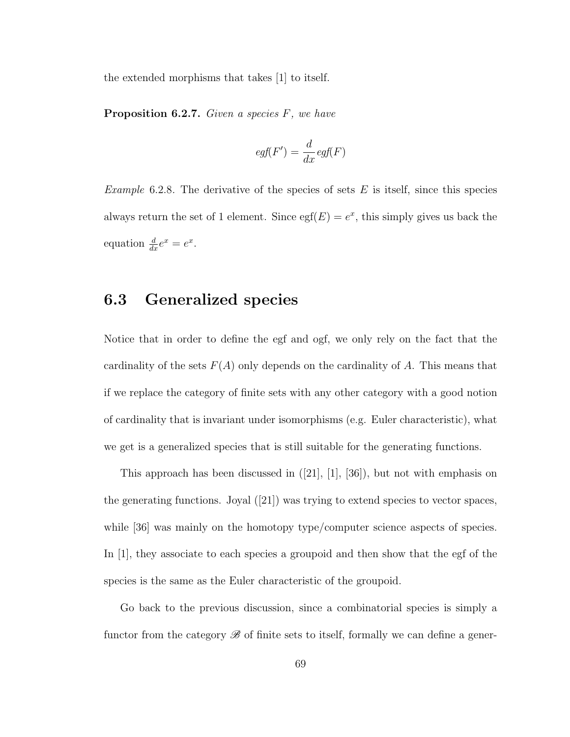the extended morphisms that takes [1] to itself.

**Proposition 6.2.7.** Given a species  $F$ , we have

$$
egf(F') = \frac{d}{dx} egf(F)
$$

*Example* 6.2.8. The derivative of the species of sets  $E$  is itself, since this species always return the set of 1 element. Since  $\text{egf}(E) = e^x$ , this simply gives us back the equation  $\frac{d}{dx}e^x = e^x$ .

### 6.3 Generalized species

Notice that in order to define the egf and ogf, we only rely on the fact that the cardinality of the sets  $F(A)$  only depends on the cardinality of A. This means that if we replace the category of finite sets with any other category with a good notion of cardinality that is invariant under isomorphisms (e.g. Euler characteristic), what we get is a generalized species that is still suitable for the generating functions.

This approach has been discussed in  $([21], [1], [36])$ , but not with emphasis on the generating functions. Joyal ([21]) was trying to extend species to vector spaces, while [36] was mainly on the homotopy type/computer science aspects of species. In [1], they associate to each species a groupoid and then show that the egf of the species is the same as the Euler characteristic of the groupoid.

Go back to the previous discussion, since a combinatorial species is simply a functor from the category  $\mathscr B$  of finite sets to itself, formally we can define a gener-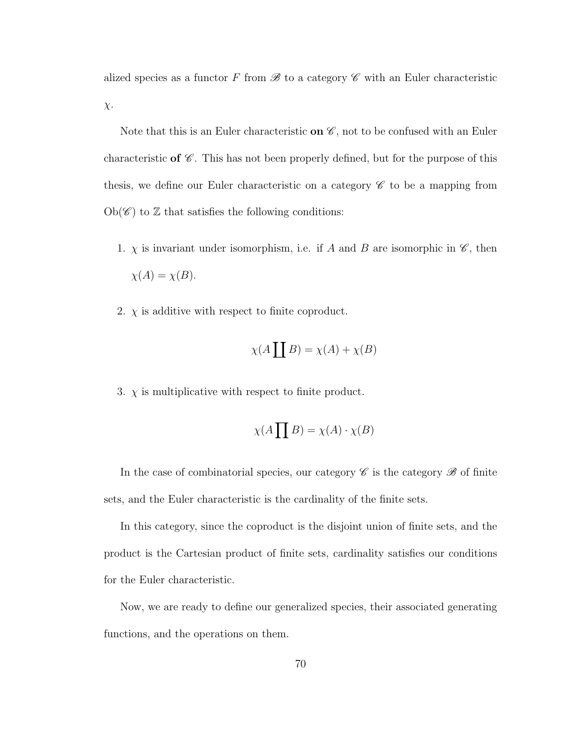alized species as a functor F from  $\mathscr B$  to a category  $\mathscr C$  with an Euler characteristic χ.

Note that this is an Euler characteristic on  $\mathscr{C}$ , not to be confused with an Euler characteristic of  $\mathscr C$ . This has not been properly defined, but for the purpose of this thesis, we define our Euler characteristic on a category  $\mathscr C$  to be a mapping from  $Ob(\mathscr{C})$  to  $\mathbb Z$  that satisfies the following conditions:

- 1.  $\chi$  is invariant under isomorphism, i.e. if A and B are isomorphic in  $\mathscr{C}$ , then  $\chi(A) = \chi(B).$
- 2.  $\chi$  is additive with respect to finite coproduct.

$$
\chi(A \coprod B) = \chi(A) + \chi(B)
$$

3.  $\chi$  is multiplicative with respect to finite product.

$$
\chi(A\prod B) = \chi(A) \cdot \chi(B)
$$

In the case of combinatorial species, our category  $\mathscr C$  is the category  $\mathscr B$  of finite sets, and the Euler characteristic is the cardinality of the finite sets.

In this category, since the coproduct is the disjoint union of finite sets, and the product is the Cartesian product of finite sets, cardinality satisfies our conditions for the Euler characteristic.

Now, we are ready to define our generalized species, their associated generating functions, and the operations on them.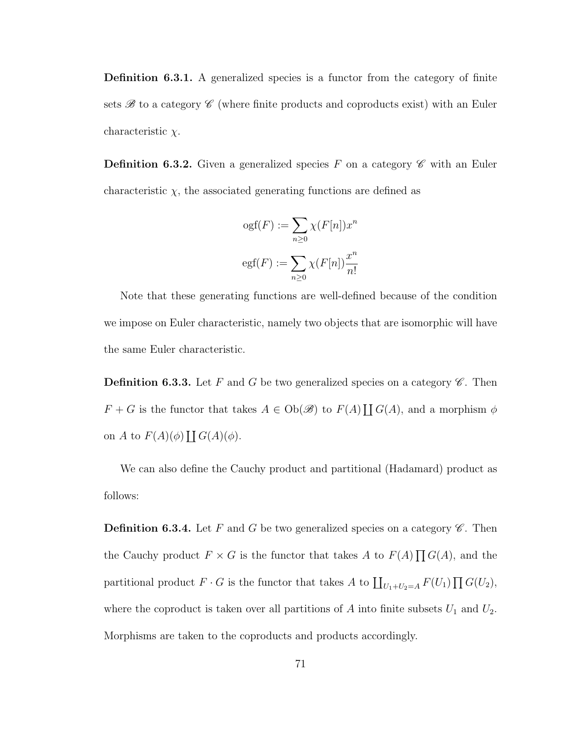Definition 6.3.1. A generalized species is a functor from the category of finite sets  $\mathscr{B}$  to a category  $\mathscr{C}$  (where finite products and coproducts exist) with an Euler characteristic  $\chi$ .

**Definition 6.3.2.** Given a generalized species F on a category  $\mathscr{C}$  with an Euler characteristic  $\chi$ , the associated generating functions are defined as

$$
ogf(F) := \sum_{n\geq 0} \chi(F[n])x^n
$$
  

$$
egf(F) := \sum_{n\geq 0} \chi(F[n])\frac{x^n}{n!}
$$

Note that these generating functions are well-defined because of the condition we impose on Euler characteristic, namely two objects that are isomorphic will have the same Euler characteristic.

**Definition 6.3.3.** Let F and G be two generalized species on a category  $\mathscr{C}$ . Then  $F + G$  is the functor that takes  $A \in Ob(\mathscr{B})$  to  $F(A) \coprod G(A)$ , and a morphism  $\phi$ on A to  $F(A)(\phi)$   $\prod G(A)(\phi)$ .

We can also define the Cauchy product and partitional (Hadamard) product as follows:

**Definition 6.3.4.** Let F and G be two generalized species on a category  $\mathscr{C}$ . Then the Cauchy product  $F \times G$  is the functor that takes A to  $F(A) \prod G(A)$ , and the partitional product  $F \cdot G$  is the functor that takes A to  $\coprod_{U_1+U_2=A} F(U_1) \prod G(U_2)$ , where the coproduct is taken over all partitions of  $A$  into finite subsets  $U_1$  and  $U_2$ . Morphisms are taken to the coproducts and products accordingly.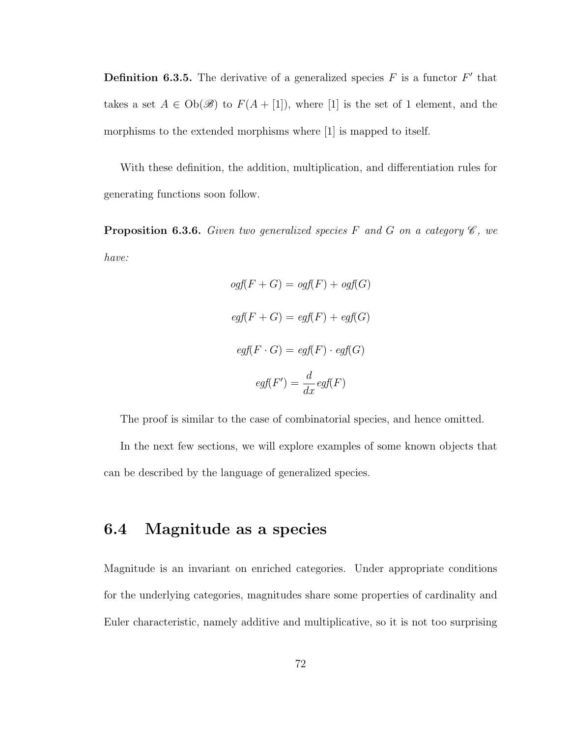**Definition 6.3.5.** The derivative of a generalized species  $F$  is a functor  $F'$  that takes a set  $A \in Ob(\mathscr{B})$  to  $F(A + [1])$ , where [1] is the set of 1 element, and the morphisms to the extended morphisms where [1] is mapped to itself.

With these definition, the addition, multiplication, and differentiation rules for generating functions soon follow.

**Proposition 6.3.6.** Given two generalized species F and G on a category  $\mathscr{C}$ , we have:

$$
ogf(F+G) = ogf(F) + ogf(G)
$$

$$
egf(F+G) = egf(F) + egf(G)
$$

$$
egf(F \cdot G) = egf(F) \cdot egf(G)
$$

$$
egf(F') = \frac{d}{dx} egf(F)
$$

The proof is similar to the case of combinatorial species, and hence omitted.

In the next few sections, we will explore examples of some known objects that can be described by the language of generalized species.

### 6.4 Magnitude as a species

Magnitude is an invariant on enriched categories. Under appropriate conditions for the underlying categories, magnitudes share some properties of cardinality and Euler characteristic, namely additive and multiplicative, so it is not too surprising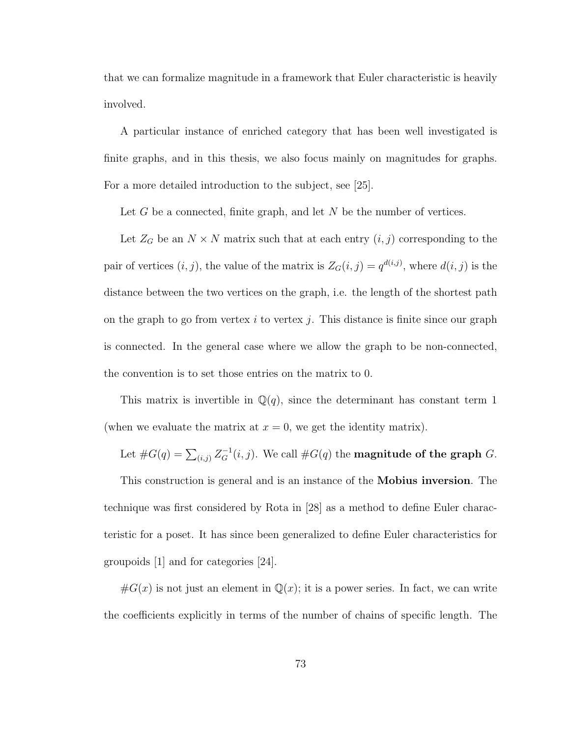that we can formalize magnitude in a framework that Euler characteristic is heavily involved.

A particular instance of enriched category that has been well investigated is finite graphs, and in this thesis, we also focus mainly on magnitudes for graphs. For a more detailed introduction to the subject, see [25].

Let  $G$  be a connected, finite graph, and let  $N$  be the number of vertices.

Let  $Z_G$  be an  $N \times N$  matrix such that at each entry  $(i, j)$  corresponding to the pair of vertices  $(i, j)$ , the value of the matrix is  $Z_G(i, j) = q^{d(i,j)}$ , where  $d(i, j)$  is the distance between the two vertices on the graph, i.e. the length of the shortest path on the graph to go from vertex  $i$  to vertex  $j$ . This distance is finite since our graph is connected. In the general case where we allow the graph to be non-connected, the convention is to set those entries on the matrix to 0.

This matrix is invertible in  $\mathbb{Q}(q)$ , since the determinant has constant term 1 (when we evaluate the matrix at  $x = 0$ , we get the identity matrix).

### Let  $\#G(q) = \sum_{(i,j)} Z_G^{-1}(i,j)$ . We call  $\#G(q)$  the **magnitude of the graph**  $G$ .

This construction is general and is an instance of the Mobius inversion. The technique was first considered by Rota in [28] as a method to define Euler characteristic for a poset. It has since been generalized to define Euler characteristics for groupoids [1] and for categories [24].

 $\#G(x)$  is not just an element in  $\mathbb{Q}(x)$ ; it is a power series. In fact, we can write the coefficients explicitly in terms of the number of chains of specific length. The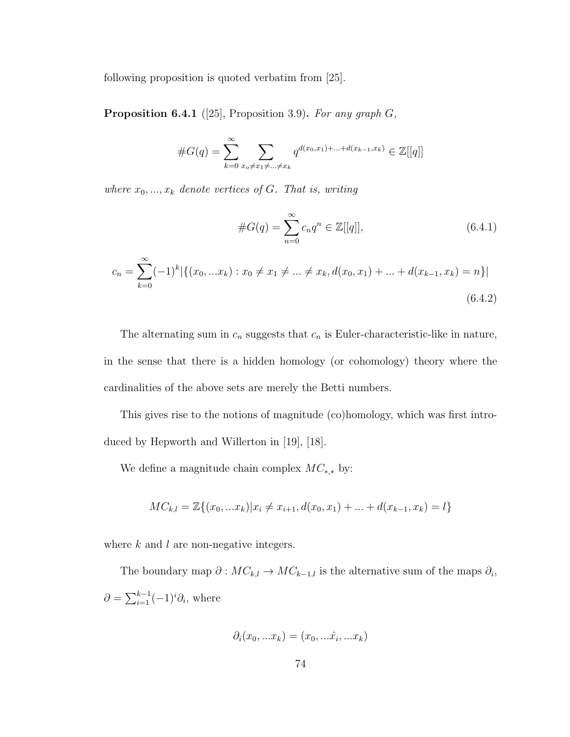following proposition is quoted verbatim from [25].

**Proposition 6.4.1** ([25], Proposition 3.9). For any graph  $G$ ,

#G(q) = <sup>X</sup><sup>∞</sup> k=0 X xo6=x16=...6=x<sup>k</sup> q <sup>d</sup>(x0,x1)+...+d(xk−1,xk) ∈ Z[[q]]

where  $x_0, ..., x_k$  denote vertices of G. That is, writing

$$
#G(q) = \sum_{n=0}^{\infty} c_n q^n \in \mathbb{Z}[[q]],
$$
\n(6.4.1)

$$
c_n = \sum_{k=0}^{\infty} (-1)^k |\{(x_0, ... x_k) : x_0 \neq x_1 \neq ... \neq x_k, d(x_0, x_1) + ... + d(x_{k-1}, x_k) = n\}|
$$
\n(6.4.2)

The alternating sum in  $c_n$  suggests that  $c_n$  is Euler-characteristic-like in nature, in the sense that there is a hidden homology (or cohomology) theory where the cardinalities of the above sets are merely the Betti numbers.

This gives rise to the notions of magnitude (co)homology, which was first introduced by Hepworth and Willerton in [19], [18].

We define a magnitude chain complex  $MC_{*,*}$  by:

$$
MC_{k,l} = \mathbb{Z}\{(x_0, ... x_k)|x_i \neq x_{i+1}, d(x_0, x_1) + ... + d(x_{k-1}, x_k) = l\}
$$

where  $k$  and  $l$  are non-negative integers.

The boundary map  $\partial : MC_{k,l} \to MC_{k-1,l}$  is the alternative sum of the maps  $\partial_i$ ,  $\partial = \sum_{i=1}^{k-1} (-1)^i \partial_i$ , where

$$
\partial_i(x_0,...x_k)=(x_0,...\hat{x}_i,...x_k)
$$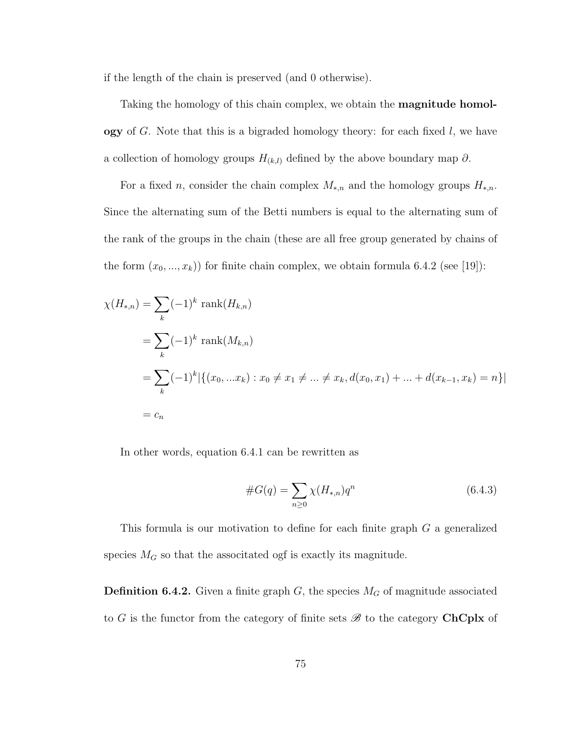if the length of the chain is preserved (and 0 otherwise).

Taking the homology of this chain complex, we obtain the magnitude homol**ogy** of G. Note that this is a bigraded homology theory: for each fixed  $l$ , we have a collection of homology groups  $H_{(k,l)}$  defined by the above boundary map  $\partial$ .

For a fixed n, consider the chain complex  $M_{*,n}$  and the homology groups  $H_{*,n}$ . Since the alternating sum of the Betti numbers is equal to the alternating sum of the rank of the groups in the chain (these are all free group generated by chains of the form  $(x_0, ..., x_k)$  for finite chain complex, we obtain formula 6.4.2 (see [19]):

$$
\chi(H_{*,n}) = \sum_{k} (-1)^{k} \text{ rank}(H_{k,n})
$$
  
=  $\sum_{k} (-1)^{k} \text{ rank}(M_{k,n})$   
=  $\sum_{k} (-1)^{k} |\{(x_{0},...x_{k}) : x_{0} \neq x_{1} \neq ... \neq x_{k}, d(x_{0},x_{1}) + ... + d(x_{k-1},x_{k}) = n\}|$   
=  $c_{n}$ 

In other words, equation 6.4.1 can be rewritten as

#G(q) = X n≥0 χ(H<sup>∗</sup>,n)q n (6.4.3)

This formula is our motivation to define for each finite graph G a generalized species  $M_G$  so that the associtated ogf is exactly its magnitude.

**Definition 6.4.2.** Given a finite graph  $G$ , the species  $M_G$  of magnitude associated to G is the functor from the category of finite sets  $\mathscr{B}$  to the category ChCplx of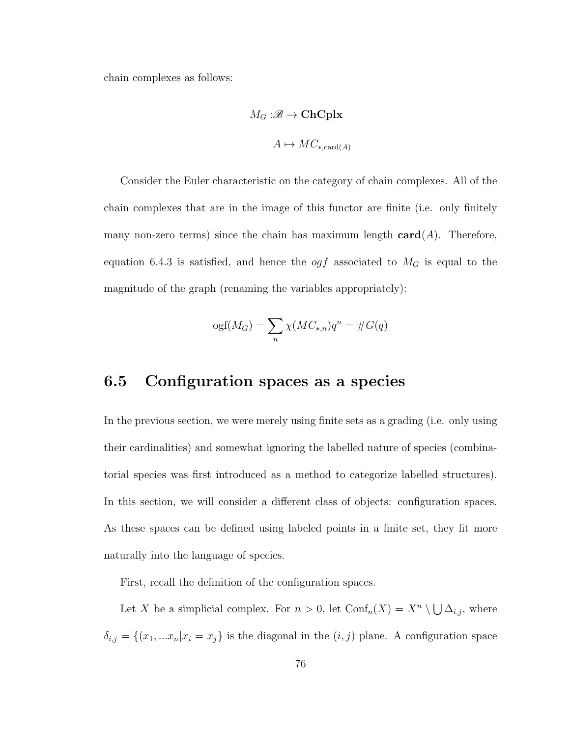chain complexes as follows:

$$
M_G : \mathscr{B} \to \mathbf{ChCplx}
$$

$$
A \mapsto MC_{*, \text{card}(A)}
$$

Consider the Euler characteristic on the category of chain complexes. All of the chain complexes that are in the image of this functor are finite (i.e. only finitely many non-zero terms) since the chain has maximum length  $card(A)$ . Therefore, equation 6.4.3 is satisfied, and hence the *ogf* associated to  $M_G$  is equal to the magnitude of the graph (renaming the variables appropriately):

$$
ogf(M_G) = \sum_{n} \chi(MC_{*,n})q^n = \#G(q)
$$

### 6.5 Configuration spaces as a species

In the previous section, we were merely using finite sets as a grading (i.e. only using their cardinalities) and somewhat ignoring the labelled nature of species (combinatorial species was first introduced as a method to categorize labelled structures). In this section, we will consider a different class of objects: configuration spaces. As these spaces can be defined using labeled points in a finite set, they fit more naturally into the language of species.

First, recall the definition of the configuration spaces.

Let X be a simplicial complex. For  $n > 0$ , let  $\text{Conf}_n(X) = X^n \setminus \bigcup \Delta_{i,j}$ , where  $\delta_{i,j} = \{(x_1, ... x_n | x_i = x_j\})$  is the diagonal in the  $(i, j)$  plane. A configuration space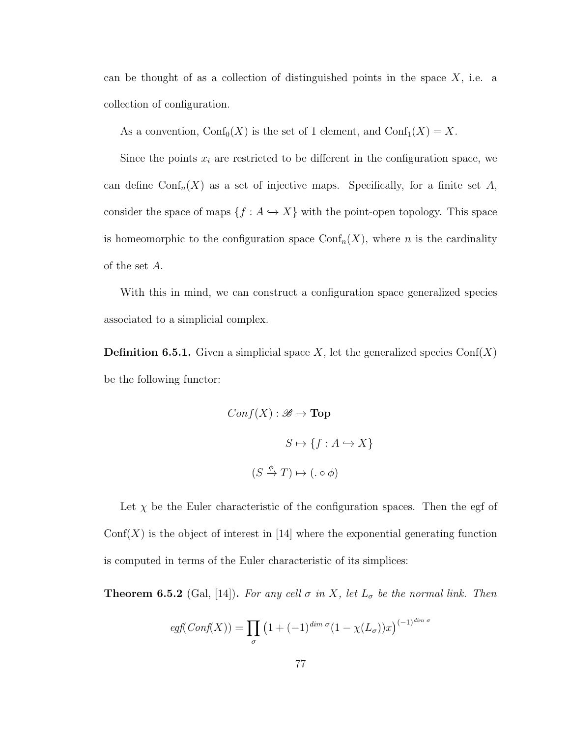can be thought of as a collection of distinguished points in the space  $X$ , i.e. a collection of configuration.

As a convention,  $\text{Conf}_0(X)$  is the set of 1 element, and  $\text{Conf}_1(X) = X$ .

Since the points  $x_i$  are restricted to be different in the configuration space, we can define Conf<sub>n</sub> $(X)$  as a set of injective maps. Specifically, for a finite set A, consider the space of maps  $\{f : A \hookrightarrow X\}$  with the point-open topology. This space is homeomorphic to the configuration space  $\text{Conf}_n(X)$ , where *n* is the cardinality of the set A.

With this in mind, we can construct a configuration space generalized species associated to a simplicial complex.

**Definition 6.5.1.** Given a simplicial space X, let the generalized species  $Conf(X)$ be the following functor:

$$
Conf(X) : \mathcal{B} \to \textbf{Top}
$$

$$
S \mapsto \{ f : A \hookrightarrow X \}
$$

$$
(S \xrightarrow{\phi} T) \mapsto (g \circ \phi)
$$

Let  $\chi$  be the Euler characteristic of the configuration spaces. Then the egf of  $\text{Conf}(X)$  is the object of interest in [14] where the exponential generating function is computed in terms of the Euler characteristic of its simplices:

**Theorem 6.5.2** (Gal, [14]). For any cell  $\sigma$  in X, let  $L_{\sigma}$  be the normal link. Then

$$
egf(Conf(X)) = \prod_{\sigma} (1 + (-1)^{\dim \sigma} (1 - \chi(L_{\sigma}))x)^{(-1)^{\dim \sigma}}
$$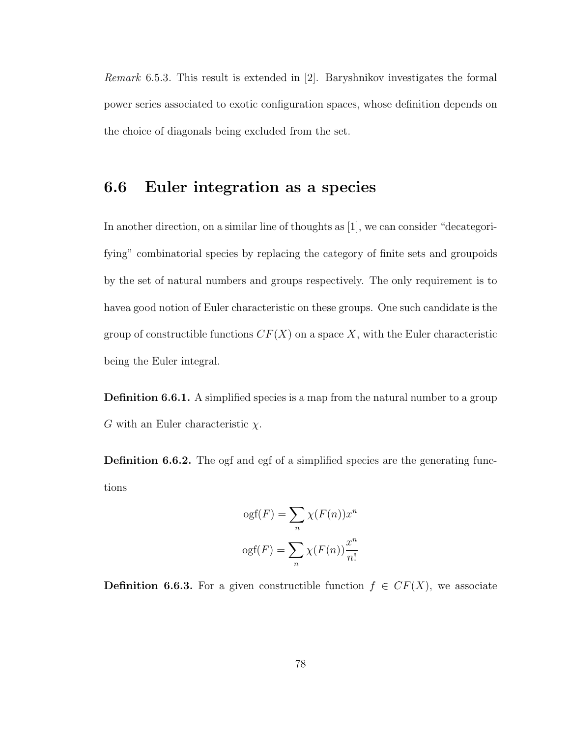Remark 6.5.3. This result is extended in [2]. Baryshnikov investigates the formal power series associated to exotic configuration spaces, whose definition depends on the choice of diagonals being excluded from the set.

### 6.6 Euler integration as a species

In another direction, on a similar line of thoughts as [1], we can consider "decategorifying" combinatorial species by replacing the category of finite sets and groupoids by the set of natural numbers and groups respectively. The only requirement is to havea good notion of Euler characteristic on these groups. One such candidate is the group of constructible functions  $CF(X)$  on a space X, with the Euler characteristic being the Euler integral.

**Definition 6.6.1.** A simplified species is a map from the natural number to a group  $G$  with an Euler characteristic  $\chi$ .

Definition 6.6.2. The ogf and egf of a simplified species are the generating functions

$$
ogf(F) = \sum_{n} \chi(F(n))x^{n}
$$

$$
ogf(F) = \sum_{n} \chi(F(n))\frac{x^{n}}{n!}
$$

**Definition 6.6.3.** For a given constructible function  $f \in CF(X)$ , we associate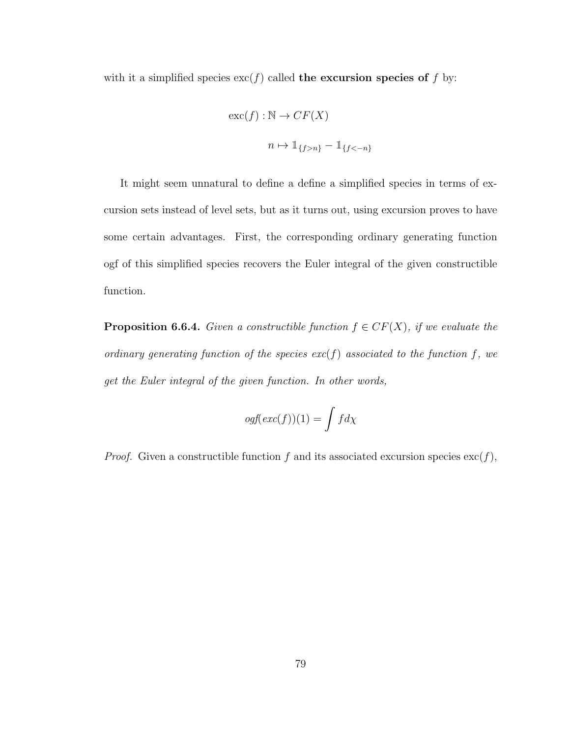with it a simplified species  $\operatorname{exc}(f)$  called the excursion species of f by:

$$
\operatorname{exc}(f) : \mathbb{N} \to CF(X)
$$
  

$$
n \mapsto \mathbb{1}_{\{f > n\}} - \mathbb{1}_{\{f < -n\}}
$$

It might seem unnatural to define a define a simplified species in terms of excursion sets instead of level sets, but as it turns out, using excursion proves to have some certain advantages. First, the corresponding ordinary generating function ogf of this simplified species recovers the Euler integral of the given constructible function.

**Proposition 6.6.4.** Given a constructible function  $f \in CF(X)$ , if we evaluate the ordinary generating function of the species  $exc(f)$  associated to the function f, we get the Euler integral of the given function. In other words,

$$
ogf(exc(f))(1) = \int f d\chi
$$

*Proof.* Given a constructible function f and its associated excursion species  $\text{exc}(f)$ ,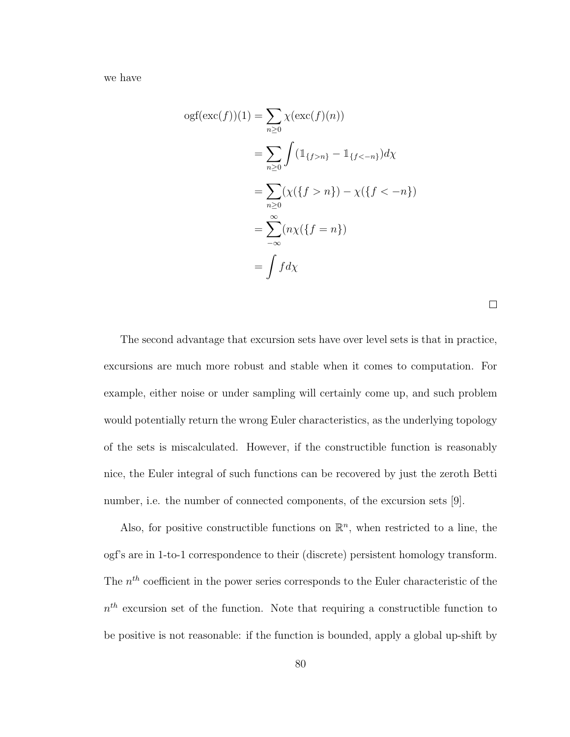we have

$$
ogf(exc(f))(1) = \sum_{n\geq 0} \chi(\operatorname{exc}(f)(n))
$$
  
= 
$$
\sum_{n\geq 0} \int (\mathbb{1}_{\{f>n\}} - \mathbb{1}_{\{f<-n\}}) d\chi
$$
  
= 
$$
\sum_{n\geq 0} (\chi(\{f>n\}) - \chi(\{f<-n\})
$$
  
= 
$$
\sum_{-\infty}^{\infty} (n\chi(\{f=n\})
$$
  
= 
$$
\int f d\chi
$$

 $\Box$ 

The second advantage that excursion sets have over level sets is that in practice, excursions are much more robust and stable when it comes to computation. For example, either noise or under sampling will certainly come up, and such problem would potentially return the wrong Euler characteristics, as the underlying topology of the sets is miscalculated. However, if the constructible function is reasonably nice, the Euler integral of such functions can be recovered by just the zeroth Betti number, i.e. the number of connected components, of the excursion sets [9].

Also, for positive constructible functions on  $\mathbb{R}^n$ , when restricted to a line, the ogf's are in 1-to-1 correspondence to their (discrete) persistent homology transform. The  $n<sup>th</sup>$  coefficient in the power series corresponds to the Euler characteristic of the  $n<sup>th</sup>$  excursion set of the function. Note that requiring a constructible function to be positive is not reasonable: if the function is bounded, apply a global up-shift by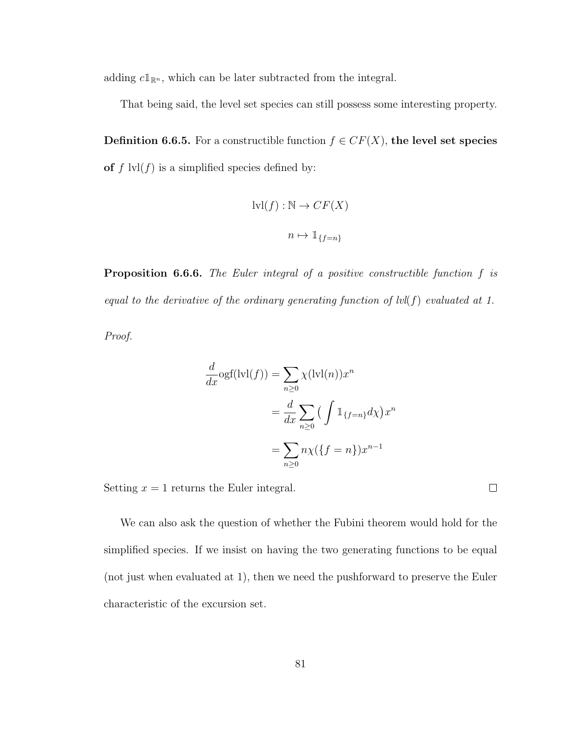adding  $c1_{\mathbb{R}^n}$ , which can be later subtracted from the integral.

That being said, the level set species can still possess some interesting property.

**Definition 6.6.5.** For a constructible function  $f \in CF(X)$ , the level set species of  $f \text{lvl}(f)$  is a simplified species defined by:

$$
ivl(f) : \mathbb{N} \to CF(X)
$$

$$
n \mapsto \mathbb{1}_{\{f=n\}}
$$

Proposition 6.6.6. The Euler integral of a positive constructible function f is equal to the derivative of the ordinary generating function of  $\text{lvl}(f)$  evaluated at 1.

Proof.

$$
\frac{d}{dx}\text{ogf}(\text{lvl}(f)) = \sum_{n\geq 0} \chi(\text{lvl}(n))x^n
$$

$$
= \frac{d}{dx} \sum_{n\geq 0} \left(\int \mathbb{1}_{\{f=n\}} d\chi\right) x^n
$$

$$
= \sum_{n\geq 0} n\chi(\{f=n\})x^{n-1}
$$

Setting  $x = 1$  returns the Euler integral.

We can also ask the question of whether the Fubini theorem would hold for the simplified species. If we insist on having the two generating functions to be equal (not just when evaluated at 1), then we need the pushforward to preserve the Euler characteristic of the excursion set.

 $\Box$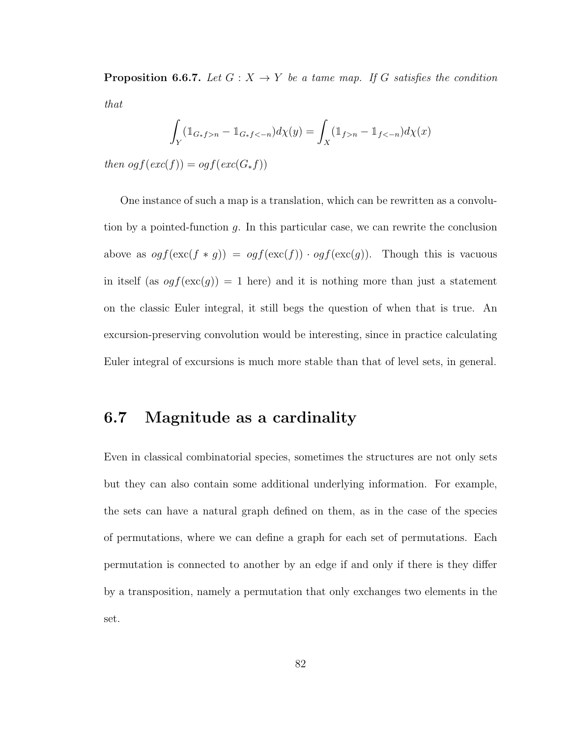**Proposition 6.6.7.** Let  $G: X \to Y$  be a tame map. If G satisfies the condition that

$$
\int_Y (\mathbb{1}_{G_* f > n} - \mathbb{1}_{G_* f < -n}) d\chi(y) = \int_X (\mathbb{1}_{f > n} - \mathbb{1}_{f < -n}) d\chi(x)
$$

then og  $f(exc(f)) = og f(exc(G_*f))$ 

One instance of such a map is a translation, which can be rewritten as a convolution by a pointed-function  $g$ . In this particular case, we can rewrite the conclusion above as  $ogf(\operatorname{exc}(f * g)) = ogf(\operatorname{exc}(f)) \cdot ogf(\operatorname{exc}(g))$ . Though this is vacuous in itself (as  $ogf(exc(g)) = 1$  here) and it is nothing more than just a statement on the classic Euler integral, it still begs the question of when that is true. An excursion-preserving convolution would be interesting, since in practice calculating Euler integral of excursions is much more stable than that of level sets, in general.

### 6.7 Magnitude as a cardinality

Even in classical combinatorial species, sometimes the structures are not only sets but they can also contain some additional underlying information. For example, the sets can have a natural graph defined on them, as in the case of the species of permutations, where we can define a graph for each set of permutations. Each permutation is connected to another by an edge if and only if there is they differ by a transposition, namely a permutation that only exchanges two elements in the set.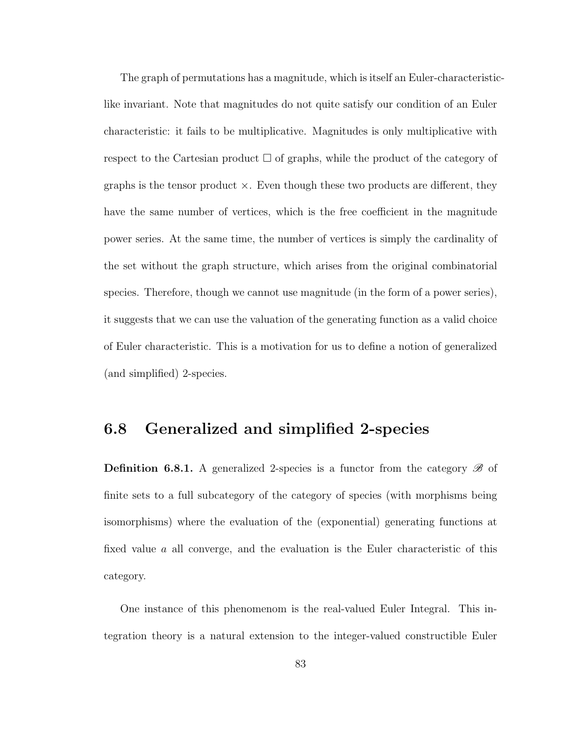The graph of permutations has a magnitude, which is itself an Euler-characteristiclike invariant. Note that magnitudes do not quite satisfy our condition of an Euler characteristic: it fails to be multiplicative. Magnitudes is only multiplicative with respect to the Cartesian product  $\Box$  of graphs, while the product of the category of graphs is the tensor product  $\times$ . Even though these two products are different, they have the same number of vertices, which is the free coefficient in the magnitude power series. At the same time, the number of vertices is simply the cardinality of the set without the graph structure, which arises from the original combinatorial species. Therefore, though we cannot use magnitude (in the form of a power series), it suggests that we can use the valuation of the generating function as a valid choice of Euler characteristic. This is a motivation for us to define a notion of generalized (and simplified) 2-species.

#### 6.8 Generalized and simplified 2-species

**Definition 6.8.1.** A generalized 2-species is a functor from the category  $\mathscr{B}$  of finite sets to a full subcategory of the category of species (with morphisms being isomorphisms) where the evaluation of the (exponential) generating functions at fixed value a all converge, and the evaluation is the Euler characteristic of this category.

One instance of this phenomenom is the real-valued Euler Integral. This integration theory is a natural extension to the integer-valued constructible Euler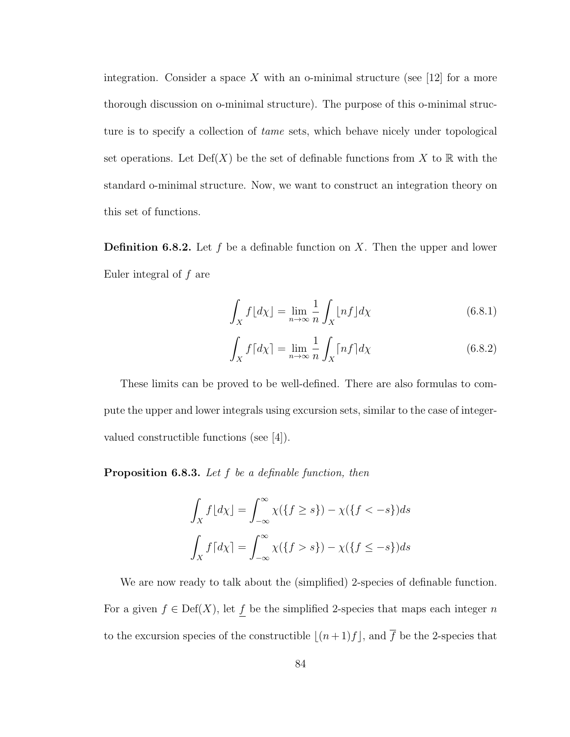integration. Consider a space X with an o-minimal structure (see [12] for a more thorough discussion on o-minimal structure). The purpose of this o-minimal structure is to specify a collection of tame sets, which behave nicely under topological set operations. Let  $Def(X)$  be the set of definable functions from X to R with the standard o-minimal structure. Now, we want to construct an integration theory on this set of functions.

**Definition 6.8.2.** Let f be a definable function on X. Then the upper and lower Euler integral of  $f$  are

$$
\int_{X} f\lfloor d\chi \rfloor = \lim_{n \to \infty} \frac{1}{n} \int_{X} \lfloor nf \rfloor d\chi \tag{6.8.1}
$$

$$
\int_{X} f\lceil d\chi \rceil = \lim_{n \to \infty} \frac{1}{n} \int_{X} \lceil nf \rceil d\chi \tag{6.8.2}
$$

These limits can be proved to be well-defined. There are also formulas to compute the upper and lower integrals using excursion sets, similar to the case of integervalued constructible functions (see [4]).

**Proposition 6.8.3.** Let  $f$  be a definable function, then

$$
\int_X f\left[\frac{d\chi\right] = \int_{-\infty}^{\infty} \chi(\left\{f \ge s\right\}) - \chi(\left\{f < -s\right\}) ds
$$
\n
$$
\int_X f\left[\frac{d\chi}{\chi}\right] = \int_{-\infty}^{\infty} \chi(\left\{f > s\right\}) - \chi(\left\{f \le -s\right\}) ds
$$

We are now ready to talk about the (simplified) 2-species of definable function. For a given  $f \in \text{Def}(X)$ , let  $\underline{f}$  be the simplified 2-species that maps each integer n to the excursion species of the constructible  $\lfloor (n + 1)f \rfloor$ , and  $\overline{f}$  be the 2-species that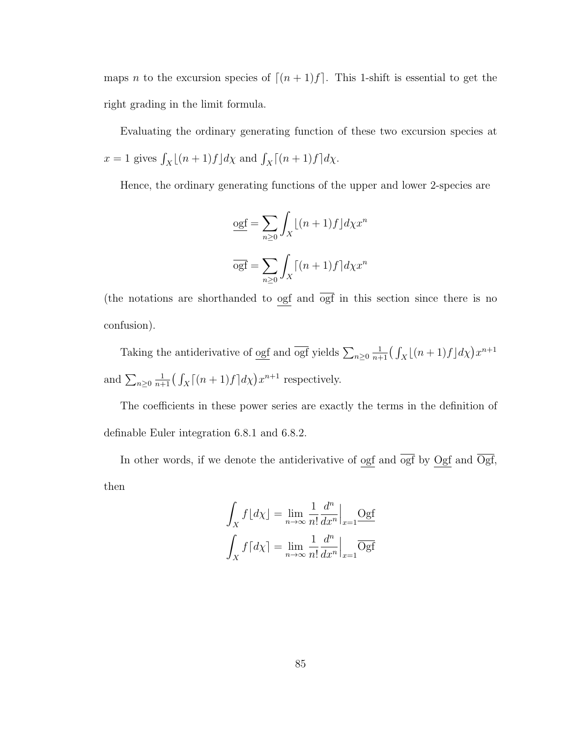maps n to the excursion species of  $\lceil (n + 1)f \rceil$ . This 1-shift is essential to get the right grading in the limit formula.

Evaluating the ordinary generating function of these two excursion species at  $x = 1$  gives  $\int_X \lfloor (n+1)f \rfloor d\chi$  and  $\int_X \lceil (n+1)f \rceil d\chi$ .

Hence, the ordinary generating functions of the upper and lower 2-species are

$$
\underbrace{\mathrm{ogf}}_{n\geq 0} = \sum_{n\geq 0} \int_X \lfloor (n+1)f \rfloor d\chi x^n
$$

$$
\overline{\mathrm{ogf}} = \sum_{n\geq 0} \int_X \lceil (n+1)f \rceil d\chi x^n
$$

(the notations are shorthanded to  $\frac{\text{ogf}}{\text{ogf}}$  and  $\frac{\text{ogf}}{\text{ogf}}$  in this section since there is no confusion).

Taking the antiderivative of <u>ogf</u> and  $\overline{\text{ogf}}$  yields  $\sum_{n\geq 0}$  $\frac{1}{n+1} \left( \int_X \left[ (n+1)f \right] d\chi \right) x^{n+1}$ and  $\sum_{n\geq 0}$  $\frac{1}{n+1} \left( \int_X \left[ (n+1)f \right] d\chi \right) x^{n+1}$  respectively.

The coefficients in these power series are exactly the terms in the definition of definable Euler integration 6.8.1 and 6.8.2.

In other words, if we denote the antiderivative of  $\overline{ogf}$  and  $ogf$  by  $\overline{Ogf}$  and  $Ogf$ , then

$$
\int_X f\left[d\chi\right] = \lim_{n \to \infty} \frac{1}{n!} \frac{d^n}{dx^n} \Big|_{x=1} \frac{\text{Ogf}}{\text{Ogf}}
$$

$$
\int_X f\left[d\chi\right] = \lim_{n \to \infty} \frac{1}{n!} \frac{d^n}{dx^n} \Big|_{x=1} \frac{\text{Ogf}}{\text{Ogf}}
$$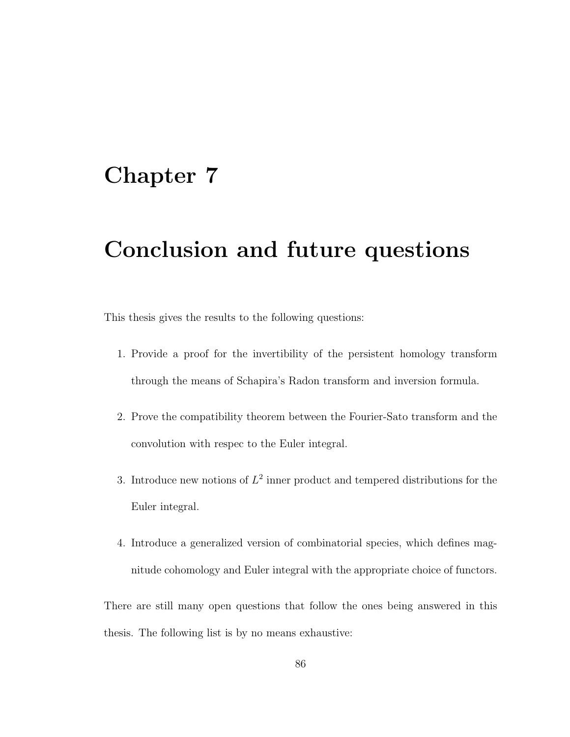## Chapter 7

# Conclusion and future questions

This thesis gives the results to the following questions:

- 1. Provide a proof for the invertibility of the persistent homology transform through the means of Schapira's Radon transform and inversion formula.
- 2. Prove the compatibility theorem between the Fourier-Sato transform and the convolution with respec to the Euler integral.
- 3. Introduce new notions of  $L^2$  inner product and tempered distributions for the Euler integral.
- 4. Introduce a generalized version of combinatorial species, which defines magnitude cohomology and Euler integral with the appropriate choice of functors.

There are still many open questions that follow the ones being answered in this thesis. The following list is by no means exhaustive: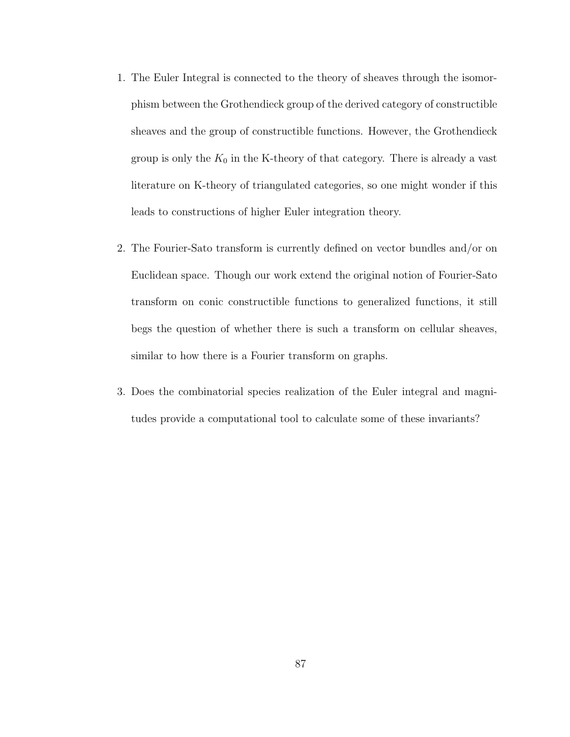- 1. The Euler Integral is connected to the theory of sheaves through the isomorphism between the Grothendieck group of the derived category of constructible sheaves and the group of constructible functions. However, the Grothendieck group is only the  $K_0$  in the K-theory of that category. There is already a vast literature on K-theory of triangulated categories, so one might wonder if this leads to constructions of higher Euler integration theory.
- 2. The Fourier-Sato transform is currently defined on vector bundles and/or on Euclidean space. Though our work extend the original notion of Fourier-Sato transform on conic constructible functions to generalized functions, it still begs the question of whether there is such a transform on cellular sheaves, similar to how there is a Fourier transform on graphs.
- 3. Does the combinatorial species realization of the Euler integral and magnitudes provide a computational tool to calculate some of these invariants?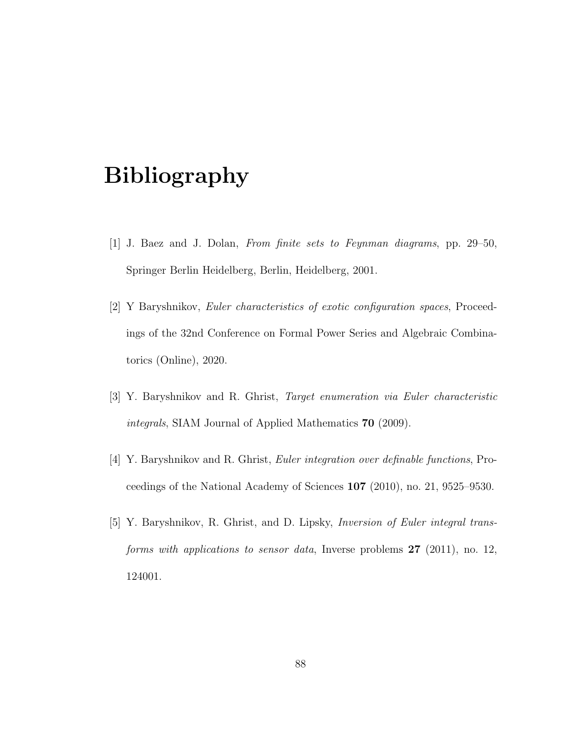# Bibliography

- [1] J. Baez and J. Dolan, From finite sets to Feynman diagrams, pp. 29–50, Springer Berlin Heidelberg, Berlin, Heidelberg, 2001.
- [2] Y Baryshnikov, Euler characteristics of exotic configuration spaces, Proceedings of the 32nd Conference on Formal Power Series and Algebraic Combinatorics (Online), 2020.
- [3] Y. Baryshnikov and R. Ghrist, Target enumeration via Euler characteristic integrals, SIAM Journal of Applied Mathematics 70 (2009).
- [4] Y. Baryshnikov and R. Ghrist, Euler integration over definable functions, Proceedings of the National Academy of Sciences 107 (2010), no. 21, 9525–9530.
- [5] Y. Baryshnikov, R. Ghrist, and D. Lipsky, Inversion of Euler integral transforms with applications to sensor data, Inverse problems  $27$  (2011), no. 12, 124001.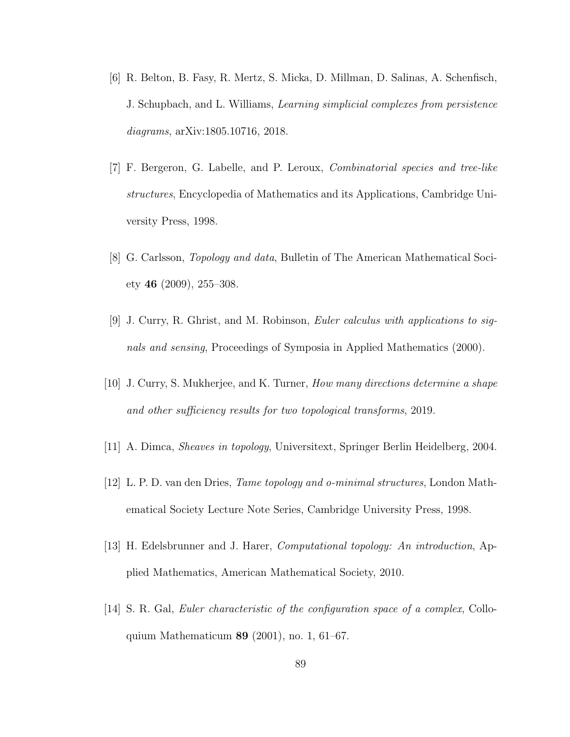- [6] R. Belton, B. Fasy, R. Mertz, S. Micka, D. Millman, D. Salinas, A. Schenfisch, J. Schupbach, and L. Williams, Learning simplicial complexes from persistence diagrams, arXiv:1805.10716, 2018.
- [7] F. Bergeron, G. Labelle, and P. Leroux, Combinatorial species and tree-like structures, Encyclopedia of Mathematics and its Applications, Cambridge University Press, 1998.
- [8] G. Carlsson, Topology and data, Bulletin of The American Mathematical Society 46 (2009), 255–308.
- [9] J. Curry, R. Ghrist, and M. Robinson, Euler calculus with applications to signals and sensing, Proceedings of Symposia in Applied Mathematics (2000).
- [10] J. Curry, S. Mukherjee, and K. Turner, How many directions determine a shape and other sufficiency results for two topological transforms, 2019.
- [11] A. Dimca, Sheaves in topology, Universitext, Springer Berlin Heidelberg, 2004.
- [12] L. P. D. van den Dries, Tame topology and o-minimal structures, London Mathematical Society Lecture Note Series, Cambridge University Press, 1998.
- [13] H. Edelsbrunner and J. Harer, Computational topology: An introduction, Applied Mathematics, American Mathematical Society, 2010.
- [14] S. R. Gal, Euler characteristic of the configuration space of a complex, Colloquium Mathematicum 89 (2001), no. 1, 61–67.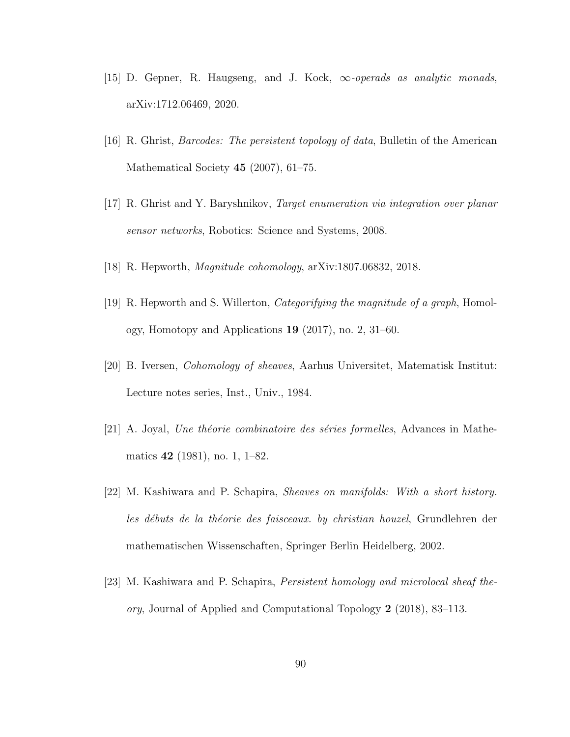- [15] D. Gepner, R. Haugseng, and J. Kock,  $\infty$ -operads as analytic monads, arXiv:1712.06469, 2020.
- [16] R. Ghrist, Barcodes: The persistent topology of data, Bulletin of the American Mathematical Society **45** (2007), 61–75.
- [17] R. Ghrist and Y. Baryshnikov, Target enumeration via integration over planar sensor networks, Robotics: Science and Systems, 2008.
- [18] R. Hepworth, Magnitude cohomology, arXiv:1807.06832, 2018.
- [19] R. Hepworth and S. Willerton, Categorifying the magnitude of a graph, Homology, Homotopy and Applications 19 (2017), no. 2, 31–60.
- [20] B. Iversen, Cohomology of sheaves, Aarhus Universitet, Matematisk Institut: Lecture notes series, Inst., Univ., 1984.
- $[21]$  A. Joyal, *Une théorie combinatoire des séries formelles*, Advances in Mathematics 42 (1981), no. 1, 1–82.
- [22] M. Kashiwara and P. Schapira, Sheaves on manifolds: With a short history. les débuts de la théorie des faisceaux. by christian houzel, Grundlehren der mathematischen Wissenschaften, Springer Berlin Heidelberg, 2002.
- [23] M. Kashiwara and P. Schapira, Persistent homology and microlocal sheaf theory, Journal of Applied and Computational Topology 2 (2018), 83–113.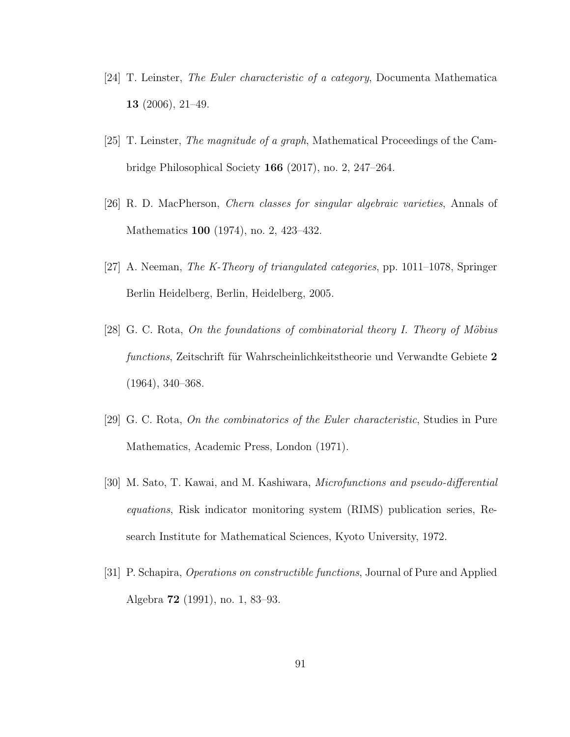- [24] T. Leinster, The Euler characteristic of a category, Documenta Mathematica 13 (2006), 21–49.
- [25] T. Leinster, The magnitude of a graph, Mathematical Proceedings of the Cambridge Philosophical Society 166 (2017), no. 2, 247–264.
- [26] R. D. MacPherson, Chern classes for singular algebraic varieties, Annals of Mathematics 100 (1974), no. 2, 423–432.
- [27] A. Neeman, The K-Theory of triangulated categories, pp. 1011–1078, Springer Berlin Heidelberg, Berlin, Heidelberg, 2005.
- [28] G. C. Rota, On the foundations of combinatorial theory I. Theory of Möbius functions, Zeitschrift für Wahrscheinlichkeitstheorie und Verwandte Gebiete 2 (1964), 340–368.
- [29] G. C. Rota, On the combinatorics of the Euler characteristic, Studies in Pure Mathematics, Academic Press, London (1971).
- [30] M. Sato, T. Kawai, and M. Kashiwara, Microfunctions and pseudo-differential equations, Risk indicator monitoring system (RIMS) publication series, Research Institute for Mathematical Sciences, Kyoto University, 1972.
- [31] P. Schapira, Operations on constructible functions, Journal of Pure and Applied Algebra 72 (1991), no. 1, 83–93.